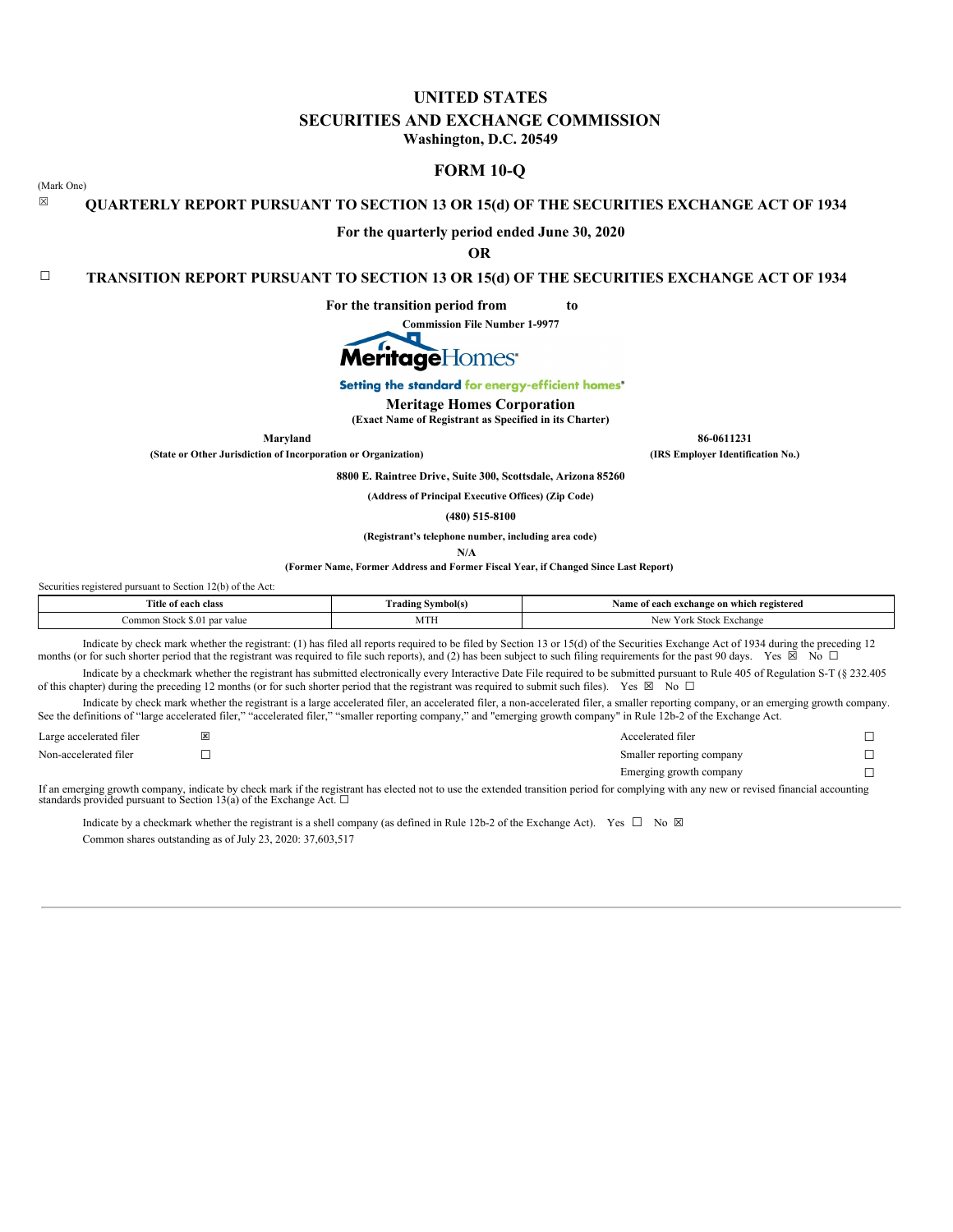# **UNITED STATES SECURITIES AND EXCHANGE COMMISSION**

**Washington, D.C. 20549**

## **FORM 10-Q**

(Mark One)

☒ **QUARTERLY REPORT PURSUANT TO SECTION 13 OR 15(d) OF THE SECURITIES EXCHANGE ACT OF 1934**

### **For the quarterly period ended June 30, 2020**

**OR**

## ☐ **TRANSITION REPORT PURSUANT TO SECTION 13 OR 15(d) OF THE SECURITIES EXCHANGE ACT OF 1934**

**For the transition period from to**

**Commission File Number 1-9977**



### Setting the standard for energy-efficient homes'

**Meritage Homes Corporation**

**(Exact Name of Registrant as Specified in its Charter)**

**(State or Other Jurisdiction of Incorporation or Organization) (IRS Employer Identification No.)**

**Maryland 86-0611231**

**8800 E. Raintree Drive, Suite 300, Scottsdale, Arizona 85260**

**(Address of Principal Executive Offices) (Zip Code)**

**(480) 515-8100**

**(Registrant's telephone number, including area code)**

**N/A (Former Name, Former Address and Former Fiscal Year, if Changed Since Last Report)**

Securities registered pursuant to Section 12(b) of the Act:

| Title<br>. lass<br>. nt         | rading<br>Symbol(s) | `ich registered<br>vame<br>` exchange on whi<br>ot each<br>. .<br>. |
|---------------------------------|---------------------|---------------------------------------------------------------------|
| nar<br>value<br>.ommon<br>-5106 | VIIE                | $\sim$<br>New<br>kchang.<br>эюс                                     |

Indicate by check mark whether the registrant: (1) has filed all reports required to be filed by Section 13 or 15(d) of the Securities Exchange Act of 1934 during the preceding 12 months (or for such shorter period that the registrant was required to file such reports), and (2) has been subject to such filing requirements for the past 90 days. Yes  $\boxtimes$  No  $\Box$ 

Indicate by a checkmark whether the registrant has submitted electronically every Interactive Date File required to be submitted pursuant to Rule 405 of Regulation S-T (§ 232.405 of this chapter) during the preceding 12 months (or for such shorter period that the registrant was required to submit such files). Yes  $\boxtimes \bullet$  No  $\square$ 

Indicate by check mark whether the registrant is a large accelerated filer, an accelerated filer, a non-accelerated filer, a smaller reporting company, or an emerging growth company. See the definitions of "large accelerated filer," "accelerated filer," "smaller reporting company," and "emerging growth company" in Rule 12b-2 of the Exchange Act.

| Large accelerated filer | × | Accelerated filer         |  |
|-------------------------|---|---------------------------|--|
| Non-accelerated filer   |   | Smaller reporting company |  |
|                         |   | Emerging growth company   |  |

If an emerging growth company, indicate by check mark if the registrant has elected not to use the extended transition period for complying with any new or revised financial accounting standards provided pursuant to Secti

Indicate by a checkmark whether the registrant is a shell company (as defined in Rule 12b-2 of the Exchange Act). Yes  $\Box$  No  $\boxtimes$ Common shares outstanding as of July 23, 2020: 37,603,517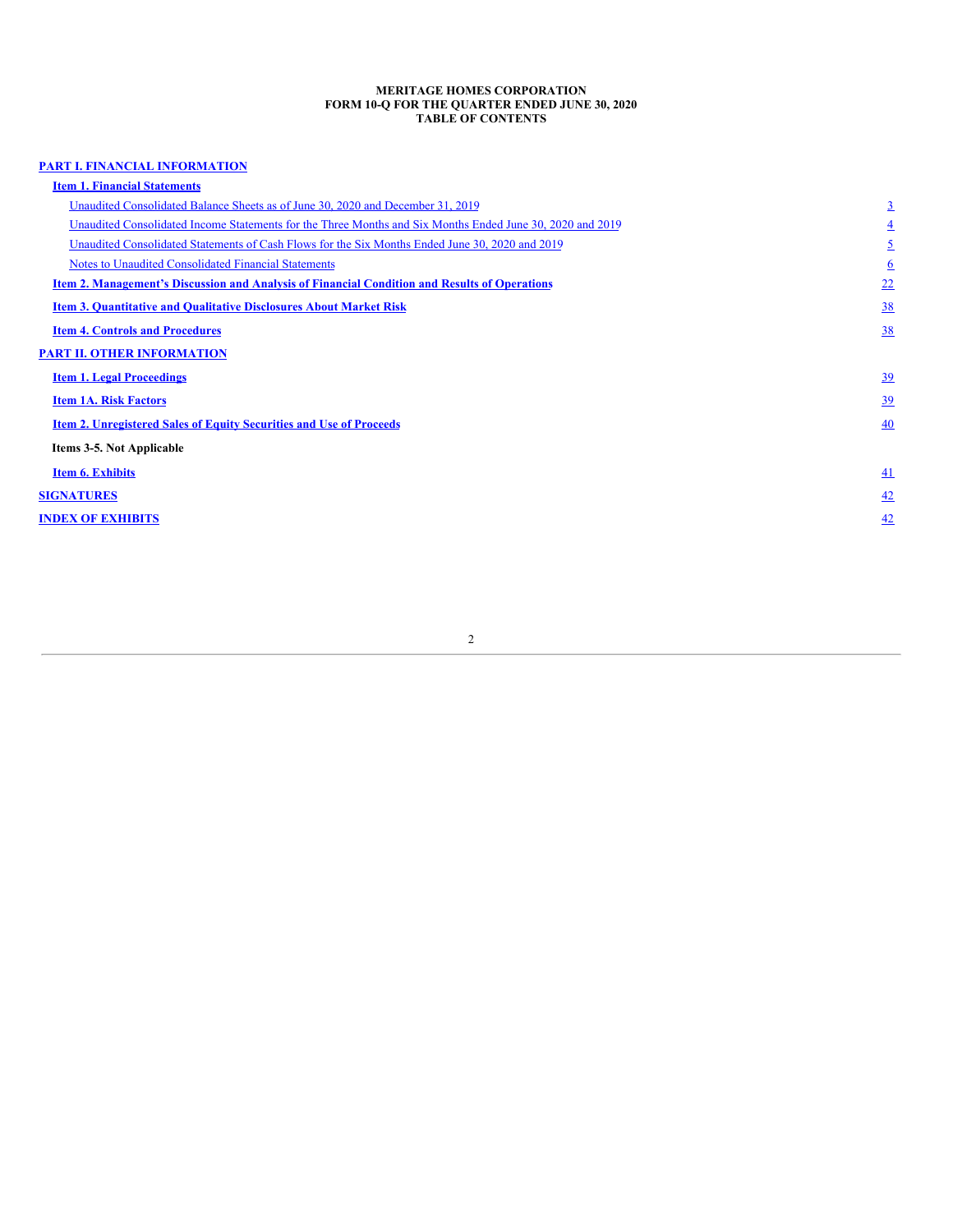#### **MERITAGE HOMES CORPORATION FORM 10-Q FOR THE QUARTER ENDED JUNE 30, 2020 TABLE OF CONTENTS**

## **PART I. FINANCIAL [INFORMATION](#page-2-0)**

| <b>Item 1. Financial Statements</b>                                                                       |                 |
|-----------------------------------------------------------------------------------------------------------|-----------------|
| Unaudited Consolidated Balance Sheets as of June 30, 2020 and December 31, 2019                           | $\overline{3}$  |
| Unaudited Consolidated Income Statements for the Three Months and Six Months Ended June 30, 2020 and 2019 | $\overline{4}$  |
| Unaudited Consolidated Statements of Cash Flows for the Six Months Ended June 30, 2020 and 2019           | <u>5</u>        |
| <b>Notes to Unaudited Consolidated Financial Statements</b>                                               | $\underline{6}$ |
| <u>Item 2. Management's Discussion and Analysis of Financial Condition and Results of Operations</u>      | 22              |
| <b>Item 3. Quantitative and Qualitative Disclosures About Market Risk</b>                                 | 38              |
| <b>Item 4. Controls and Procedures</b>                                                                    | 38              |
| <b>PART II. OTHER INFORMATION</b>                                                                         |                 |
| <b>Item 1. Legal Proceedings</b>                                                                          | <u>39</u>       |
| <b>Item 1A. Risk Factors</b>                                                                              | 39              |
| <b>Item 2. Unregistered Sales of Equity Securities and Use of Proceeds</b>                                | 40              |
| Items 3-5. Not Applicable                                                                                 |                 |
| <b>Item 6. Exhibits</b>                                                                                   | 41              |
| <b>SIGNATURES</b>                                                                                         | 42              |
| <b>INDEX OF EXHIBITS</b>                                                                                  | 42              |
|                                                                                                           |                 |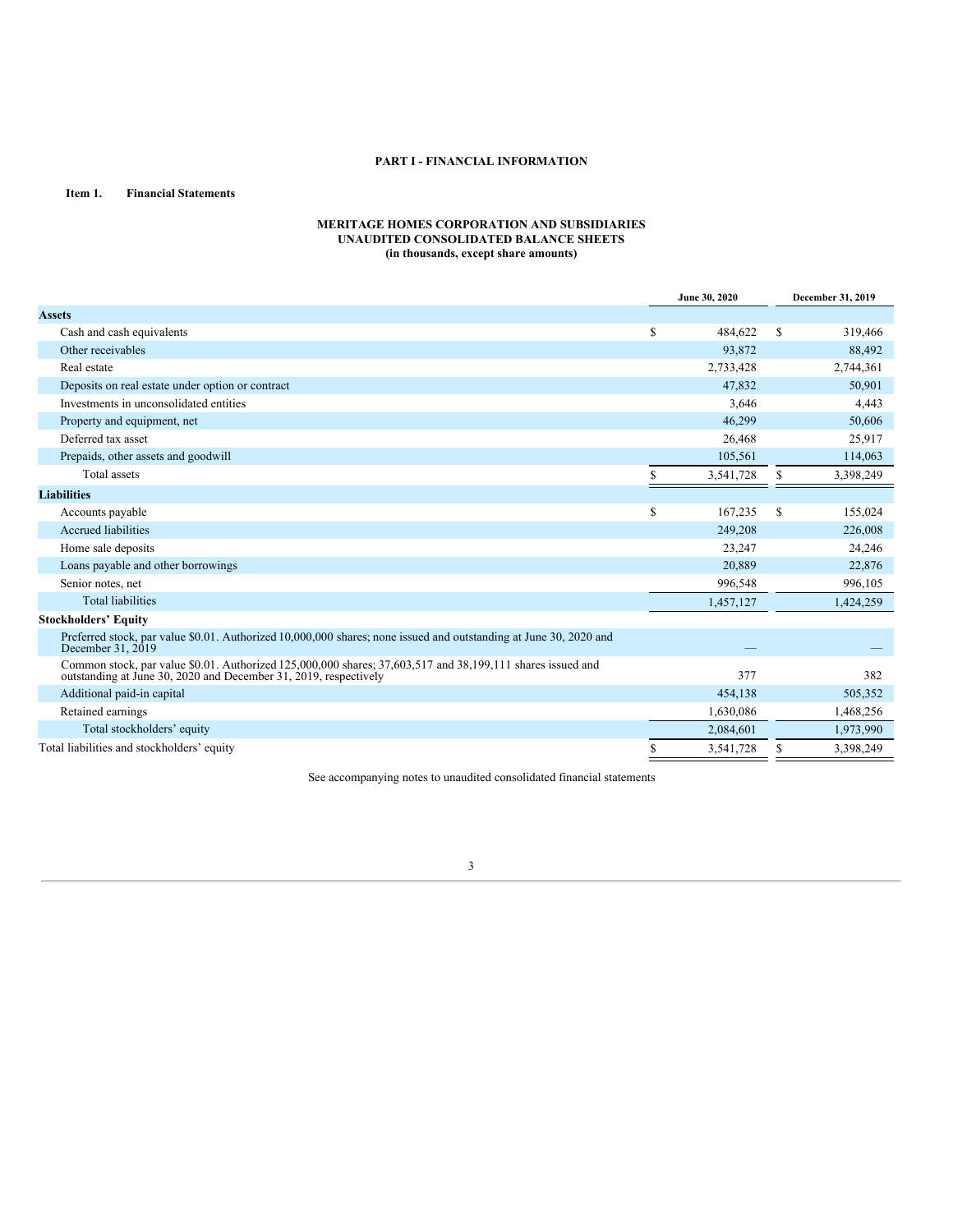### **PART I - FINANCIAL INFORMATION**

### <span id="page-2-2"></span><span id="page-2-1"></span><span id="page-2-0"></span>**Item 1. Financial Statements**

### **MERITAGE HOMES CORPORATION AND SUBSIDIARIES UNAUDITED CONSOLIDATED BALANCE SHEETS (in thousands, except share amounts)**

|                                                                                                                                                                                | June 30, 2020   |    | December 31, 2019 |
|--------------------------------------------------------------------------------------------------------------------------------------------------------------------------------|-----------------|----|-------------------|
| <b>Assets</b>                                                                                                                                                                  |                 |    |                   |
| Cash and cash equivalents                                                                                                                                                      | \$<br>484,622   | S. | 319,466           |
| Other receivables                                                                                                                                                              | 93,872          |    | 88,492            |
| Real estate                                                                                                                                                                    | 2,733,428       |    | 2,744,361         |
| Deposits on real estate under option or contract                                                                                                                               | 47,832          |    | 50.901            |
| Investments in unconsolidated entities                                                                                                                                         | 3,646           |    | 4,443             |
| Property and equipment, net                                                                                                                                                    | 46,299          |    | 50,606            |
| Deferred tax asset                                                                                                                                                             | 26,468          |    | 25,917            |
| Prepaids, other assets and goodwill                                                                                                                                            | 105,561         |    | 114,063           |
| Total assets                                                                                                                                                                   | \$<br>3,541,728 | \$ | 3,398,249         |
| <b>Liabilities</b>                                                                                                                                                             |                 |    |                   |
| Accounts payable                                                                                                                                                               | \$<br>167,235   | \$ | 155,024           |
| <b>Accrued liabilities</b>                                                                                                                                                     | 249,208         |    | 226,008           |
| Home sale deposits                                                                                                                                                             | 23,247          |    | 24,246            |
| Loans payable and other borrowings                                                                                                                                             | 20,889          |    | 22,876            |
| Senior notes, net                                                                                                                                                              | 996,548         |    | 996,105           |
| <b>Total liabilities</b>                                                                                                                                                       | 1,457,127       |    | 1,424,259         |
| <b>Stockholders' Equity</b>                                                                                                                                                    |                 |    |                   |
| Preferred stock, par value \$0.01. Authorized 10,000,000 shares; none issued and outstanding at June 30, 2020 and<br>December 31, $2019$                                       |                 |    |                   |
| Common stock, par value \$0.01. Authorized 125,000,000 shares; 37,603,517 and 38,199,111 shares issued and<br>outstanding at June 30, 2020 and December 31, 2019, respectively | 377             |    | 382               |
| Additional paid-in capital                                                                                                                                                     | 454,138         |    | 505,352           |
| Retained earnings                                                                                                                                                              | 1,630,086       |    | 1,468,256         |
| Total stockholders' equity                                                                                                                                                     | 2,084,601       |    | 1,973,990         |
| Total liabilities and stockholders' equity                                                                                                                                     | \$<br>3,541,728 | S  | 3,398,249         |

<span id="page-2-3"></span>See accompanying notes to unaudited consolidated financial statements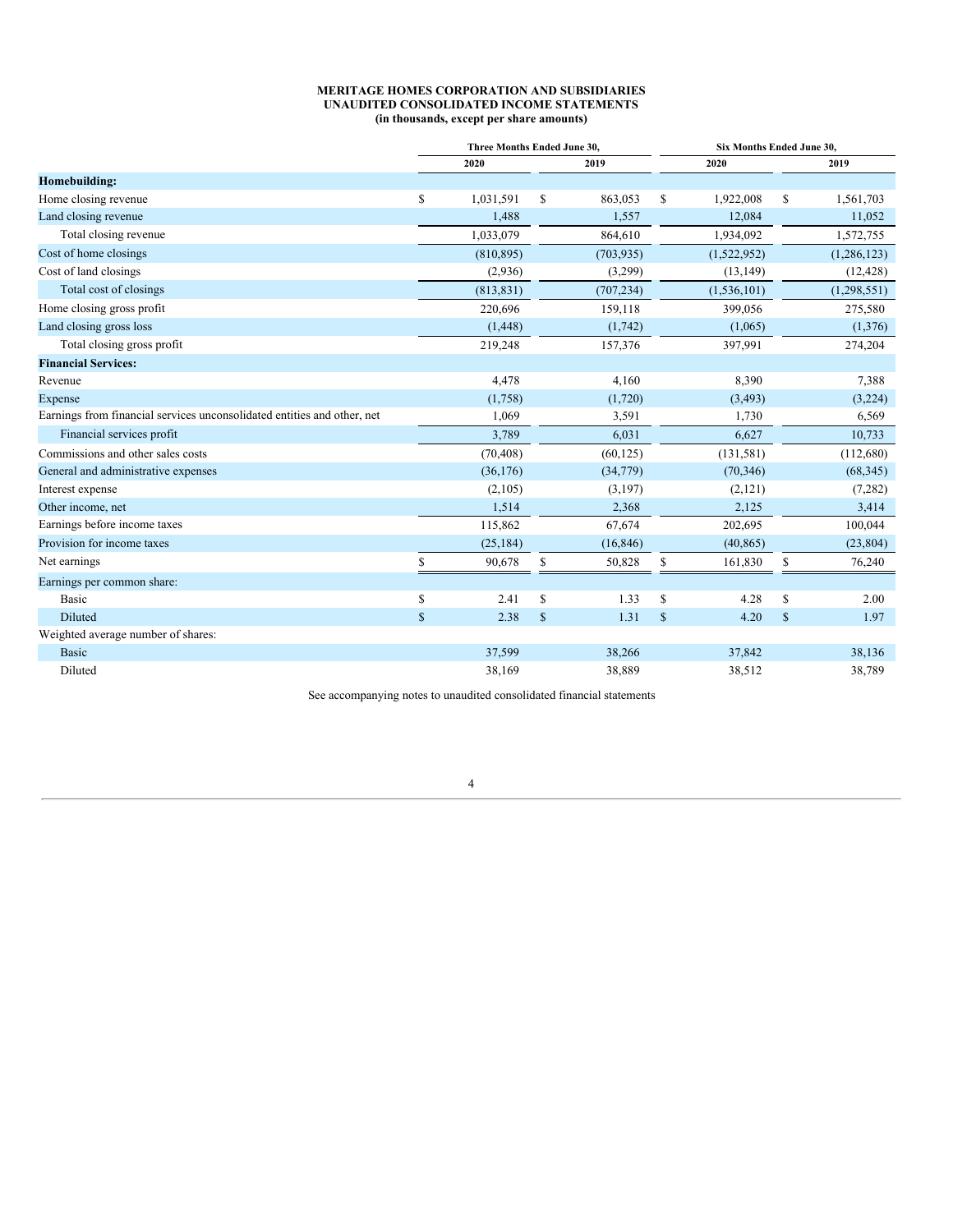### **MERITAGE HOMES CORPORATION AND SUBSIDIARIES UNAUDITED CONSOLIDATED INCOME STATEMENTS (in thousands, except per share amounts)**

|                                                                         |      | <b>Three Months Ended June 30.</b> |      |            |              | Six Months Ended June 30, |              |               |  |
|-------------------------------------------------------------------------|------|------------------------------------|------|------------|--------------|---------------------------|--------------|---------------|--|
|                                                                         |      | 2020                               |      | 2019       |              | 2020                      |              | 2019          |  |
| <b>Homebuilding:</b>                                                    |      |                                    |      |            |              |                           |              |               |  |
| Home closing revenue                                                    | \$   | 1,031,591                          | \$   | 863,053    | S            | 1,922,008                 | \$           | 1,561,703     |  |
| Land closing revenue                                                    |      | 1,488                              |      | 1,557      |              | 12,084                    |              | 11,052        |  |
| Total closing revenue                                                   |      | 1,033,079                          |      | 864,610    |              | 1,934,092                 |              | 1,572,755     |  |
| Cost of home closings                                                   |      | (810, 895)                         |      | (703, 935) |              | (1,522,952)               |              | (1, 286, 123) |  |
| Cost of land closings                                                   |      | (2,936)                            |      | (3,299)    |              | (13, 149)                 |              | (12, 428)     |  |
| Total cost of closings                                                  |      | (813, 831)                         |      | (707, 234) |              | (1, 536, 101)             |              | (1,298,551)   |  |
| Home closing gross profit                                               |      | 220,696                            |      | 159,118    |              | 399,056                   |              | 275,580       |  |
| Land closing gross loss                                                 |      | (1, 448)                           |      | (1,742)    |              | (1,065)                   |              | (1,376)       |  |
| Total closing gross profit                                              |      | 219,248                            |      | 157,376    |              | 397,991                   |              | 274,204       |  |
| <b>Financial Services:</b>                                              |      |                                    |      |            |              |                           |              |               |  |
| Revenue                                                                 |      | 4,478                              |      | 4,160      |              | 8,390                     |              | 7,388         |  |
| Expense                                                                 |      | (1,758)                            |      | (1,720)    |              | (3, 493)                  |              | (3,224)       |  |
| Earnings from financial services unconsolidated entities and other, net |      | 1,069                              |      | 3,591      |              | 1,730                     |              | 6,569         |  |
| Financial services profit                                               |      | 3,789                              |      | 6,031      |              | 6,627                     |              | 10,733        |  |
| Commissions and other sales costs                                       |      | (70, 408)                          |      | (60, 125)  |              | (131, 581)                |              | (112,680)     |  |
| General and administrative expenses                                     |      | (36,176)                           |      | (34,779)   |              | (70, 346)                 |              | (68, 345)     |  |
| Interest expense                                                        |      | (2,105)                            |      | (3,197)    |              | (2,121)                   |              | (7, 282)      |  |
| Other income, net                                                       |      | 1,514                              |      | 2,368      |              | 2,125                     |              | 3,414         |  |
| Earnings before income taxes                                            |      | 115,862                            |      | 67,674     |              | 202,695                   |              | 100,044       |  |
| Provision for income taxes                                              |      | (25, 184)                          |      | (16, 846)  |              | (40, 865)                 |              | (23, 804)     |  |
| Net earnings                                                            | \$   | 90,678                             | \$   | 50,828     | \$           | 161,830                   | \$           | 76,240        |  |
| Earnings per common share:                                              |      |                                    |      |            |              |                           |              |               |  |
| <b>Basic</b>                                                            | \$   | 2.41                               | \$   | 1.33       | S            | 4.28                      | \$           | 2.00          |  |
| Diluted                                                                 | $\$$ | 2.38                               | $\$$ | 1.31       | $\mathbb{S}$ | 4.20                      | $\mathbb{S}$ | 1.97          |  |
| Weighted average number of shares:                                      |      |                                    |      |            |              |                           |              |               |  |
| <b>Basic</b>                                                            |      | 37,599                             |      | 38.266     |              | 37.842                    |              | 38,136        |  |
| Diluted                                                                 |      | 38,169                             |      | 38,889     |              | 38,512                    |              | 38,789        |  |

<span id="page-3-0"></span>See accompanying notes to unaudited consolidated financial statements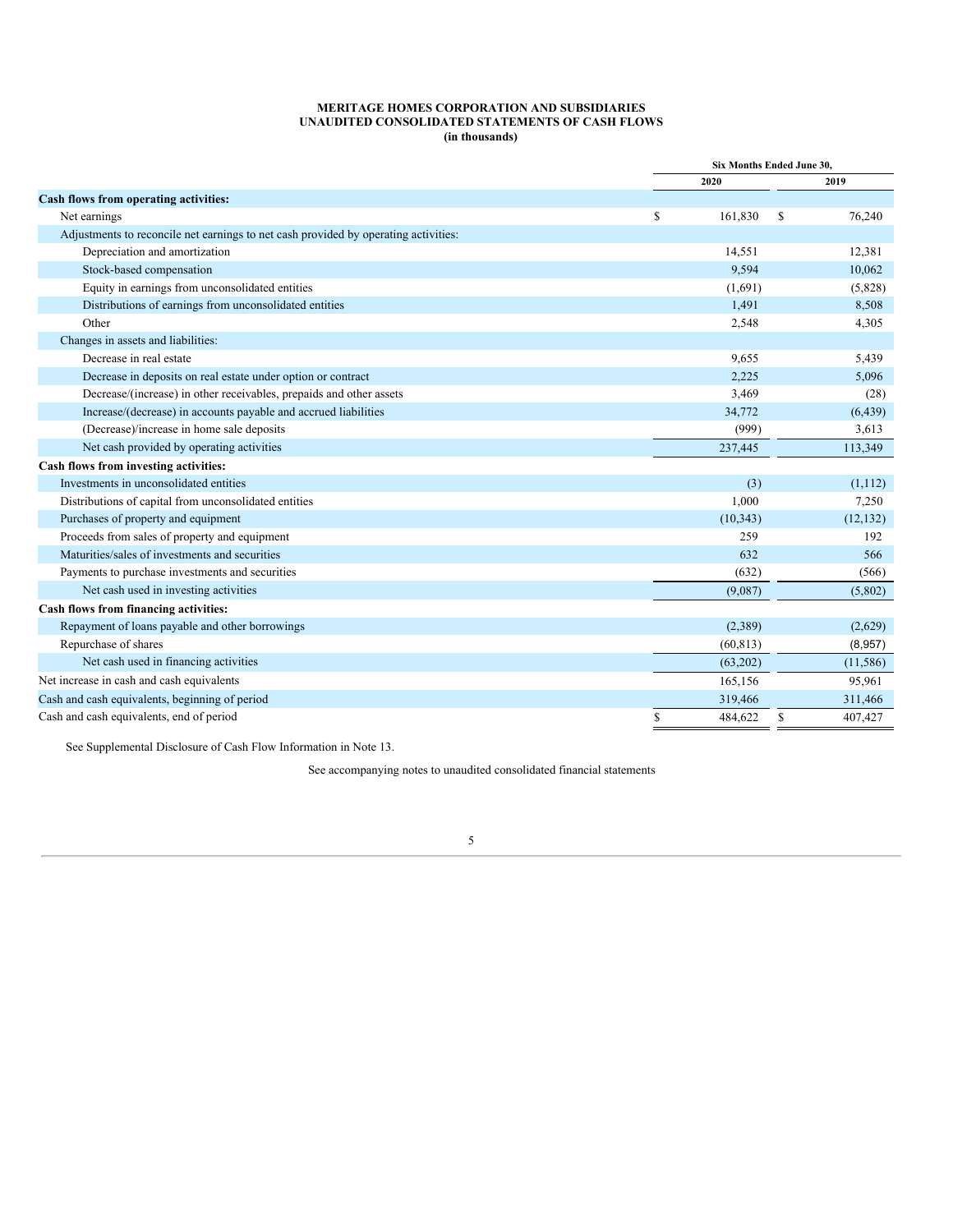#### **MERITAGE HOMES CORPORATION AND SUBSIDIARIES UNAUDITED CONSOLIDATED STATEMENTS OF CASH FLOWS (in thousands)**

|                                                                                     | <b>Six Months Ended June 30,</b> |           |               |           |  |  |
|-------------------------------------------------------------------------------------|----------------------------------|-----------|---------------|-----------|--|--|
|                                                                                     |                                  | 2020      |               | 2019      |  |  |
| Cash flows from operating activities:                                               |                                  |           |               |           |  |  |
| Net earnings                                                                        | \$                               | 161,830   | <sup>\$</sup> | 76,240    |  |  |
| Adjustments to reconcile net earnings to net cash provided by operating activities: |                                  |           |               |           |  |  |
| Depreciation and amortization                                                       |                                  | 14,551    |               | 12,381    |  |  |
| Stock-based compensation                                                            |                                  | 9,594     |               | 10,062    |  |  |
| Equity in earnings from unconsolidated entities                                     |                                  | (1,691)   |               | (5,828)   |  |  |
| Distributions of earnings from unconsolidated entities                              |                                  | 1,491     |               | 8,508     |  |  |
| Other                                                                               |                                  | 2,548     |               | 4,305     |  |  |
| Changes in assets and liabilities:                                                  |                                  |           |               |           |  |  |
| Decrease in real estate                                                             |                                  | 9,655     |               | 5,439     |  |  |
| Decrease in deposits on real estate under option or contract                        |                                  | 2,225     |               | 5,096     |  |  |
| Decrease/(increase) in other receivables, prepaids and other assets                 |                                  | 3,469     |               | (28)      |  |  |
| Increase/(decrease) in accounts payable and accrued liabilities                     |                                  | 34,772    |               | (6, 439)  |  |  |
| (Decrease)/increase in home sale deposits                                           |                                  | (999)     |               | 3,613     |  |  |
| Net cash provided by operating activities                                           |                                  | 237,445   |               | 113,349   |  |  |
| Cash flows from investing activities:                                               |                                  |           |               |           |  |  |
| Investments in unconsolidated entities                                              |                                  | (3)       |               | (1, 112)  |  |  |
| Distributions of capital from unconsolidated entities                               |                                  | 1,000     |               | 7,250     |  |  |
| Purchases of property and equipment                                                 |                                  | (10, 343) |               | (12, 132) |  |  |
| Proceeds from sales of property and equipment                                       |                                  | 259       |               | 192       |  |  |
| Maturities/sales of investments and securities                                      |                                  | 632       |               | 566       |  |  |
| Payments to purchase investments and securities                                     |                                  | (632)     |               | (566)     |  |  |
| Net cash used in investing activities                                               |                                  | (9,087)   |               | (5,802)   |  |  |
| Cash flows from financing activities:                                               |                                  |           |               |           |  |  |
| Repayment of loans payable and other borrowings                                     |                                  | (2,389)   |               | (2,629)   |  |  |
| Repurchase of shares                                                                |                                  | (60, 813) |               | (8,957)   |  |  |
| Net cash used in financing activities                                               |                                  | (63,202)  |               | (11, 586) |  |  |
| Net increase in cash and cash equivalents                                           |                                  | 165,156   |               | 95,961    |  |  |
| Cash and cash equivalents, beginning of period                                      |                                  | 319,466   |               | 311,466   |  |  |
| Cash and cash equivalents, end of period                                            | \$                               | 484,622   | \$            | 407,427   |  |  |

<span id="page-4-0"></span>See Supplemental Disclosure of Cash Flow Information in Note 13.

See accompanying notes to unaudited consolidated financial statements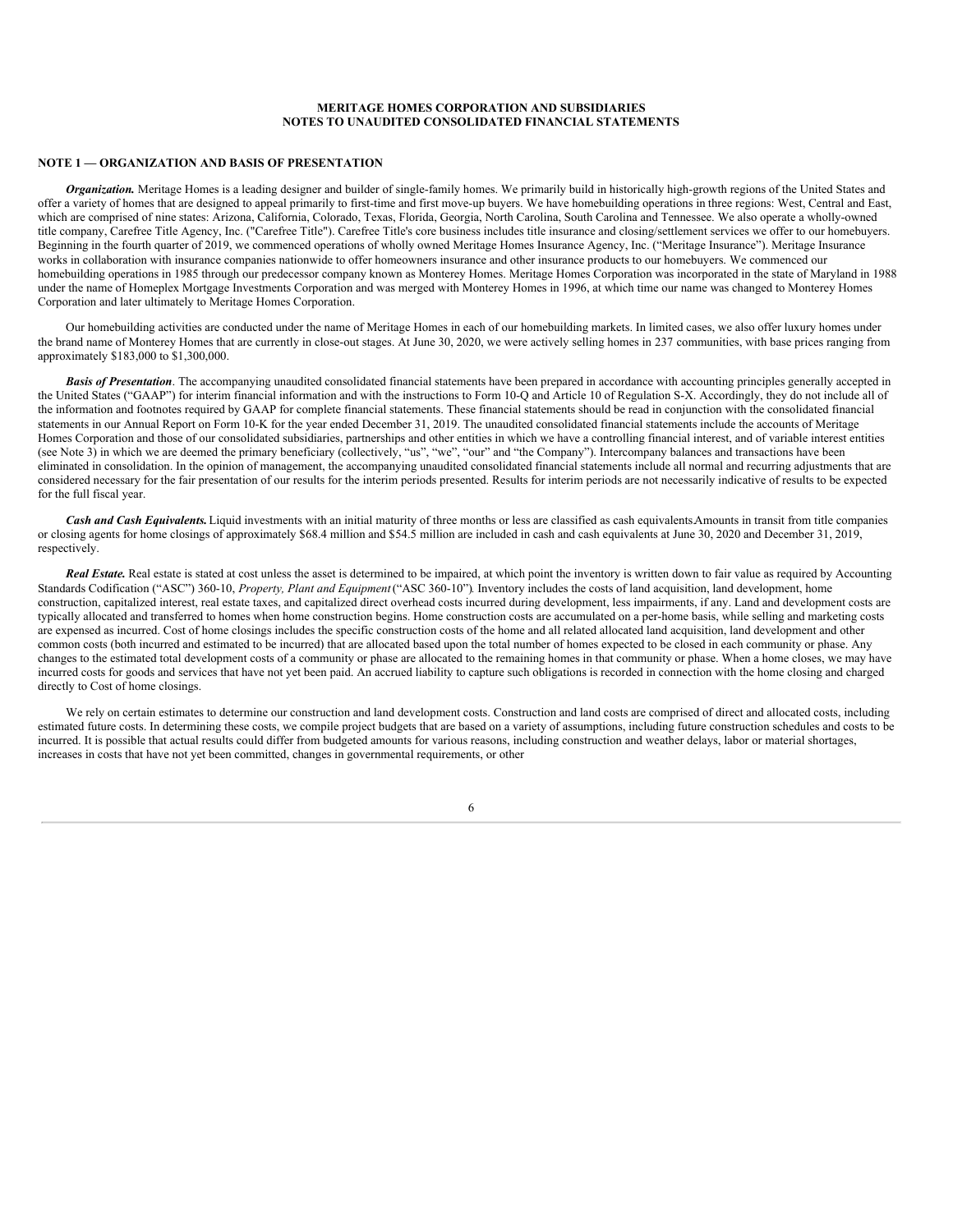### **MERITAGE HOMES CORPORATION AND SUBSIDIARIES NOTES TO UNAUDITED CONSOLIDATED FINANCIAL STATEMENTS**

### **NOTE 1 — ORGANIZATION AND BASIS OF PRESENTATION**

*Organization.* Meritage Homes is a leading designer and builder of single-family homes. We primarily build in historically high-growth regions of the United States and offer a variety of homes that are designed to appeal primarily to first-time and first move-up buyers. We have homebuilding operations in three regions: West, Central and East, which are comprised of nine states: Arizona, California, Colorado, Texas, Florida, Georgia, North Carolina, South Carolina and Tennessee. We also operate a wholly-owned title company, Carefree Title Agency, Inc. ("Carefree Title"). Carefree Title's core business includes title insurance and closing/settlement services we offer to our homebuyers. Beginning in the fourth quarter of 2019, we commenced operations of wholly owned Meritage Homes Insurance Agency, Inc. ("Meritage Insurance"). Meritage Insurance works in collaboration with insurance companies nationwide to offer homeowners insurance and other insurance products to our homebuyers. We commenced our homebuilding operations in 1985 through our predecessor company known as Monterey Homes. Meritage Homes Corporation was incorporated in the state of Maryland in 1988 under the name of Homeplex Mortgage Investments Corporation and was merged with Monterey Homes in 1996, at which time our name was changed to Monterey Homes Corporation and later ultimately to Meritage Homes Corporation.

Our homebuilding activities are conducted under the name of Meritage Homes in each of our homebuilding markets. In limited cases, we also offer luxury homes under the brand name of Monterey Homes that are currently in close-out stages. At June 30, 2020, we were actively selling homes in 237 communities, with base prices ranging from approximately \$183,000 to \$1,300,000.

**Basis of Presentation**. The accompanying unaudited consolidated financial statements have been prepared in accordance with accounting principles generally accepted in the United States ("GAAP") for interim financial information and with the instructions to Form 10-Q and Article 10 of Regulation S-X. Accordingly, they do not include all of the information and footnotes required by GAAP for complete financial statements. These financial statements should be read in conjunction with the consolidated financial statements in our Annual Report on Form 10-K for the year ended December 31, 2019. The unaudited consolidated financial statements include the accounts of Meritage Homes Corporation and those of our consolidated subsidiaries, partnerships and other entities in which we have a controlling financial interest, and of variable interest entities (see Note 3) in which we are deemed the primary beneficiary (collectively, "us", "we", "our" and "the Company"). Intercompany balances and transactions have been eliminated in consolidation. In the opinion of management, the accompanying unaudited consolidated financial statements include all normal and recurring adjustments that are considered necessary for the fair presentation of our results for the interim periods presented. Results for interim periods are not necessarily indicative of results to be expected for the full fiscal year.

*Cash and Cash Equivalents.*Liquid investments with an initial maturity of three months or less are classified as cash equivalents.Amounts in transit from title companies or closing agents for home closings of approximately \$68.4 million and \$54.5 million are included in cash and cash equivalents at June 30, 2020 and December 31, 2019, respectively.

*Real Estate.* Real estate is stated at cost unless the asset is determined to be impaired, at which point the inventory is written down to fair value as required by Accounting Standards Codification ("ASC") 360-10, *Property, Plant and Equipment*("ASC 360-10")*.* Inventory includes the costs of land acquisition, land development, home construction, capitalized interest, real estate taxes, and capitalized direct overhead costs incurred during development, less impairments, if any. Land and development costs are typically allocated and transferred to homes when home construction begins. Home construction costs are accumulated on a per-home basis, while selling and marketing costs are expensed as incurred. Cost of home closings includes the specific construction costs of the home and all related allocated land acquisition, land development and other common costs (both incurred and estimated to be incurred) that are allocated based upon the total number of homes expected to be closed in each community or phase. Any changes to the estimated total development costs of a community or phase are allocated to the remaining homes in that community or phase. When a home closes, we may have incurred costs for goods and services that have not yet been paid. An accrued liability to capture such obligations is recorded in connection with the home closing and charged directly to Cost of home closings.

We rely on certain estimates to determine our construction and land development costs. Construction and land costs are comprised of direct and allocated costs, including estimated future costs. In determining these costs, we compile project budgets that are based on a variety of assumptions, including future construction schedules and costs to be incurred. It is possible that actual results could differ from budgeted amounts for various reasons, including construction and weather delays, labor or material shortages, increases in costs that have not yet been committed, changes in governmental requirements, or other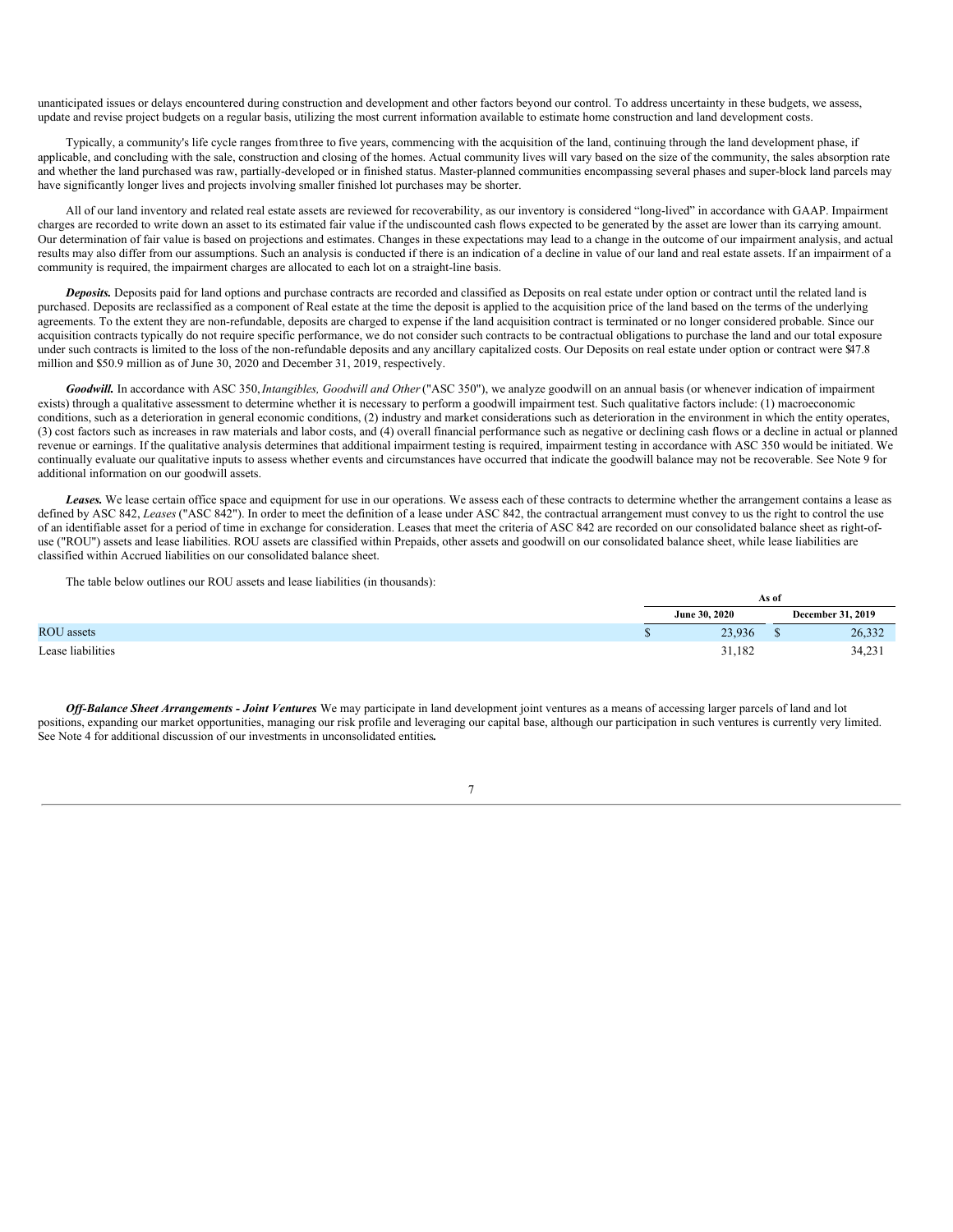unanticipated issues or delays encountered during construction and development and other factors beyond our control. To address uncertainty in these budgets, we assess, update and revise project budgets on a regular basis, utilizing the most current information available to estimate home construction and land development costs.

Typically, a community's life cycle ranges fromthree to five years, commencing with the acquisition of the land, continuing through the land development phase, if applicable, and concluding with the sale, construction and closing of the homes. Actual community lives will vary based on the size of the community, the sales absorption rate and whether the land purchased was raw, partially-developed or in finished status. Master-planned communities encompassing several phases and super-block land parcels may have significantly longer lives and projects involving smaller finished lot purchases may be shorter.

All of our land inventory and related real estate assets are reviewed for recoverability, as our inventory is considered "long-lived" in accordance with GAAP. Impairment charges are recorded to write down an asset to its estimated fair value if the undiscounted cash flows expected to be generated by the asset are lower than its carrying amount. Our determination of fair value is based on projections and estimates. Changes in these expectations may lead to a change in the outcome of our impairment analysis, and actual results may also differ from our assumptions. Such an analysis is conducted if there is an indication of a decline in value of our land and real estate assets. If an impairment of a community is required, the impairment charges are allocated to each lot on a straight-line basis.

*Deposits.* Deposits paid for land options and purchase contracts are recorded and classified as Deposits on real estate under option or contract until the related land is purchased. Deposits are reclassified as a component of Real estate at the time the deposit is applied to the acquisition price of the land based on the terms of the underlying agreements. To the extent they are non-refundable, deposits are charged to expense if the land acquisition contract is terminated or no longer considered probable. Since our acquisition contracts typically do not require specific performance, we do not consider such contracts to be contractual obligations to purchase the land and our total exposure under such contracts is limited to the loss of the non-refundable deposits and any ancillary capitalized costs. Our Deposits on real estate under option or contract were \$47.8 million and \$50.9 million as of June 30, 2020 and December 31, 2019, respectively.

*Goodwill.* In accordance with ASC 350,*Intangibles, Goodwill and Other*("ASC 350"), we analyze goodwill on an annual basis (or whenever indication of impairment exists) through a qualitative assessment to determine whether it is necessary to perform a goodwill impairment test. Such qualitative factors include: (1) macroeconomic conditions, such as a deterioration in general economic conditions, (2) industry and market considerations such as deterioration in the environment in which the entity operates, (3) cost factors such as increases in raw materials and labor costs, and (4) overall financial performance such as negative or declining cash flows or a decline in actual or planned revenue or earnings. If the qualitative analysis determines that additional impairment testing is required, impairment testing in accordance with ASC 350 would be initiated. We continually evaluate our qualitative inputs to assess whether events and circumstances have occurred that indicate the goodwill balance may not be recoverable. See Note 9 for additional information on our goodwill assets.

Leases. We lease certain office space and equipment for use in our operations. We assess each of these contracts to determine whether the arrangement contains a lease as defined by ASC 842, *Leases* ("ASC 842"). In order to meet the definition of a lease under ASC 842, the contractual arrangement must convey to us the right to control the use of an identifiable asset for a period of time in exchange for consideration. Leases that meet the criteria of ASC 842 are recorded on our consolidated balance sheet as right-ofuse ("ROU") assets and lease liabilities. ROU assets are classified within Prepaids, other assets and goodwill on our consolidated balance sheet, while lease liabilities are classified within Accrued liabilities on our consolidated balance sheet.

The table below outlines our ROU assets and lease liabilities (in thousands):

|                   | As of         |   |                   |  |  |
|-------------------|---------------|---|-------------------|--|--|
|                   | June 30, 2020 |   | December 31, 2019 |  |  |
| <b>ROU</b> assets | 23,936        | Φ | 26,332            |  |  |
| Lease liabilities | 31,182        |   | 34,231            |  |  |

*Of -Balance Sheet Arrangements - Joint Ventures*. We may participate in land development joint ventures as a means of accessing larger parcels of land and lot positions, expanding our market opportunities, managing our risk profile and leveraging our capital base, although our participation in such ventures is currently very limited. See Note 4 for additional discussion of our investments in unconsolidated entities*.*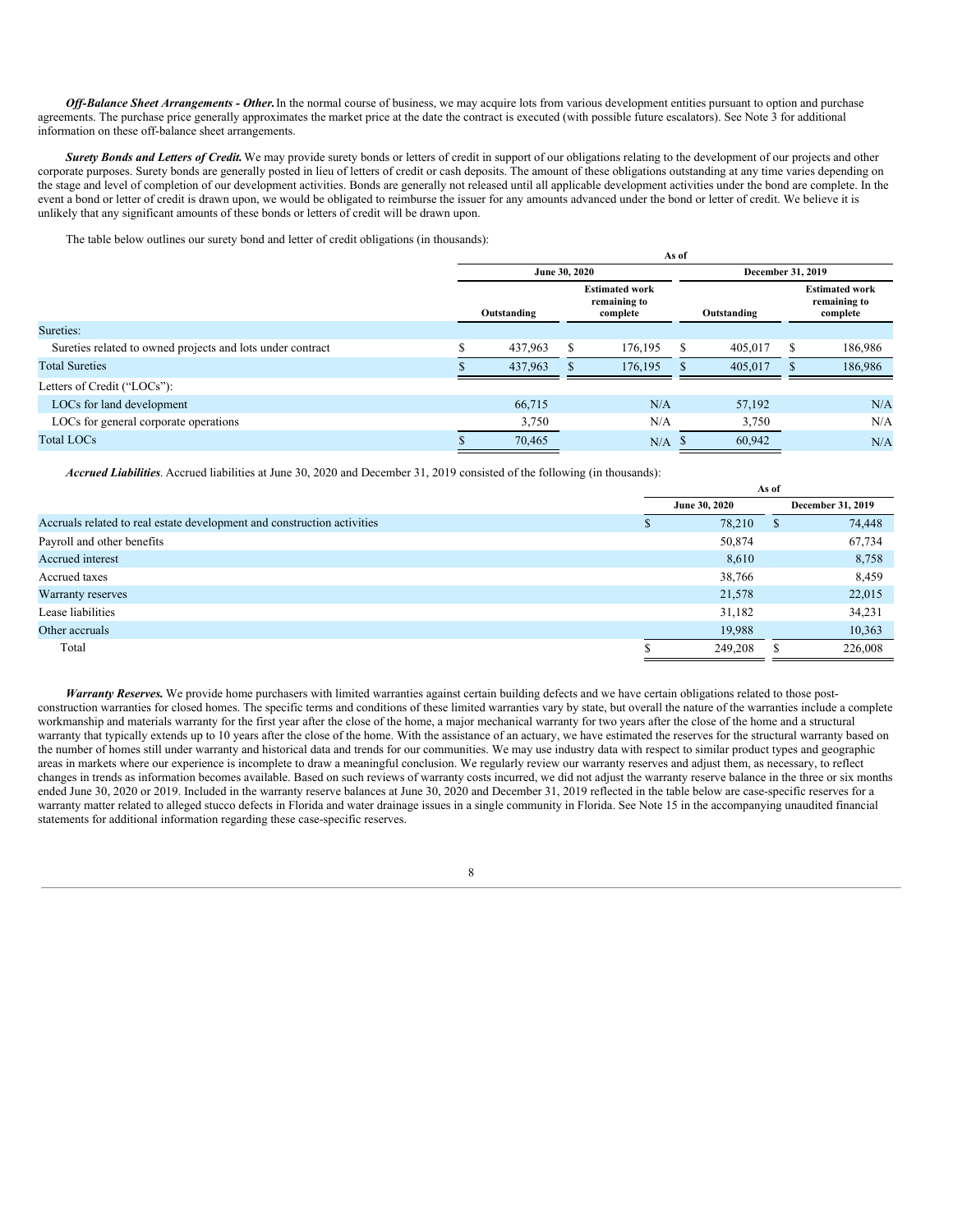Off-Balance Sheet Arrangements - Other. In the normal course of business, we may acquire lots from various development entities pursuant to option and purchase agreements. The purchase price generally approximates the market price at the date the contract is executed (with possible future escalators). See Note 3 for additional information on these off-balance sheet arrangements.

*Surety Bonds and Letters of Credit.*We may provide surety bonds or letters of credit in support of our obligations relating to the development of our projects and other corporate purposes. Surety bonds are generally posted in lieu of letters of credit or cash deposits. The amount of these obligations outstanding at any time varies depending on the stage and level of completion of our development activities. Bonds are generally not released until all applicable development activities under the bond are complete. In the event a bond or letter of credit is drawn upon, we would be obligated to reimburse the issuer for any amounts advanced under the bond or letter of credit. We believe it is unlikely that any significant amounts of these bonds or letters of credit will be drawn upon.

The table below outlines our surety bond and letter of credit obligations (in thousands):

|                                                            | As of |             |               |                                                   |                   |             |   |                                                   |  |  |
|------------------------------------------------------------|-------|-------------|---------------|---------------------------------------------------|-------------------|-------------|---|---------------------------------------------------|--|--|
|                                                            |       |             | June 30, 2020 |                                                   | December 31, 2019 |             |   |                                                   |  |  |
|                                                            |       | Outstanding |               | <b>Estimated work</b><br>remaining to<br>complete |                   | Outstanding |   | <b>Estimated work</b><br>remaining to<br>complete |  |  |
| Sureties:                                                  |       |             |               |                                                   |                   |             |   |                                                   |  |  |
| Sureties related to owned projects and lots under contract |       | 437,963     |               | 176,195                                           | S                 | 405,017     | S | 186,986                                           |  |  |
| <b>Total Sureties</b>                                      |       | 437,963     |               | 176,195                                           |                   | 405,017     | Ж | 186,986                                           |  |  |
| Letters of Credit ("LOCs"):                                |       |             |               |                                                   |                   |             |   |                                                   |  |  |
| LOCs for land development                                  |       | 66,715      |               | N/A                                               |                   | 57,192      |   | N/A                                               |  |  |
| LOCs for general corporate operations                      |       | 3,750       |               | N/A                                               |                   | 3,750       |   | N/A                                               |  |  |
| <b>Total LOCs</b>                                          |       | 70,465      |               | N/A                                               |                   | 60.942      |   | N/A                                               |  |  |

*Accrued Liabilities*. Accrued liabilities at June 30, 2020 and December 31, 2019 consisted of the following (in thousands):

|                                                                         | 73 U.         |         |              |                   |
|-------------------------------------------------------------------------|---------------|---------|--------------|-------------------|
|                                                                         | June 30, 2020 |         |              | December 31, 2019 |
| Accruals related to real estate development and construction activities |               | 78,210  | <sup>S</sup> | 74,448            |
| Payroll and other benefits                                              |               | 50,874  |              | 67,734            |
| Accrued interest                                                        |               | 8,610   |              | 8,758             |
| Accrued taxes                                                           |               | 38,766  |              | 8,459             |
| Warranty reserves                                                       |               | 21,578  |              | 22,015            |
| Lease liabilities                                                       |               | 31,182  |              | 34,231            |
| Other accruals                                                          |               | 19,988  |              | 10,363            |
| Total                                                                   |               | 249,208 |              | 226,008           |

**As of**

*Warranty Reserves.* We provide home purchasers with limited warranties against certain building defects and we have certain obligations related to those postconstruction warranties for closed homes. The specific terms and conditions of these limited warranties vary by state, but overall the nature of the warranties include a complete workmanship and materials warranty for the first year after the close of the home, a major mechanical warranty for two years after the close of the home and a structural warranty that typically extends up to 10 years after the close of the home. With the assistance of an actuary, we have estimated the reserves for the structural warranty based on the number of homes still under warranty and historical data and trends for our communities. We may use industry data with respect to similar product types and geographic areas in markets where our experience is incomplete to draw a meaningful conclusion. We regularly review our warranty reserves and adjust them, as necessary, to reflect changes in trends as information becomes available. Based on such reviews of warranty costs incurred, we did not adjust the warranty reserve balance in the three or six months ended June 30, 2020 or 2019. Included in the warranty reserve balances at June 30, 2020 and December 31, 2019 reflected in the table below are case-specific reserves for a warranty matter related to alleged stucco defects in Florida and water drainage issues in a single community in Florida. See Note 15 in the accompanying unaudited financial statements for additional information regarding these case-specific reserves.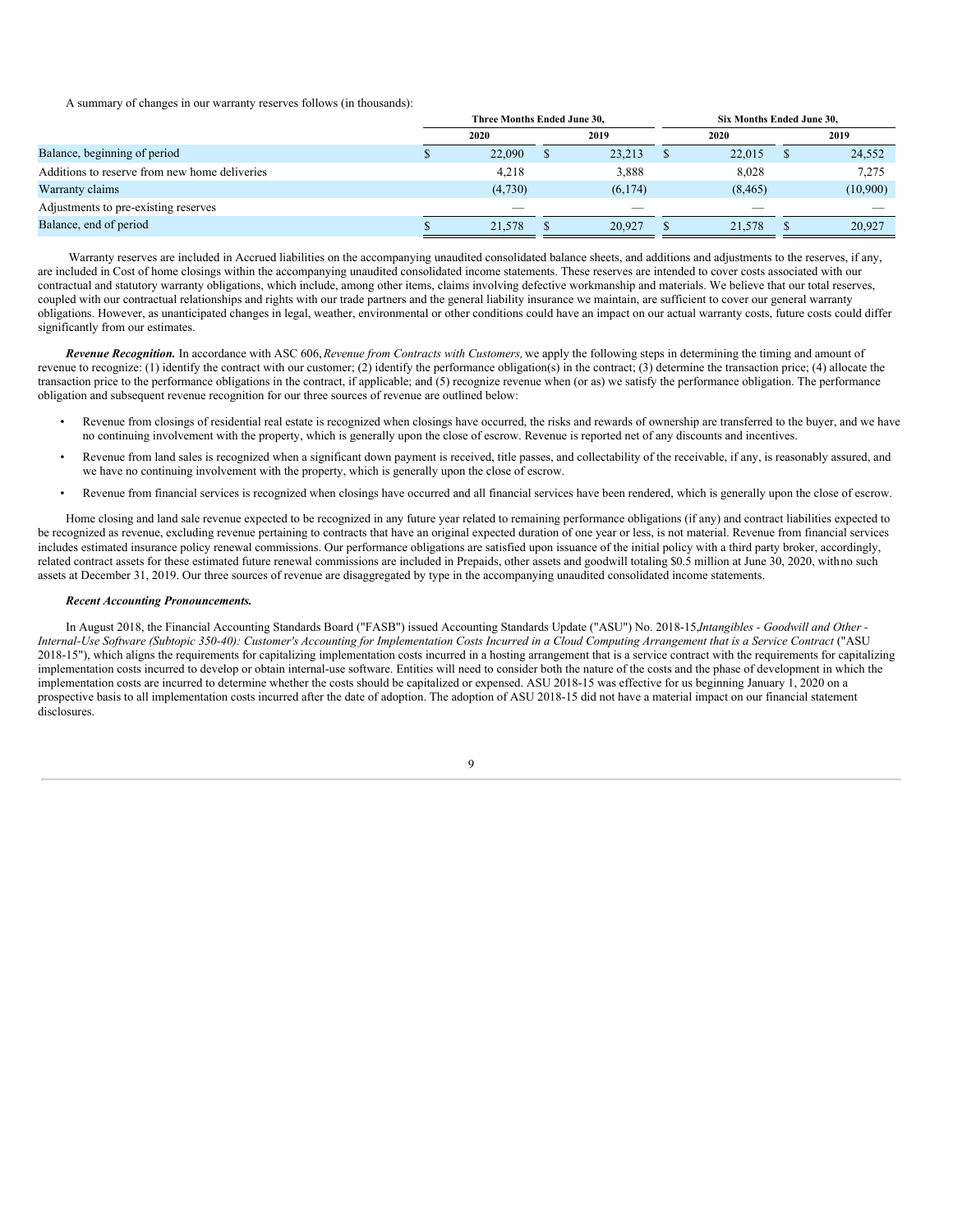A summary of changes in our warranty reserves follows (in thousands):

|                                               | Three Months Ended June 30. |         |  |                          | Six Months Ended June 30. |          |  |          |
|-----------------------------------------------|-----------------------------|---------|--|--------------------------|---------------------------|----------|--|----------|
|                                               |                             | 2020    |  | 2019                     |                           | 2020     |  | 2019     |
| Balance, beginning of period                  |                             | 22,090  |  | 23,213                   |                           | 22,015   |  | 24,552   |
| Additions to reserve from new home deliveries |                             | 4,218   |  | 3,888                    |                           | 8,028    |  | 7,275    |
| Warranty claims                               |                             | (4,730) |  | (6, 174)                 |                           | (8, 465) |  | (10,900) |
| Adjustments to pre-existing reserves          |                             | __      |  | $\overline{\phantom{a}}$ |                           | _        |  |          |
| Balance, end of period                        |                             | 21,578  |  | 20.927                   |                           | 21.578   |  | 20,927   |

Warranty reserves are included in Accrued liabilities on the accompanying unaudited consolidated balance sheets, and additions and adjustments to the reserves, if any, are included in Cost of home closings within the accompanying unaudited consolidated income statements. These reserves are intended to cover costs associated with our contractual and statutory warranty obligations, which include, among other items, claims involving defective workmanship and materials. We believe that our total reserves, coupled with our contractual relationships and rights with our trade partners and the general liability insurance we maintain, are sufficient to cover our general warranty obligations. However, as unanticipated changes in legal, weather, environmental or other conditions could have an impact on our actual warranty costs, future costs could differ significantly from our estimates.

*Revenue Recognition.* In accordance with ASC 606,*Revenue from Contracts with Customers,* we apply the following steps in determining the timing and amount of revenue to recognize: (1) identify the contract with our customer; (2) identify the performance obligation(s) in the contract; (3) determine the transaction price; (4) allocate the transaction price to the performance obligations in the contract, if applicable; and (5) recognize revenue when (or as) we satisfy the performance obligation. The performance obligation and subsequent revenue recognition for our three sources of revenue are outlined below:

- Revenue from closings of residential real estate is recognized when closings have occurred, the risks and rewards of ownership are transferred to the buyer, and we have no continuing involvement with the property, which is generally upon the close of escrow. Revenue is reported net of any discounts and incentives.
- Revenue from land sales is recognized when a significant down payment is received, title passes, and collectability of the receivable, if any, is reasonably assured, and we have no continuing involvement with the property, which is generally upon the close of escrow.
- Revenue from financial services is recognized when closings have occurred and all financial services have been rendered, which is generally upon the close of escrow.

Home closing and land sale revenue expected to be recognized in any future year related to remaining performance obligations (if any) and contract liabilities expected to be recognized as revenue, excluding revenue pertaining to contracts that have an original expected duration of one year or less, is not material. Revenue from financial services includes estimated insurance policy renewal commissions. Our performance obligations are satisfied upon issuance of the initial policy with a third party broker, accordingly, related contract assets for these estimated future renewal commissions are included in Prepaids, other assets and goodwill totaling \$0.5 million at June 30, 2020, withno such assets at December 31, 2019. Our three sources of revenue are disaggregated by type in the accompanying unaudited consolidated income statements.

### *Recent Accounting Pronouncements.*

In August 2018, the Financial Accounting Standards Board ("FASB") issued Accounting Standards Update ("ASU") No. 2018-15,*Intangibles - Goodwill and Other -* Internal-Use Software (Subtopic 350-40): Customer's Accounting for Implementation Costs Incurred in a Cloud Computing Arrangement that is a Service Contract ("ASU 2018-15"), which aligns the requirements for capitalizing implementation costs incurred in a hosting arrangement that is a service contract with the requirements for capitalizing implementation costs incurred to develop or obtain internal-use software. Entities will need to consider both the nature of the costs and the phase of development in which the implementation costs are incurred to determine whether the costs should be capitalized or expensed. ASU 2018-15 was effective for us beginning January 1, 2020 on a prospective basis to all implementation costs incurred after the date of adoption. The adoption of ASU 2018-15 did not have a material impact on our financial statement disclosures.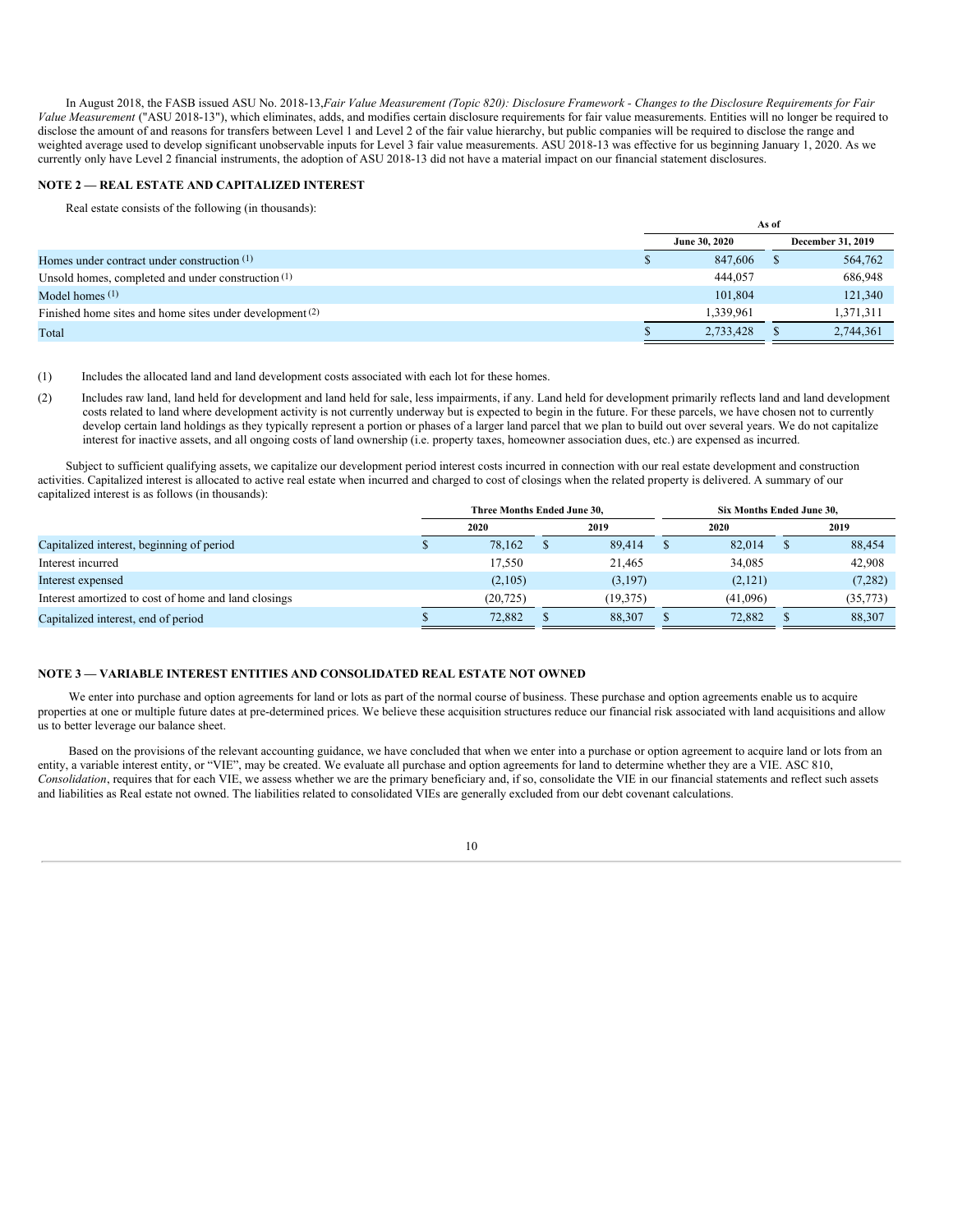In August 2018, the FASB issued ASU No. 2018-13, Fair Value Measurement (Topic 820): Disclosure Framework - Changes to the Disclosure Requirements for Fair *Value Measurement* ("ASU 2018-13"), which eliminates, adds, and modifies certain disclosure requirements for fair value measurements. Entities will no longer be required to disclose the amount of and reasons for transfers between Level 1 and Level 2 of the fair value hierarchy, but public companies will be required to disclose the range and weighted average used to develop significant unobservable inputs for Level 3 fair value measurements. ASU 2018-13 was effective for us beginning January 1, 2020. As we currently only have Level 2 financial instruments, the adoption of ASU 2018-13 did not have a material impact on our financial statement disclosures.

### **NOTE 2 — REAL ESTATE AND CAPITALIZED INTEREST**

Real estate consists of the following (in thousands):

|                                                            | As of |               |  |                   |  |
|------------------------------------------------------------|-------|---------------|--|-------------------|--|
|                                                            |       | June 30, 2020 |  | December 31, 2019 |  |
| Homes under contract under construction (1)                |       | 847,606       |  | 564,762           |  |
| Unsold homes, completed and under construction $(1)$       |       | 444,057       |  | 686,948           |  |
| Model homes $(1)$                                          |       | 101.804       |  | 121,340           |  |
| Finished home sites and home sites under development $(2)$ |       | 1.339.961     |  | 1,371,311         |  |
| Total                                                      |       | 2,733,428     |  | 2,744,361         |  |

(1) Includes the allocated land and land development costs associated with each lot for these homes.

(2) Includes raw land, land held for development and land held for sale, less impairments, if any. Land held for development primarily reflects land and land development costs related to land where development activity is not currently underway but is expected to begin in the future. For these parcels, we have chosen not to currently develop certain land holdings as they typically represent a portion or phases of a larger land parcel that we plan to build out over several years. We do not capitalize interest for inactive assets, and all ongoing costs of land ownership (i.e. property taxes, homeowner association dues, etc.) are expensed as incurred.

Subject to sufficient qualifying assets, we capitalize our development period interest costs incurred in connection with our real estate development and construction activities. Capitalized interest is allocated to active real estate when incurred and charged to cost of closings when the related property is delivered. A summary of our capitalized interest is as follows (in thousands):

|                                                      | Three Months Ended June 30. |           |  |          | Six Months Ended June 30. |          |  |          |
|------------------------------------------------------|-----------------------------|-----------|--|----------|---------------------------|----------|--|----------|
|                                                      |                             | 2020      |  | 2019     |                           | 2020     |  | 2019     |
| Capitalized interest, beginning of period            |                             | 78,162    |  | 89.414   |                           | 82,014   |  | 88,454   |
| Interest incurred                                    |                             | 17.550    |  | 21.465   |                           | 34,085   |  | 42,908   |
| Interest expensed                                    |                             | (2,105)   |  | (3,197)  |                           | (2,121)  |  | (7,282)  |
| Interest amortized to cost of home and land closings |                             | (20, 725) |  | (19,375) |                           | (41,096) |  | (35,773) |
| Capitalized interest, end of period                  |                             | 72,882    |  | 88,307   |                           | 72.882   |  | 88,307   |

### **NOTE 3 — VARIABLE INTEREST ENTITIES AND CONSOLIDATED REAL ESTATE NOT OWNED**

We enter into purchase and option agreements for land or lots as part of the normal course of business. These purchase and option agreements enable us to acquire properties at one or multiple future dates at pre-determined prices. We believe these acquisition structures reduce our financial risk associated with land acquisitions and allow us to better leverage our balance sheet.

Based on the provisions of the relevant accounting guidance, we have concluded that when we enter into a purchase or option agreement to acquire land or lots from an entity, a variable interest entity, or "VIE", may be created. We evaluate all purchase and option agreements for land to determine whether they are a VIE. ASC 810, *Consolidation*, requires that for each VIE, we assess whether we are the primary beneficiary and, if so, consolidate the VIE in our financial statements and reflect such assets and liabilities as Real estate not owned. The liabilities related to consolidated VIEs are generally excluded from our debt covenant calculations.

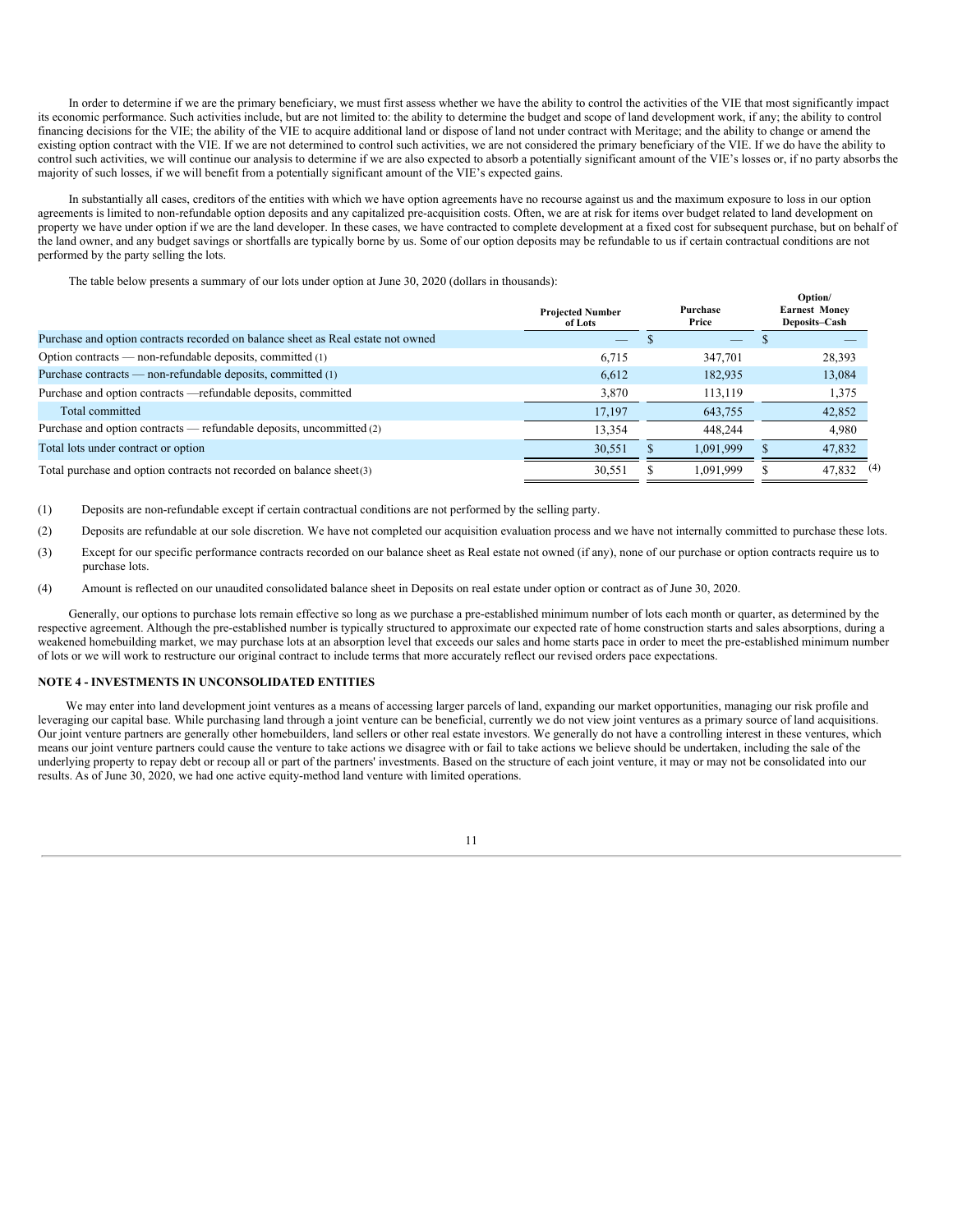In order to determine if we are the primary beneficiary, we must first assess whether we have the ability to control the activities of the VIE that most significantly impact its economic performance. Such activities include, but are not limited to: the ability to determine the budget and scope of land development work, if any; the ability to control financing decisions for the VIE; the ability of the VIE to acquire additional land or dispose of land not under contract with Meritage; and the ability to change or amend the existing option contract with the VIE. If we are not determined to control such activities, we are not considered the primary beneficiary of the VIE. If we do have the ability to control such activities, we will continue our analysis to determine if we are also expected to absorb a potentially significant amount of the VIE's losses or, if no party absorbs the majority of such losses, if we will benefit from a potentially significant amount of the VIE's expected gains.

In substantially all cases, creditors of the entities with which we have option agreements have no recourse against us and the maximum exposure to loss in our option agreements is limited to non-refundable option deposits and any capitalized pre-acquisition costs. Often, we are at risk for items over budget related to land development on property we have under option if we are the land developer. In these cases, we have contracted to complete development at a fixed cost for subsequent purchase, but on behalf of the land owner, and any budget savings or shortfalls are typically borne by us. Some of our option deposits may be refundable to us if certain contractual conditions are not performed by the party selling the lots.

The table below presents a summary of our lots under option at June 30, 2020 (dollars in thousands):

|                                                                                  | <b>Projected Number</b><br>of Lots | Purchase<br>Price | Option/<br><b>Earnest Money</b><br>Deposits-Cash |
|----------------------------------------------------------------------------------|------------------------------------|-------------------|--------------------------------------------------|
| Purchase and option contracts recorded on balance sheet as Real estate not owned |                                    |                   |                                                  |
| Option contracts — non-refundable deposits, committed (1)                        | 6,715                              | 347.701           | 28,393                                           |
| Purchase contracts — non-refundable deposits, committed (1)                      | 6,612                              | 182,935           | 13,084                                           |
| Purchase and option contracts — refundable deposits, committed                   | 3,870                              | 113,119           | 1,375                                            |
| Total committed                                                                  | 17,197                             | 643,755           | 42,852                                           |
| Purchase and option contracts — refundable deposits, uncommitted (2)             | 13.354                             | 448,244           | 4,980                                            |
| Total lots under contract or option                                              | 30.551                             | 1.091.999         | 47,832                                           |
| Total purchase and option contracts not recorded on balance sheet(3)             | 30,551                             | 1.091.999         | (4)<br>47.832                                    |

(1) Deposits are non-refundable except if certain contractual conditions are not performed by the selling party.

(2) Deposits are refundable at our sole discretion. We have not completed our acquisition evaluation process and we have not internally committed to purchase these lots.

(3) Except for our specific performance contracts recorded on our balance sheet as Real estate not owned (if any), none of our purchase or option contracts require us to purchase lots.

(4) Amount is reflected on our unaudited consolidated balance sheet in Deposits on real estate under option or contract as of June 30, 2020.

Generally, our options to purchase lots remain effective so long as we purchase a pre-established minimum number of lots each month or quarter, as determined by the respective agreement. Although the pre-established number is typically structured to approximate our expected rate of home construction starts and sales absorptions, during a weakened homebuilding market, we may purchase lots at an absorption level that exceeds our sales and home starts pace in order to meet the pre-established minimum number of lots or we will work to restructure our original contract to include terms that more accurately reflect our revised orders pace expectations.

### **NOTE 4 - INVESTMENTS IN UNCONSOLIDATED ENTITIES**

We may enter into land development joint ventures as a means of accessing larger parcels of land, expanding our market opportunities, managing our risk profile and leveraging our capital base. While purchasing land through a joint venture can be beneficial, currently we do not view joint ventures as a primary source of land acquisitions. Our joint venture partners are generally other homebuilders, land sellers or other real estate investors. We generally do not have a controlling interest in these ventures, which means our joint venture partners could cause the venture to take actions we disagree with or fail to take actions we believe should be undertaken, including the sale of the underlying property to repay debt or recoup all or part of the partners' investments. Based on the structure of each joint venture, it may or may not be consolidated into our results. As of June 30, 2020, we had one active equity-method land venture with limited operations.

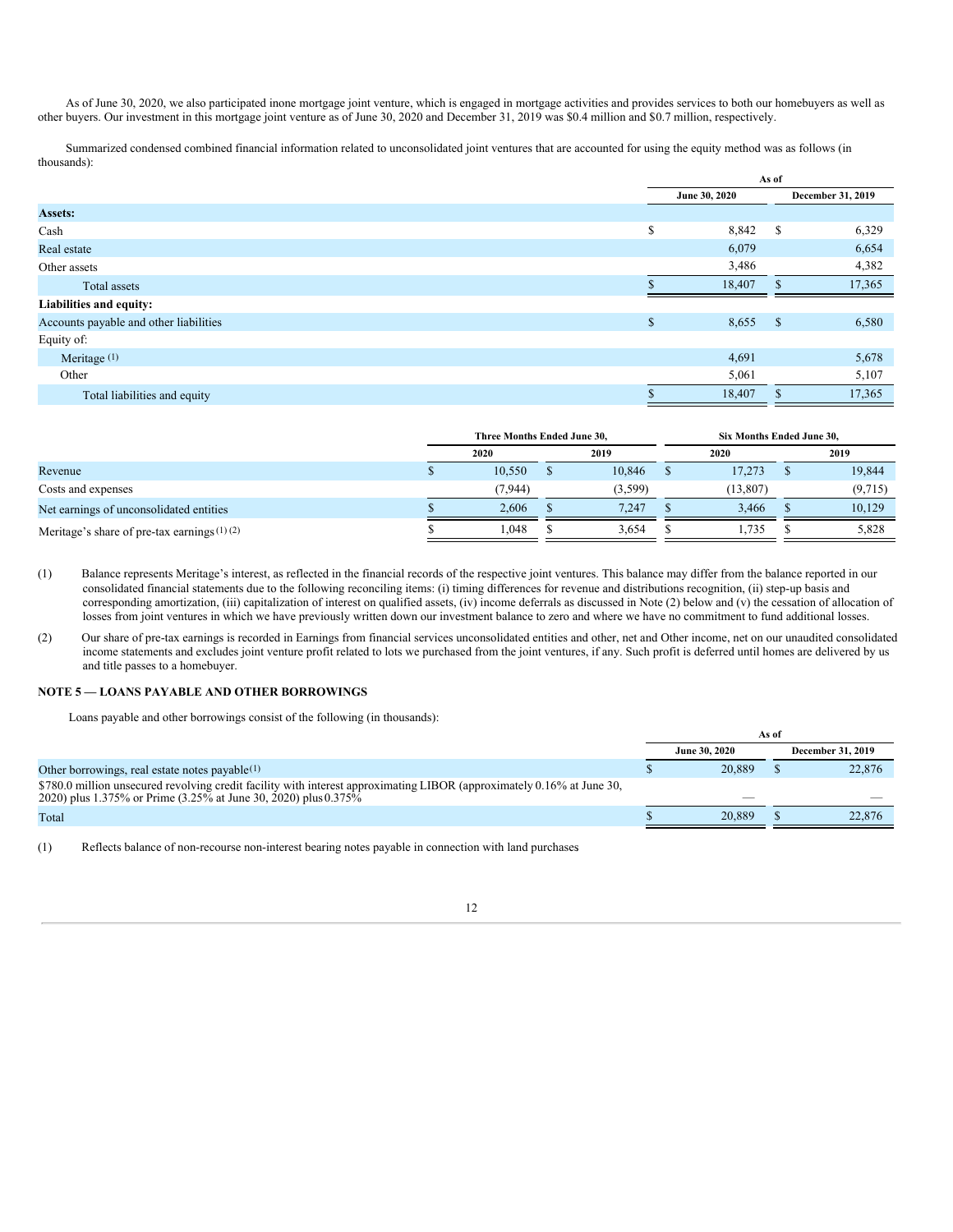As of June 30, 2020, we also participated inone mortgage joint venture, which is engaged in mortgage activities and provides services to both our homebuyers as well as other buyers. Our investment in this mortgage joint venture as of June 30, 2020 and December 31, 2019 was \$0.4 million and \$0.7 million, respectively.

Summarized condensed combined financial information related to unconsolidated joint ventures that are accounted for using the equity method was as follows (in thousands):

|                                        |             | As of         |              |                   |  |  |
|----------------------------------------|-------------|---------------|--------------|-------------------|--|--|
|                                        |             | June 30, 2020 |              | December 31, 2019 |  |  |
| <b>Assets:</b>                         |             |               |              |                   |  |  |
| Cash                                   | S           | 8,842         | -S           | 6,329             |  |  |
| Real estate                            |             | 6,079         |              | 6,654             |  |  |
| Other assets                           |             | 3,486         |              | 4,382             |  |  |
| Total assets                           |             | 18,407        | -8           | 17,365            |  |  |
| Liabilities and equity:                |             |               |              |                   |  |  |
| Accounts payable and other liabilities | $\mathbf S$ | 8,655         | - \$         | 6,580             |  |  |
| Equity of:                             |             |               |              |                   |  |  |
| Meritage $(1)$                         |             | 4,691         |              | 5,678             |  |  |
| Other                                  |             | 5,061         |              | 5,107             |  |  |
| Total liabilities and equity           |             | 18,407        | <sup>S</sup> | 17,365            |  |  |
|                                        |             |               |              |                   |  |  |

|                                               | Three Months Ended June 30. |         | Six Months Ended June 30. |          |      |         |  |  |
|-----------------------------------------------|-----------------------------|---------|---------------------------|----------|------|---------|--|--|
|                                               | 2020                        | 2019    |                           | 2020     | 2019 |         |  |  |
| Revenue                                       | 10.550                      | 10.846  |                           | 17.273   |      | 19,844  |  |  |
| Costs and expenses                            | (7.944)                     | (3,599) |                           | (13.807) |      | (9,715) |  |  |
| Net earnings of unconsolidated entities       | 2.606                       | 7.247   |                           | 3.466    |      | 10.129  |  |  |
| Meritage's share of pre-tax earnings $(1)(2)$ | .048                        | 3,654   |                           | 1.735    |      | 5,828   |  |  |

(1) Balance represents Meritage's interest, as reflected in the financial records of the respective joint ventures. This balance may differ from the balance reported in our consolidated financial statements due to the following reconciling items: (i) timing differences for revenue and distributions recognition, (ii) step-up basis and corresponding amortization, (iii) capitalization of interest on qualified assets, (iv) income deferrals as discussed in Note (2) below and (v) the cessation of allocation of losses from joint ventures in which we have previously written down our investment balance to zero and where we have no commitment to fund additional losses.

(2) Our share of pre-tax earnings is recorded in Earnings from financial services unconsolidated entities and other, net and Other income, net on our unaudited consolidated income statements and excludes joint venture profit related to lots we purchased from the joint ventures, if any. Such profit is deferred until homes are delivered by us and title passes to a homebuyer.

### **NOTE 5 — LOANS PAYABLE AND OTHER BORROWINGS**

Loans payable and other borrowings consist of the following (in thousands):

|                                                                                                                                                                                           | As of         |                   |        |  |  |  |
|-------------------------------------------------------------------------------------------------------------------------------------------------------------------------------------------|---------------|-------------------|--------|--|--|--|
|                                                                                                                                                                                           | June 30, 2020 | December 31, 2019 |        |  |  |  |
| Other borrowings, real estate notes payable $(1)$                                                                                                                                         | 20.889        |                   | 22,876 |  |  |  |
| \$780.0 million unsecured revolving credit facility with interest approximating LIBOR (approximately 0.16% at June 30,<br>2020) plus 1.375% or Prime (3.25% at June 30, 2020) plus 0.375% |               |                   |        |  |  |  |
| Total                                                                                                                                                                                     | 20.889        |                   | 22,876 |  |  |  |
|                                                                                                                                                                                           |               |                   |        |  |  |  |

(1) Reflects balance of non-recourse non-interest bearing notes payable in connection with land purchases.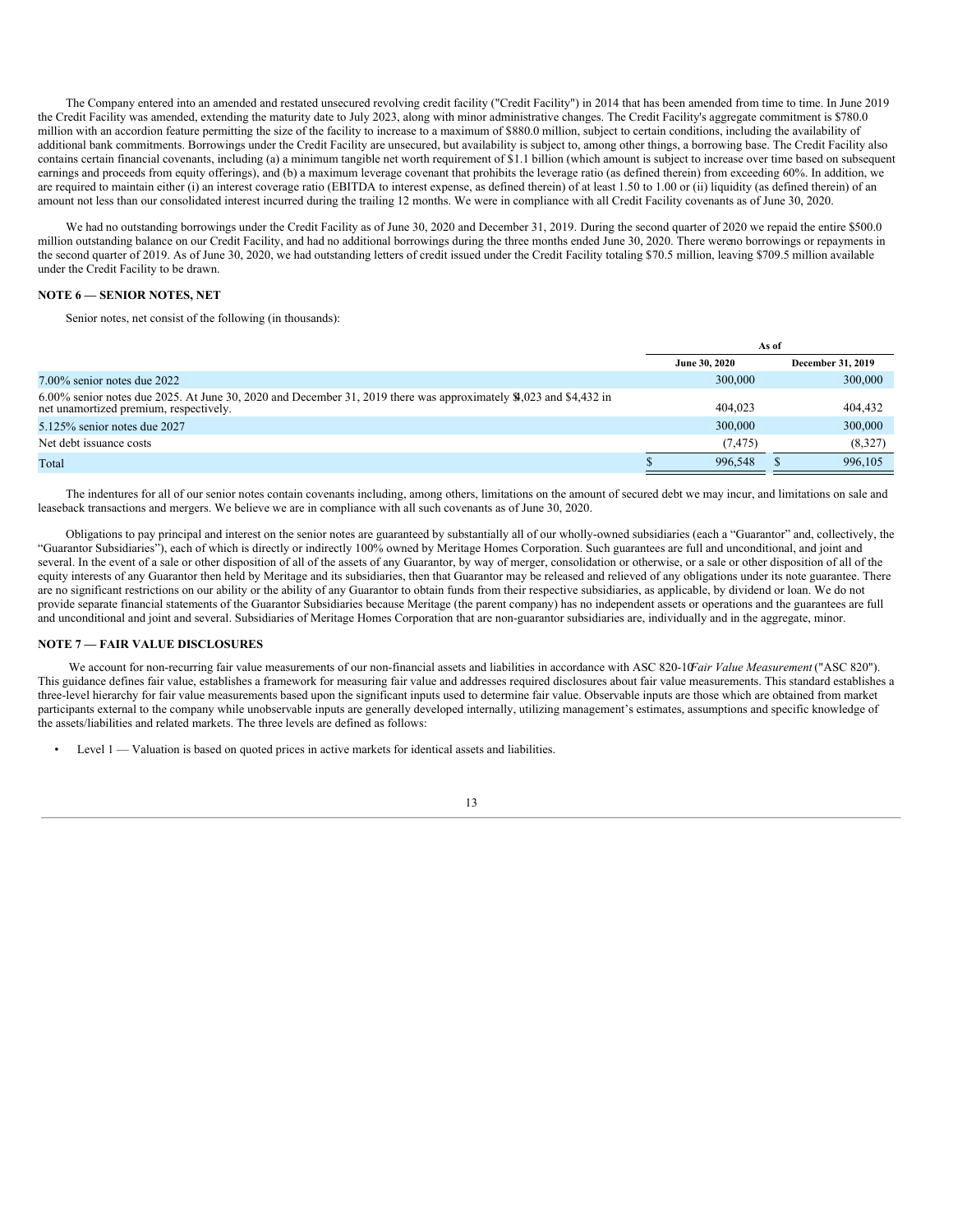The Company entered into an amended and restated unsecured revolving credit facility ("Credit Facility") in 2014 that has been amended from time to time. In June 2019 the Credit Facility was amended, extending the maturity date to July 2023, along with minor administrative changes. The Credit Facility's aggregate commitment is \$780.0 million with an accordion feature permitting the size of the facility to increase to a maximum of \$880.0 million, subject to certain conditions, including the availability of additional bank commitments. Borrowings under the Credit Facility are unsecured, but availability is subject to, among other things, a borrowing base. The Credit Facility also contains certain financial covenants, including (a) a minimum tangible net worth requirement of \$1.1 billion (which amount is subject to increase over time based on subsequent earnings and proceeds from equity offerings), and (b) a maximum leverage covenant that prohibits the leverage ratio (as defined therein) from exceeding 60%. In addition, we are required to maintain either (i) an interest coverage ratio (EBITDA to interest expense, as defined therein) of at least 1.50 to 1.00 or (ii) liquidity (as defined therein) of an amount not less than our consolidated interest incurred during the trailing 12 months. We were in compliance with all Credit Facility covenants as of June 30, 2020.

We had no outstanding borrowings under the Credit Facility as of June 30, 2020 and December 31, 2019. During the second quarter of 2020 we repaid the entire \$500.0 million outstanding balance on our Credit Facility, and had no additional borrowings during the three months ended June 30, 2020. There wereno borrowings or repayments in the second quarter of 2019. As of June 30, 2020, we had outstanding letters of credit issued under the Credit Facility totaling \$70.5 million, leaving \$709.5 million available under the Credit Facility to be drawn.

### **NOTE 6 — SENIOR NOTES, NET**

Senior notes, net consist of the following (in thousands):

|                                                                                                                                                                 |               | As of             |
|-----------------------------------------------------------------------------------------------------------------------------------------------------------------|---------------|-------------------|
|                                                                                                                                                                 | June 30, 2020 | December 31, 2019 |
| $7.00\%$ senior notes due 2022                                                                                                                                  | 300,000       | 300,000           |
| $6.00\%$ senior notes due 2025. At June 30, 2020 and December 31, 2019 there was approximately \$1,023 and \$4,432 in<br>net unamortized premium, respectively. | 404.023       | 404,432           |
| $5.125\%$ senior notes due 2027                                                                                                                                 | 300,000       | 300,000           |
| Net debt issuance costs                                                                                                                                         | (7, 475)      | (8,327)           |
| Total                                                                                                                                                           | 996,548       | 996,105           |

The indentures for all of our senior notes contain covenants including, among others, limitations on the amount of secured debt we may incur, and limitations on sale and leaseback transactions and mergers. We believe we are in compliance with all such covenants as of June 30, 2020.

Obligations to pay principal and interest on the senior notes are guaranteed by substantially all of our wholly-owned subsidiaries (each a "Guarantor" and, collectively, the "Guarantor Subsidiaries"), each of which is directly or indirectly 100% owned by Meritage Homes Corporation. Such guarantees are full and unconditional, and joint and several. In the event of a sale or other disposition of all of the assets of any Guarantor, by way of merger, consolidation or otherwise, or a sale or other disposition of all of the equity interests of any Guarantor then held by Meritage and its subsidiaries, then that Guarantor may be released and relieved of any obligations under its note guarantee. There are no significant restrictions on our ability of the ability of any Guarantor to obtain funds from their respective subsidiaries, as applicable, by dividend or loan. We do not provide separate financial statements of the Guarantor Subsidiaries because Meritage (the parent company) has no independent assets or operations and the guarantees are full and unconditional and joint and several. Subsidiaries of Meritage Homes Corporation that are non-guarantor subsidiaries are, individually and in the aggregate, minor.

### **NOTE 7 — FAIR VALUE DISCLOSURES**

We account for non-recurring fair value measurements of our non-financial assets and liabilities in accordance with ASC 820-10*Fair Value Measurement* ("ASC 820"). This guidance defines fair value, establishes a framework for measuring fair value and addresses required disclosures about fair value measurements. This standard establishes a three-level hierarchy for fair value measurements based upon the significant inputs used to determine fair value. Observable inputs are those which are obtained from market participants external to the company while unobservable inputs are generally developed internally, utilizing management's estimates, assumptions and specific knowledge of the assets/liabilities and related markets. The three levels are defined as follows:

• Level 1 — Valuation is based on quoted prices in active markets for identical assets and liabilities.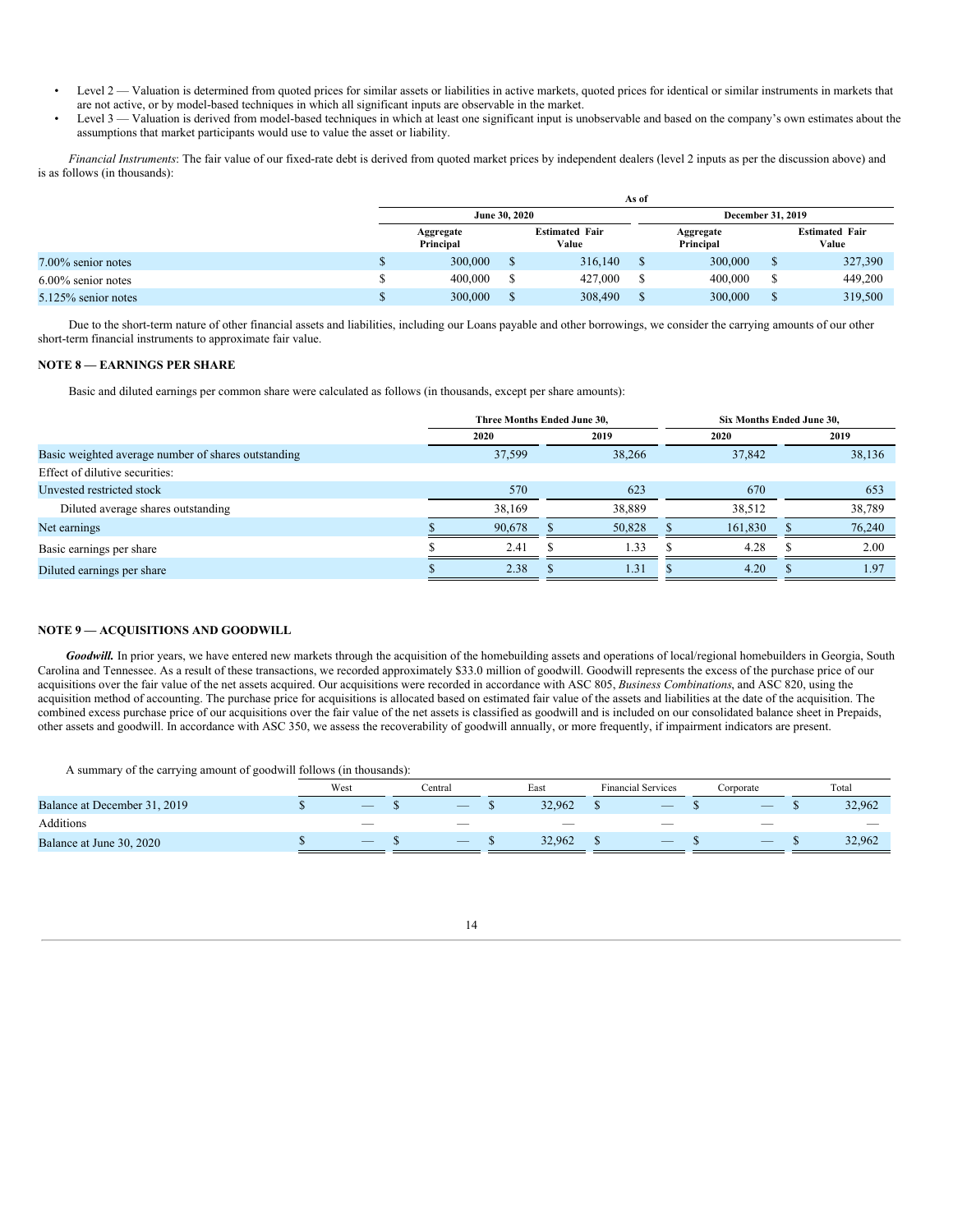- Level 2 Valuation is determined from quoted prices for similar assets or liabilities in active markets, quoted prices for identical or similar instruments in markets that are not active, or by model-based techniques in which all significant inputs are observable in the market.
- Level 3 Valuation is derived from model-based techniques in which at least one significant input is unobservable and based on the company's own estimates about the assumptions that market participants would use to value the asset or liability.

*Financial Instruments*: The fair value of our fixed-rate debt is derived from quoted market prices by independent dealers (level 2 inputs as per the discussion above) and is as follows (in thousands):

|                        | As of                  |   |                                |                   |                        |  |                                |  |  |  |  |
|------------------------|------------------------|---|--------------------------------|-------------------|------------------------|--|--------------------------------|--|--|--|--|
|                        | June 30, 2020          |   |                                | December 31, 2019 |                        |  |                                |  |  |  |  |
|                        | Aggregate<br>Principal |   | <b>Estimated Fair</b><br>Value |                   | Aggregate<br>Principal |  | <b>Estimated Fair</b><br>Value |  |  |  |  |
| $7.00\%$ senior notes  | 300,000                | S | 316,140                        |                   | 300,000                |  | 327,390                        |  |  |  |  |
| $6.00\%$ senior notes  | 400,000                | S | 427,000                        |                   | 400,000                |  | 449,200                        |  |  |  |  |
| $5.125\%$ senior notes | 300,000                |   | 308,490                        |                   | 300,000                |  | 319,500                        |  |  |  |  |

Due to the short-term nature of other financial assets and liabilities, including our Loans payable and other borrowings, we consider the carrying amounts of our other short-term financial instruments to approximate fair value.

### **NOTE 8 — EARNINGS PER SHARE**

Basic and diluted earnings per common share were calculated as follows (in thousands, except per share amounts):

|                                                     |        | Three Months Ended June 30. | Six Months Ended June 30, |         |  |        |  |
|-----------------------------------------------------|--------|-----------------------------|---------------------------|---------|--|--------|--|
|                                                     | 2020   | 2019                        | 2020                      |         |  | 2019   |  |
| Basic weighted average number of shares outstanding | 37,599 | 38,266                      |                           | 37,842  |  | 38,136 |  |
| Effect of dilutive securities:                      |        |                             |                           |         |  |        |  |
| Unvested restricted stock                           | 570    | 623                         |                           | 670     |  | 653    |  |
| Diluted average shares outstanding                  | 38,169 | 38,889                      |                           | 38,512  |  | 38,789 |  |
| Net earnings                                        | 90,678 | 50.828                      |                           | 161,830 |  | 76,240 |  |
| Basic earnings per share                            | 2.41   | 1.33                        |                           | 4.28    |  | 2.00   |  |
| Diluted earnings per share                          | 2.38   | 1.31                        |                           | 4.20    |  | 1.97   |  |

### **NOTE 9 — ACQUISITIONS AND GOODWILL**

Goodwill. In prior years, we have entered new markets through the acquisition of the homebuilding assets and operations of local/regional homebuilders in Georgia, South Carolina and Tennessee. As a result of these transactions, we recorded approximately \$33.0 million of goodwill. Goodwill represents the excess of the purchase price of our acquisitions over the fair value of the net assets acquired. Our acquisitions were recorded in accordance with ASC 805, *Business Combinations*, and ASC 820, using the acquisition method of accounting. The purchase price for acquisitions is allocated based on estimated fair value of the assets and liabilities at the date of the acquisition. The combined excess purchase price of our acquisitions over the fair value of the net assets is classified as goodwill and is included on our consolidated balance sheet in Prepaids, other assets and goodwill. In accordance with ASC 350, we assess the recoverability of goodwill annually, or more frequently, if impairment indicators are present.

|                              | West |                          | Central                  | East |        | <b>Financial Services</b> |                          | Corporate |                          | Total |        |
|------------------------------|------|--------------------------|--------------------------|------|--------|---------------------------|--------------------------|-----------|--------------------------|-------|--------|
| Balance at December 31, 2019 |      | $\overline{\phantom{a}}$ | $\overline{\phantom{a}}$ |      | 32.962 |                           | $-$                      |           | $\overline{\phantom{a}}$ |       | 32,962 |
| Additions                    |      | $\sim$                   | $\sim$                   |      | $\sim$ |                           | _                        |           | $\overline{\phantom{a}}$ |       | $-$    |
| Balance at June 30, 2020     |      | $\overline{\phantom{a}}$ | $\overline{\phantom{a}}$ |      | 32,962 |                           | $\overline{\phantom{a}}$ |           | $\overline{\phantom{a}}$ |       | 32,962 |

<sup>14</sup>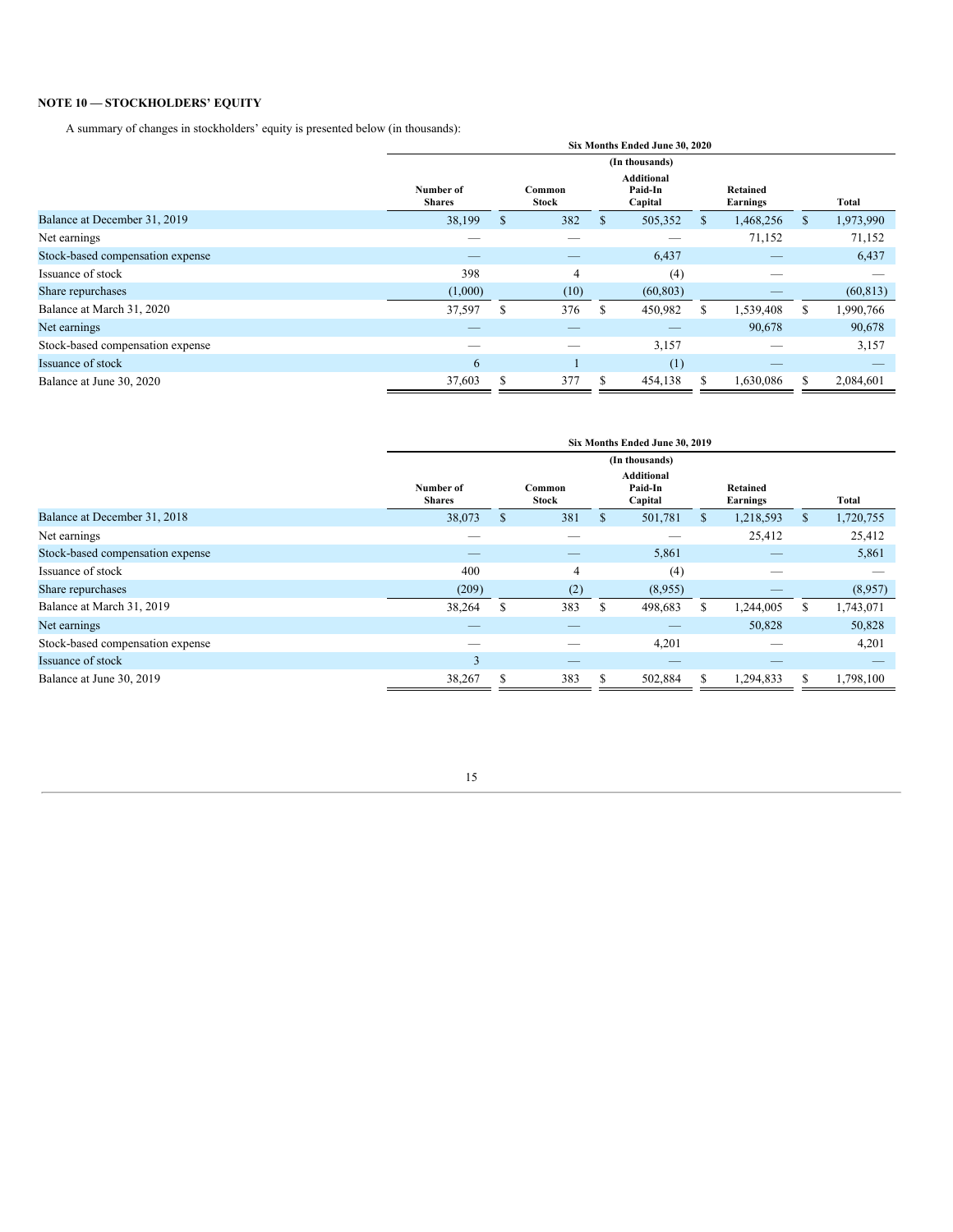## **NOTE 10 — STOCKHOLDERS' EQUITY**

A summary of changes in stockholders' equity is presented below (in thousands):

|                                  | Six Months Ended June 30, 2020 |   |                                                                                    |          |                |    |           |   |           |  |  |  |
|----------------------------------|--------------------------------|---|------------------------------------------------------------------------------------|----------|----------------|----|-----------|---|-----------|--|--|--|
|                                  |                                |   |                                                                                    |          | (In thousands) |    |           |   |           |  |  |  |
|                                  | Number of<br><b>Shares</b>     |   | <b>Additional</b><br>Paid-In<br>Retained<br>Common<br>Stock<br>Capital<br>Earnings |          |                |    | Total     |   |           |  |  |  |
| Balance at December 31, 2019     | 38,199                         | S | 382                                                                                | <b>S</b> | 505,352        | \$ | 1,468,256 | S | 1,973,990 |  |  |  |
| Net earnings                     |                                |   |                                                                                    |          |                |    | 71,152    |   | 71,152    |  |  |  |
| Stock-based compensation expense |                                |   |                                                                                    |          | 6,437          |    |           |   | 6,437     |  |  |  |
| Issuance of stock                | 398                            |   | 4                                                                                  |          | (4)            |    |           |   |           |  |  |  |
| Share repurchases                | (1,000)                        |   | (10)                                                                               |          | (60, 803)      |    |           |   | (60, 813) |  |  |  |
| Balance at March 31, 2020        | 37,597                         | S | 376                                                                                | <b>S</b> | 450,982        | \$ | 1,539,408 |   | 1,990,766 |  |  |  |
| Net earnings                     |                                |   |                                                                                    |          |                |    | 90,678    |   | 90,678    |  |  |  |
| Stock-based compensation expense |                                |   |                                                                                    |          | 3,157          |    |           |   | 3,157     |  |  |  |
| Issuance of stock                | 6                              |   |                                                                                    |          | (1)            |    |           |   |           |  |  |  |
| Balance at June 30, 2020         | 37,603                         | S | 377                                                                                | \$.      | 454,138        |    | 1,630,086 |   | 2,084,601 |  |  |  |

|                                  | Six Months Ended June 30, 2019 |                        |     |     |                                         |   |                      |    |           |  |  |  |
|----------------------------------|--------------------------------|------------------------|-----|-----|-----------------------------------------|---|----------------------|----|-----------|--|--|--|
|                                  |                                |                        |     |     | (In thousands)                          |   |                      |    |           |  |  |  |
|                                  | Number of<br><b>Shares</b>     | Common<br><b>Stock</b> |     |     | <b>Additional</b><br>Paid-In<br>Capital |   | Retained<br>Earnings |    | Total     |  |  |  |
| Balance at December 31, 2018     | 38,073                         | S                      | 381 | \$. | 501,781                                 | S | 1,218,593            | S. | 1,720,755 |  |  |  |
| Net earnings                     |                                |                        |     |     |                                         |   | 25,412               |    | 25,412    |  |  |  |
| Stock-based compensation expense |                                |                        |     |     | 5,861                                   |   |                      |    | 5,861     |  |  |  |
| Issuance of stock                | 400                            |                        | 4   |     | (4)                                     |   |                      |    |           |  |  |  |
| Share repurchases                | (209)                          |                        | (2) |     | (8,955)                                 |   |                      |    | (8,957)   |  |  |  |
| Balance at March 31, 2019        | 38,264                         |                        | 383 | \$. | 498,683                                 |   | 1,244,005            |    | 1,743,071 |  |  |  |
| Net earnings                     | _                              |                        |     |     |                                         |   | 50,828               |    | 50,828    |  |  |  |
| Stock-based compensation expense |                                |                        |     |     | 4,201                                   |   |                      |    | 4,201     |  |  |  |
| Issuance of stock                | 3                              |                        |     |     |                                         |   |                      |    |           |  |  |  |
| Balance at June 30, 2019         | 38,267                         | S                      | 383 | S   | 502,884                                 |   | 1,294,833            |    | 1,798,100 |  |  |  |

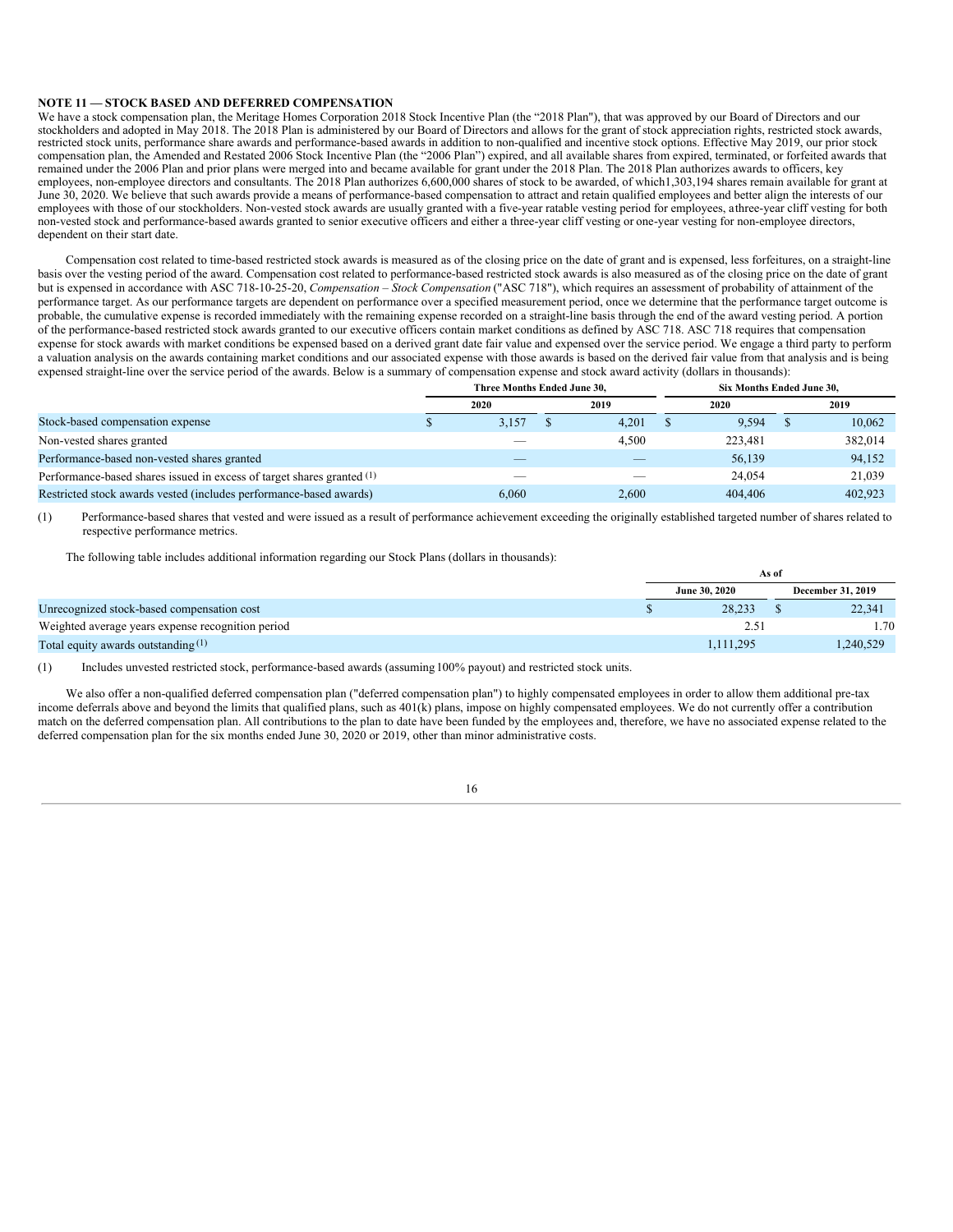#### **NOTE 11 — STOCK BASED AND DEFERRED COMPENSATION**

We have a stock compensation plan, the Meritage Homes Corporation 2018 Stock Incentive Plan (the "2018 Plan"), that was approved by our Board of Directors and our stockholders and adopted in May 2018. The 2018 Plan is administered by our Board of Directors and allows for the grant of stock appreciation rights, restricted stock awards, restricted stock units, performance share awards and performance-based awards in addition to non-qualified and incentive stock options. Effective May 2019, our prior stock compensation plan, the Amended and Restated 2006 Stock Incentive Plan (the "2006 Plan") expired, and all available shares from expired, terminated, or forfeited awards that remained under the 2006 Plan and prior plans were merged into and became available for grant under the 2018 Plan. The 2018 Plan authorizes awards to officers, key employees, non-employee directors and consultants. The 2018 Plan authorizes 6,600,000 shares of stock to be awarded, of which1,303,194 shares remain available for grant at June 30, 2020. We believe that such awards provide a means of performance-based compensation to attract and retain qualified employees and better align the interests of our employees with those of our stockholders. Non-vested stock awards are usually granted with a five-year ratable vesting period for employees, athree-year cliff vesting for both non-vested stock and performance-based awards granted to senior executive officers and either a three-year cliff vesting or one-year vesting for non-employee directors, dependent on their start date.

Compensation cost related to time-based restricted stock awards is measured as of the closing price on the date of grant and is expensed, less forfeitures, on a straight-line basis over the vesting period of the award. Compensation cost related to performance-based restricted stock awards is also measured as of the closing price on the date of grant but is expensed in accordance with ASC 718-10-25-20, *Compensation – Stock Compensation* ("ASC 718"), which requires an assessment of probability of attainment of the performance target. As our performance targets are dependent on performance over a specified measurement period, once we determine that the performance target outcome is probable, the cumulative expense is recorded immediately with the remaining expense recorded on a straight-line basis through the end of the award vesting period. A portion of the performance-based restricted stock awards granted to our executive officers contain market conditions as defined by ASC 718. ASC 718 requires that compensation expense for stock awards with market conditions be expensed based on a derived grant date fair value and expensed over the service period. We engage a third party to perform a valuation analysis on the awards containing market conditions and our associated expense with those awards is based on the derived fair value from that analysis and is being expensed straight-line over the service period of the awards. Below is a summary of compensation expense and stock award activity (dollars in thousands):

|                                                                        | Three Months Ended June 30. |       |  |                          |  | Six Months Ended June 30. |  |         |  |  |
|------------------------------------------------------------------------|-----------------------------|-------|--|--------------------------|--|---------------------------|--|---------|--|--|
|                                                                        |                             | 2020  |  | 2019                     |  | 2020                      |  | 2019    |  |  |
| Stock-based compensation expense                                       |                             | 3.157 |  | 4.201                    |  | 9,594                     |  | 10.062  |  |  |
| Non-vested shares granted                                              |                             |       |  | 4.500                    |  | 223.481                   |  | 382,014 |  |  |
| Performance-based non-vested shares granted                            |                             | _     |  | $\overline{\phantom{a}}$ |  | 56.139                    |  | 94,152  |  |  |
| Performance-based shares issued in excess of target shares granted (1) |                             | $-$   |  | _                        |  | 24.054                    |  | 21,039  |  |  |
| Restricted stock awards vested (includes performance-based awards)     |                             | 6,060 |  | 2,600                    |  | 404,406                   |  | 402.923 |  |  |

(1) Performance-based shares that vested and were issued as a result of performance achievement exceeding the originally established targeted number of shares related to respective performance metrics.

The following table includes additional information regarding our Stock Plans (dollars in thousands):

|                                                   |                      | As of |                          |
|---------------------------------------------------|----------------------|-------|--------------------------|
|                                                   | <b>June 30, 2020</b> |       | <b>December 31, 2019</b> |
| Unrecognized stock-based compensation cost        | 28.233               |       | 22.341                   |
| Weighted average years expense recognition period | $2.5^{\circ}$        |       | 1.70                     |
| Total equity awards outstanding $(1)$             | 1.111.295            |       | 1,240,529                |

(1) Includes unvested restricted stock, performance-based awards (assuming100% payout) and restricted stock units.

We also offer a non-qualified deferred compensation plan ("deferred compensation plan") to highly compensated employees in order to allow them additional pre-tax income deferrals above and beyond the limits that qualified plans, such as 401(k) plans, impose on highly compensated employees. We do not currently offer a contribution match on the deferred compensation plan. All contributions to the plan to date have been funded by the employees and, therefore, we have no associated expense related to the deferred compensation plan for the six months ended June 30, 2020 or 2019, other than minor administrative costs.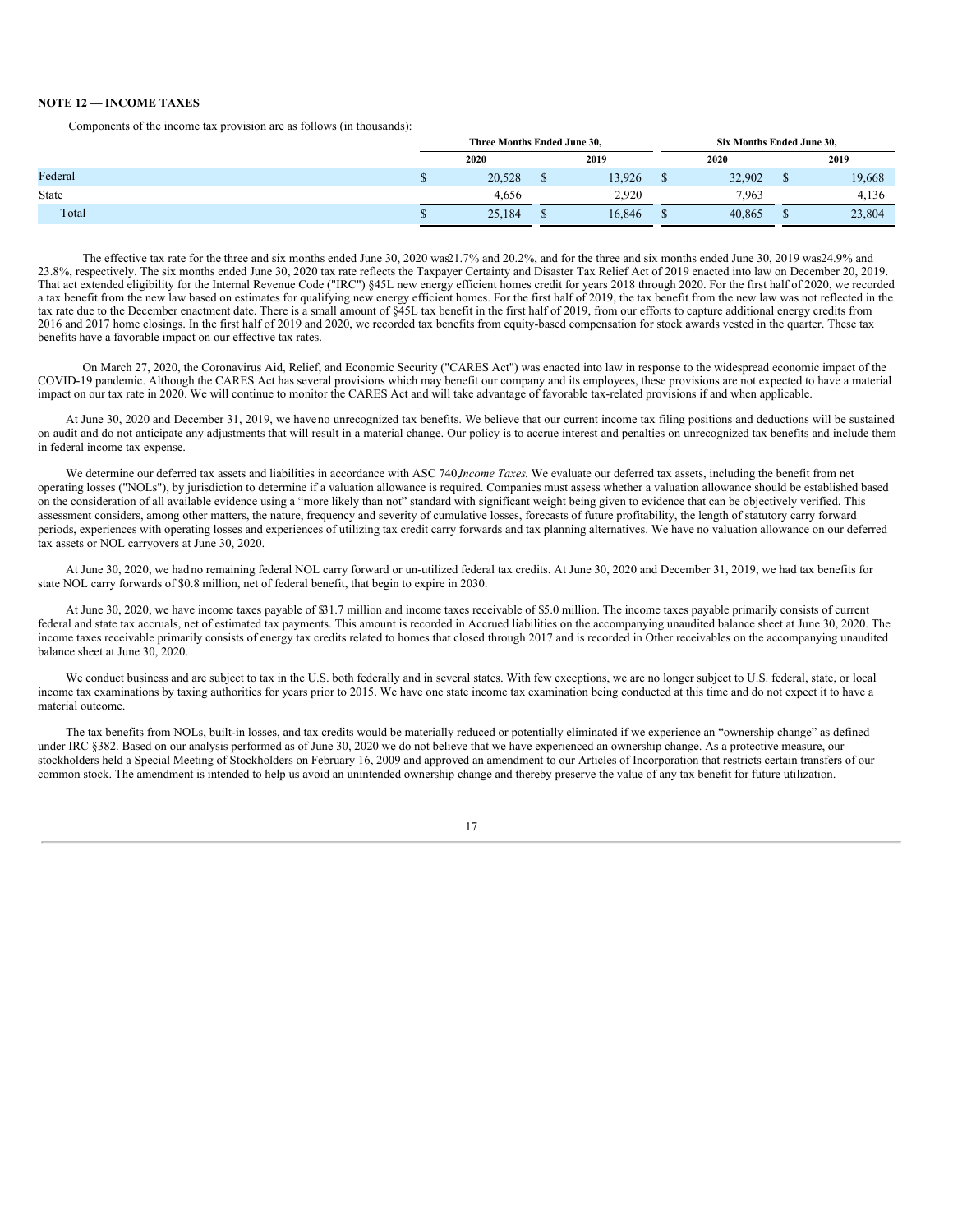### **NOTE 12 — INCOME TAXES**

Components of the income tax provision are as follows (in thousands):

|              | Three Months Ended June 30, |        |      | Six Months Ended June 30, |  |        |  |  |
|--------------|-----------------------------|--------|------|---------------------------|--|--------|--|--|
|              | 2020                        | 2019   | 2020 |                           |  | 2019   |  |  |
| Federal      | 20,528                      | 13.926 |      | 32,902                    |  | 19,668 |  |  |
| <b>State</b> | 4.656                       | 2.920  |      | 7,963                     |  | 4.136  |  |  |
| Total        | 25,184                      | 16.846 |      | 40,865                    |  | 23,804 |  |  |

The effective tax rate for the three and six months ended June 30, 2020 was21.7% and 20.2%, and for the three and six months ended June 30, 2019 was24.9% and 23.8%, respectively. The six months ended June 30, 2020 tax rate reflects the Taxpayer Certainty and Disaster Tax Relief Act of 2019 enacted into law on December 20, 2019. That act extended eligibility for the Internal Revenue Code ("IRC") §45L new energy efficient homes credit for years 2018 through 2020. For the first half of 2020, we recorded a tax benefit from the new law based on estimates for qualifying new energy efficient homes. For the first half of 2019, the tax benefit from the new law was not reflected in the tax rate due to the December enactment date. There is a small amount of §45L tax benefit in the first half of 2019, from our efforts to capture additional energy credits from 2016 and 2017 home closings. In the first half of 2019 and 2020, we recorded tax benefits from equity-based compensation for stock awards vested in the quarter. These tax benefits have a favorable impact on our effective tax rates.

On March 27, 2020, the Coronavirus Aid, Relief, and Economic Security ("CARES Act") was enacted into law in response to the widespread economic impact of the COVID-19 pandemic. Although the CARES Act has several provisions which may benefit our company and its employees, these provisions are not expected to have a material impact on our tax rate in 2020. We will continue to monitor the CARES Act and will take advantage of favorable tax-related provisions if and when applicable.

At June 30, 2020 and December 31, 2019, we haveno unrecognized tax benefits. We believe that our current income tax filing positions and deductions will be sustained on audit and do not anticipate any adjustments that will result in a material change. Our policy is to accrue interest and penalties on unrecognized tax benefits and include them in federal income tax expense.

We determine our deferred tax assets and liabilities in accordance with ASC 740,*Income Taxes*. We evaluate our deferred tax assets, including the benefit from net operating losses ("NOLs"), by jurisdiction to determine if a valuation allowance is required. Companies must assess whether a valuation allowance should be established based on the consideration of all available evidence using a "more likely than not" standard with significant weight being given to evidence that can be objectively verified. This assessment considers, among other matters, the nature, frequency and severity of cumulative losses, forecasts of future profitability, the length of statutory carry forward periods, experiences with operating losses and experiences of utilizing tax credit carry forwards and tax planning alternatives. We have no valuation allowance on our deferred tax assets or NOL carryovers at June 30, 2020.

At June 30, 2020, we hadno remaining federal NOL carry forward or un-utilized federal tax credits. At June 30, 2020 and December 31, 2019, we had tax benefits for state NOL carry forwards of \$0.8 million, net of federal benefit, that begin to expire in 2030.

At June 30, 2020, we have income taxes payable of \$31.7 million and income taxes receivable of \$5.0 million. The income taxes payable primarily consists of current federal and state tax accruals, net of estimated tax payments. This amount is recorded in Accrued liabilities on the accompanying unaudited balance sheet at June 30, 2020. The income taxes receivable primarily consists of energy tax credits related to homes that closed through 2017 and is recorded in Other receivables on the accompanying unaudited balance sheet at June 30, 2020.

We conduct business and are subject to tax in the U.S. both federally and in several states. With few exceptions, we are no longer subject to U.S. federal, state, or local income tax examinations by taxing authorities for years prior to 2015. We have one state income tax examination being conducted at this time and do not expect it to have a material outcome.

The tax benefits from NOLs, built-in losses, and tax credits would be materially reduced or potentially eliminated if we experience an "ownership change" as defined under IRC §382. Based on our analysis performed as of June 30, 2020 we do not believe that we have experienced an ownership change. As a protective measure, our stockholders held a Special Meeting of Stockholders on February 16, 2009 and approved an amendment to our Articles of Incorporation that restricts certain transfers of our common stock. The amendment is intended to help us avoid an unintended ownership change and thereby preserve the value of any tax benefit for future utilization.

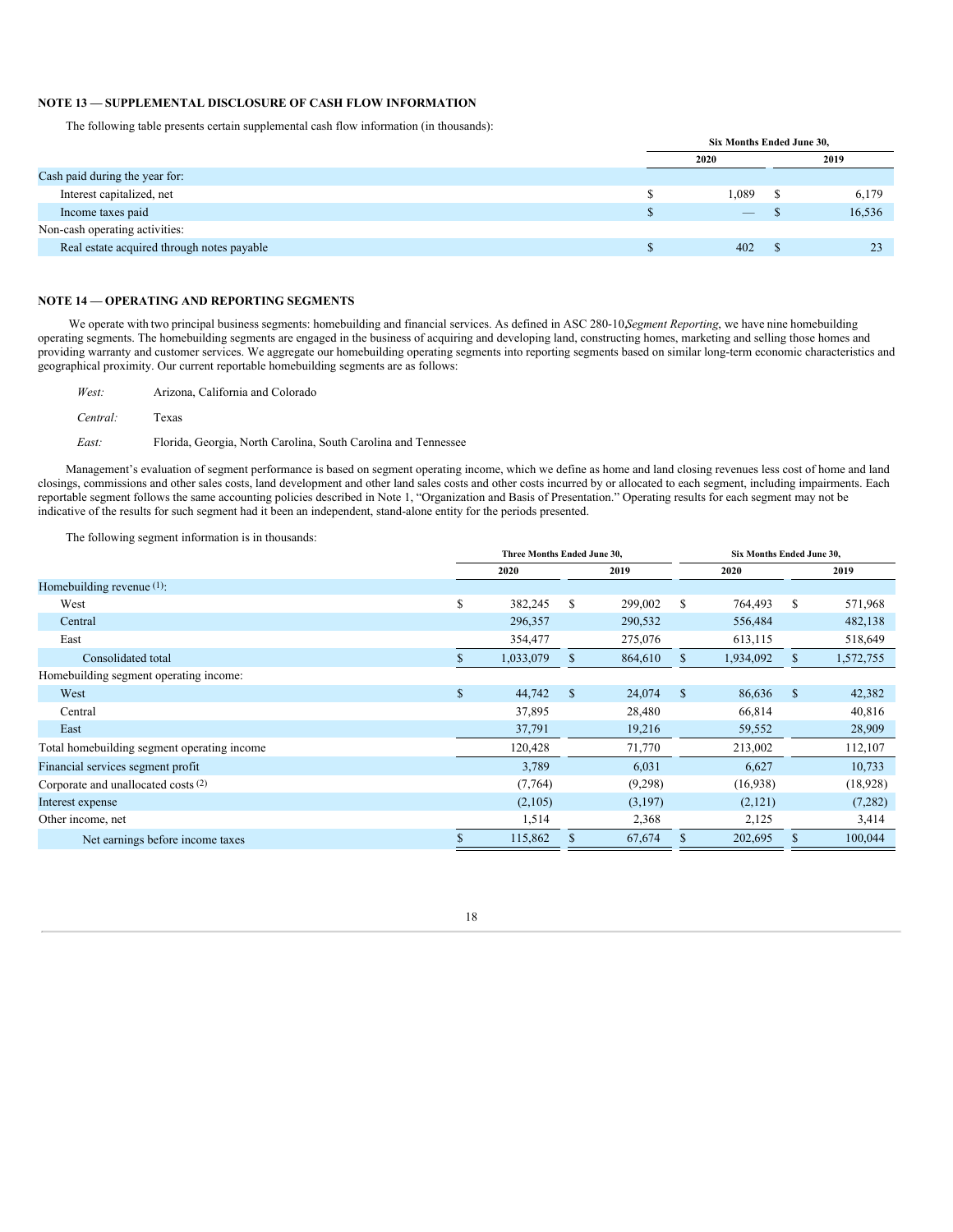### **NOTE 13 — SUPPLEMENTAL DISCLOSURE OF CASH FLOW INFORMATION**

The following table presents certain supplemental cash flow information (in thousands):

|                                            | Six Months Ended June 30, |  |        |  |  |  |
|--------------------------------------------|---------------------------|--|--------|--|--|--|
|                                            | 2020                      |  | 2019   |  |  |  |
| Cash paid during the year for:             |                           |  |        |  |  |  |
| Interest capitalized, net                  | 1,089                     |  | 6,179  |  |  |  |
| Income taxes paid                          | $\qquad \qquad - \qquad$  |  | 16,536 |  |  |  |
| Non-cash operating activities:             |                           |  |        |  |  |  |
| Real estate acquired through notes payable | 402                       |  | 23     |  |  |  |
|                                            |                           |  |        |  |  |  |

### **NOTE 14 — OPERATING AND REPORTING SEGMENTS**

We operate with two principal business segments: homebuilding and financial services. As defined in ASC 280-10,*Segment Reporting*, we have nine homebuilding operating segments. The homebuilding segments are engaged in the business of acquiring and developing land, constructing homes, marketing and selling those homes and providing warranty and customer services. We aggregate our homebuilding operating segments into reporting segments based on similar long-term economic characteristics and geographical proximity. Our current reportable homebuilding segments are as follows:

| West:    | Arizona, California and Colorado                               |
|----------|----------------------------------------------------------------|
| Central: | Texas                                                          |
| East:    | Florida, Georgia, North Carolina, South Carolina and Tennessee |

Management's evaluation of segment performance is based on segment operating income, which we define as home and land closing revenues less cost of home and land closings, commissions and other sales costs, land development and other land sales costs and other costs incurred by or allocated to each segment, including impairments. Each reportable segment follows the same accounting policies described in Note 1, "Organization and Basis of Presentation." Operating results for each segment may not be indicative of the results for such segment had it been an independent, stand-alone entity for the periods presented.

The following segment information is in thousands:

|                                             |              | Three Months Ended June 30, |               |         | Six Months Ended June 30, |           |              |           |
|---------------------------------------------|--------------|-----------------------------|---------------|---------|---------------------------|-----------|--------------|-----------|
|                                             |              | 2020                        |               | 2019    |                           | 2020      |              | 2019      |
| Homebuilding revenue $(1)$ :                |              |                             |               |         |                           |           |              |           |
| West                                        | \$           | 382,245                     | S             | 299,002 | S.                        | 764,493   | S            | 571,968   |
| Central                                     |              | 296,357                     |               | 290,532 |                           | 556,484   |              | 482,138   |
| East                                        |              | 354,477                     |               | 275,076 |                           | 613,115   |              | 518,649   |
| Consolidated total                          | S.           | 1,033,079                   | S             | 864,610 | $\mathbb{S}$              | 1,934,092 | $\mathbb{S}$ | 1,572,755 |
| Homebuilding segment operating income:      |              |                             |               |         |                           |           |              |           |
| West                                        | $\mathbb{S}$ | 44,742                      | <sup>\$</sup> | 24,074  | $\mathbb{S}$              | 86,636    | $\mathbb{S}$ | 42,382    |
| Central                                     |              | 37,895                      |               | 28,480  |                           | 66,814    |              | 40,816    |
| East                                        |              | 37,791                      |               | 19,216  |                           | 59,552    |              | 28,909    |
| Total homebuilding segment operating income |              | 120,428                     |               | 71,770  |                           | 213,002   |              | 112,107   |
| Financial services segment profit           |              | 3,789                       |               | 6,031   |                           | 6,627     |              | 10,733    |
| Corporate and unallocated costs (2)         |              | (7,764)                     |               | (9,298) |                           | (16,938)  |              | (18,928)  |
| Interest expense                            |              | (2,105)                     |               | (3,197) |                           | (2,121)   |              | (7,282)   |
| Other income, net                           |              | 1,514                       |               | 2,368   |                           | 2,125     |              | 3,414     |
| Net earnings before income taxes            |              | 115,862                     |               | 67,674  |                           | 202,695   |              | 100,044   |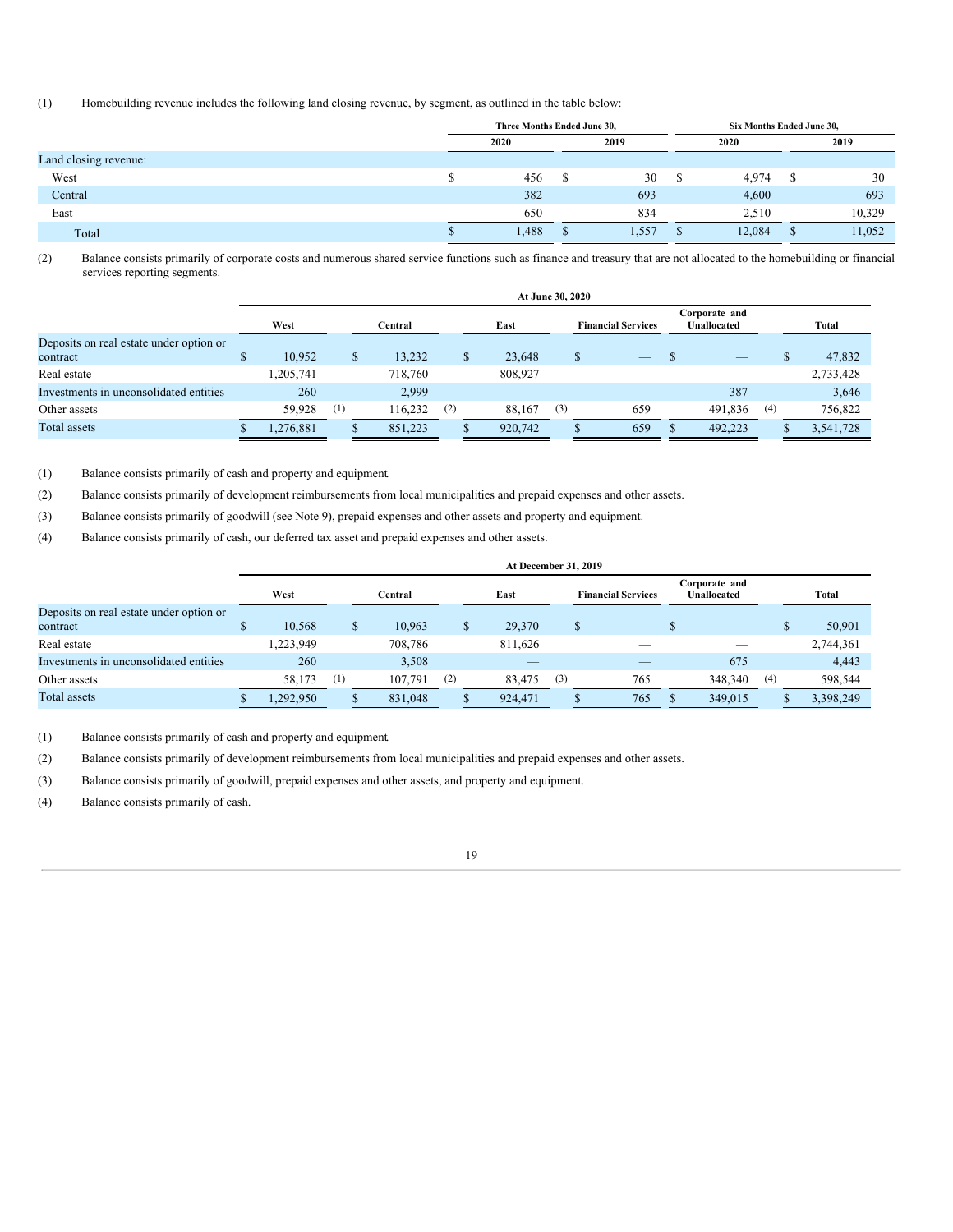### (1) Homebuilding revenue includes the following land closing revenue, by segment, as outlined in the table below:

|                       | Three Months Ended June 30, |       |   |        | Six Months Ended June 30. |        |  |
|-----------------------|-----------------------------|-------|---|--------|---------------------------|--------|--|
|                       | 2020                        | 2019  |   | 2020   |                           | 2019   |  |
| Land closing revenue: |                             |       |   |        |                           |        |  |
| West                  | 456                         | 30    | Φ | 4,974  |                           | 30     |  |
| Central               | 382                         | 693   |   | 4,600  |                           | 693    |  |
| East                  | 650                         | 834   |   | 2,510  |                           | 10,329 |  |
| Total                 | 1,488                       | 1,557 | D | 12,084 |                           | 11,052 |  |

(2) Balance consists primarily of corporate costs and numerous shared service functions such as finance and treasury that are not allocated to the homebuilding or financial services reporting segments.

|                                                     |   | At June 30, 2020 |     |    |         |     |              |         |     |   |                                 |  |                                     |     |  |           |
|-----------------------------------------------------|---|------------------|-----|----|---------|-----|--------------|---------|-----|---|---------------------------------|--|-------------------------------------|-----|--|-----------|
|                                                     |   | West             |     |    | Central |     | East         |         |     |   | <b>Financial Services</b>       |  | Corporate and<br><b>Unallocated</b> |     |  | Total     |
| Deposits on real estate under option or<br>contract | Φ | 10.952           |     | \$ | 13.232  |     | $\mathbb{S}$ | 23.648  |     | S | $\hspace{0.1mm}-\hspace{0.1mm}$ |  | $\overbrace{\hspace{25mm}}^{}$      |     |  | 47,832    |
| Real estate                                         |   | 1,205,741        |     |    | 718,760 |     |              | 808,927 |     |   |                                 |  |                                     |     |  | 2,733,428 |
| Investments in unconsolidated entities              |   | 260              |     |    | 2,999   |     |              | _       |     |   | _                               |  | 387                                 |     |  | 3,646     |
| Other assets                                        |   | 59.928           | (1) |    | 116.232 | (2) |              | 88.167  | (3) |   | 659                             |  | 491.836                             | (4) |  | 756,822   |
| Total assets                                        |   | 1,276,881        |     |    | 851,223 |     |              | 920,742 |     |   | 659                             |  | 492,223                             |     |  | 3,541,728 |

(1) Balance consists primarily of cash and property and equipment.

(2) Balance consists primarily of development reimbursements from local municipalities and prepaid expenses and other assets.

(3) Balance consists primarily of goodwill (see Note 9), prepaid expenses and other assets and property and equipment.

(4) Balance consists primarily of cash, our deferred tax asset and prepaid expenses and other assets.

|                                         |   | <b>At December 31, 2019</b> |     |    |         |     |      |                          |     |                           |     |  |                                     |     |  |           |
|-----------------------------------------|---|-----------------------------|-----|----|---------|-----|------|--------------------------|-----|---------------------------|-----|--|-------------------------------------|-----|--|-----------|
|                                         |   | West                        |     |    | Central |     | East |                          |     | <b>Financial Services</b> |     |  | Corporate and<br><b>Unallocated</b> |     |  | Total     |
| Deposits on real estate under option or |   |                             |     |    |         |     |      |                          |     |                           |     |  |                                     |     |  |           |
| contract                                | Φ | 10.568                      |     | \$ | 10.963  |     | \$   | 29,370                   |     | \$                        |     |  |                                     |     |  | 50,901    |
| Real estate                             |   | 1,223,949                   |     |    | 708,786 |     |      | 811,626                  |     |                           |     |  |                                     |     |  | 2,744,361 |
| Investments in unconsolidated entities  |   | 260                         |     |    | 3,508   |     |      | $\overline{\phantom{a}}$ |     |                           | _   |  | 675                                 |     |  | 4,443     |
| Other assets                            |   | 58.173                      | (1) |    | 107.791 | (2) |      | 83,475                   | (3) |                           | 765 |  | 348,340                             | (4) |  | 598,544   |
| Total assets                            |   | 1.292.950                   |     |    | 831,048 | æ   |      | 924,471                  |     | ¢<br>ъ                    | 765 |  | 349,015                             |     |  | 3,398,249 |

(1) Balance consists primarily of cash and property and equipment.

(2) Balance consists primarily of development reimbursements from local municipalities and prepaid expenses and other assets.

(3) Balance consists primarily of goodwill, prepaid expenses and other assets, and property and equipment.

(4) Balance consists primarily of cash.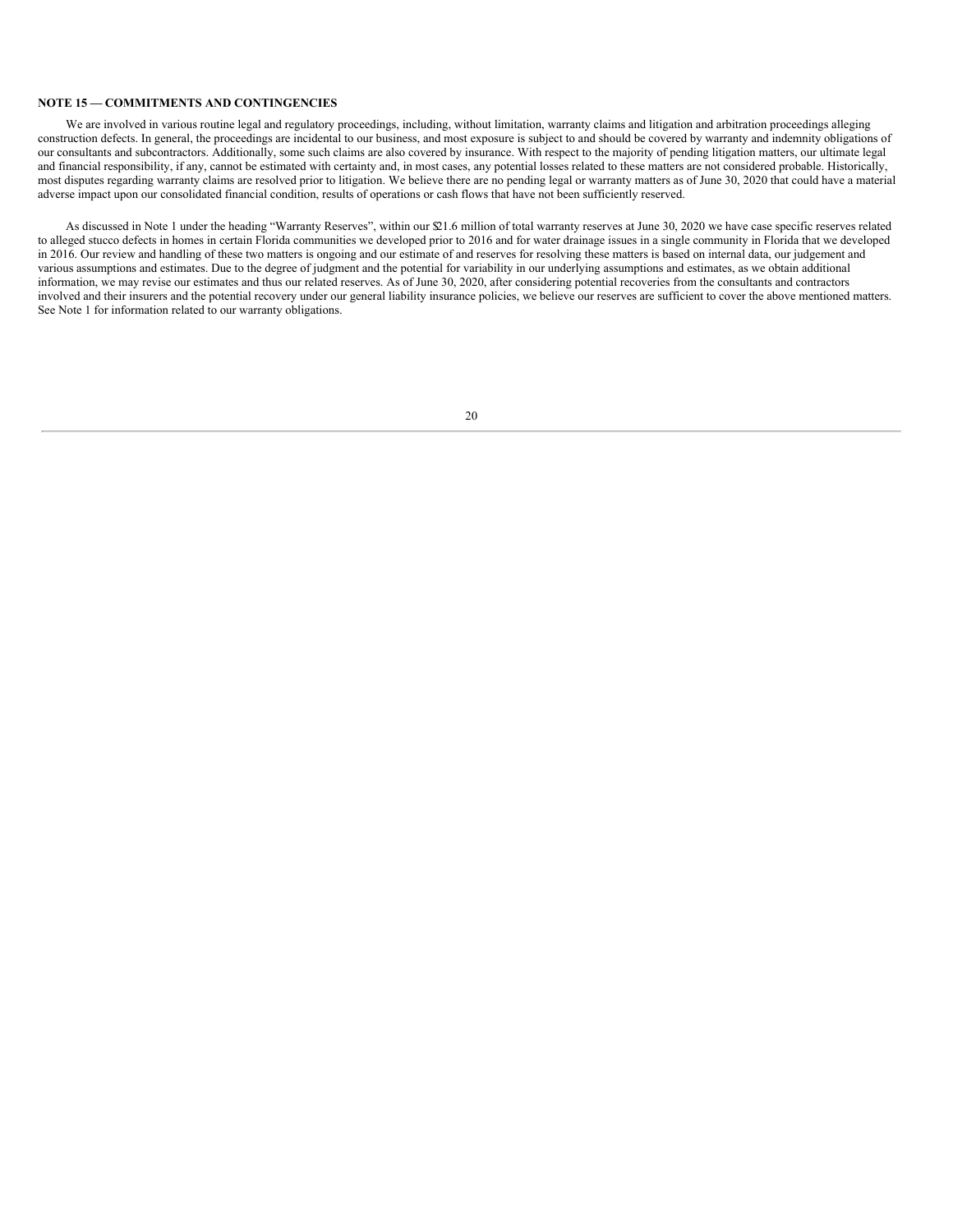### **NOTE 15 — COMMITMENTS AND CONTINGENCIES**

We are involved in various routine legal and regulatory proceedings, including, without limitation, warranty claims and litigation and arbitration proceedings alleging construction defects. In general, the proceedings are incidental to our business, and most exposure is subject to and should be covered by warranty and indemnity obligations of our consultants and subcontractors. Additionally, some such claims are also covered by insurance. With respect to the majority of pending litigation matters, our ultimate legal and financial responsibility, if any, cannot be estimated with certainty and, in most cases, any potential losses related to these matters are not considered probable. Historically, most disputes regarding warranty claims are resolved prior to litigation. We believe there are no pending legal or warranty matters as of June 30, 2020 that could have a material adverse impact upon our consolidated financial condition, results of operations or cash flows that have not been sufficiently reserved.

As discussed in Note 1 under the heading "Warranty Reserves", within our \$21.6 million of total warranty reserves at June 30, 2020 we have case specific reserves related to alleged stucco defects in homes in certain Florida communities we developed prior to 2016 and for water drainage issues in a single community in Florida that we developed in 2016. Our review and handling of these two matters is ongoing and our estimate of and reserves for resolving these matters is based on internal data, our judgement and various assumptions and estimates. Due to the degree of judgment and the potential for variability in our underlying assumptions and estimates, as we obtain additional information, we may revise our estimates and thus our related reserves. As of June 30, 2020, after considering potential recoveries from the consultants and contractors involved and their insurers and the potential recovery under our general liability insurance policies, we believe our reserves are sufficient to cover the above mentioned matters. See Note 1 for information related to our warranty obligations.

| ł |              |
|---|--------------|
|   |              |
|   | ٦<br>×<br>۰. |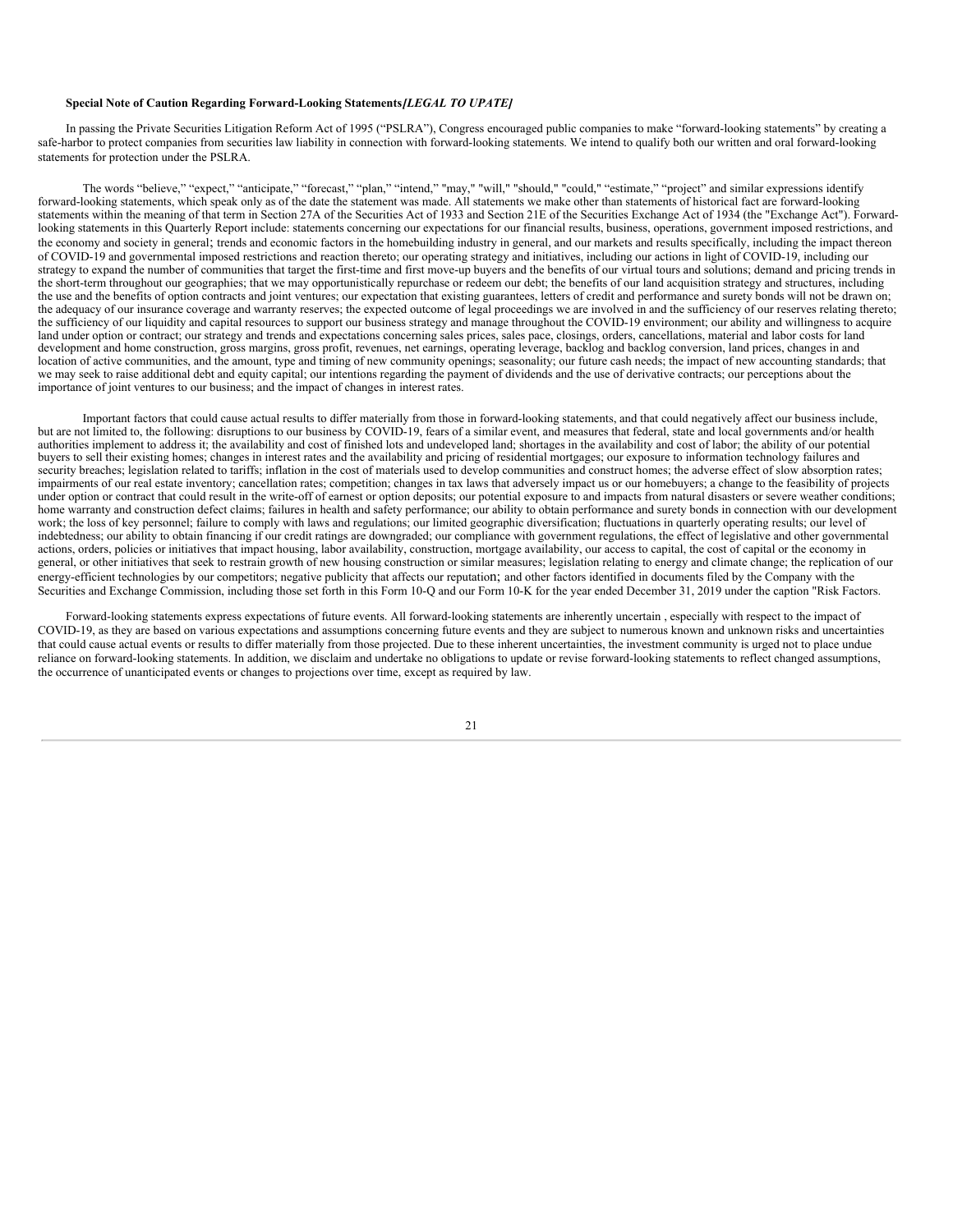### **Special Note of Caution Regarding Forward-Looking Statements***[LEGAL TO UPATE]*

In passing the Private Securities Litigation Reform Act of 1995 ("PSLRA"), Congress encouraged public companies to make "forward-looking statements" by creating a safe-harbor to protect companies from securities law liability in connection with forward-looking statements. We intend to qualify both our written and oral forward-looking statements for protection under the PSLRA.

The words "believe," "expect," "anticipate," "forecast," "plan," "intend," "may," "will," "should," "could," "estimate," "project" and similar expressions identify forward-looking statements, which speak only as of the date the statement was made. All statements we make other than statements of historical fact are forward-looking statements within the meaning of that term in Section 27A of the Securities Act of 1933 and Section 21E of the Securities Exchange Act of 1934 (the "Exchange Act"). Forwardlooking statements in this Quarterly Report include: statements concerning our expectations for our financial results, business, operations, government imposed restrictions, and the economy and society in general; trends and economic factors in the homebuilding industry in general, and our markets and results specifically, including the impact thereon of COVID-19 and governmental imposed restrictions and reaction thereto; our operating strategy and initiatives, including our actions in light of COVID-19, including our strategy to expand the number of communities that target the first-time and first move-up buyers and the benefits of our virtual tours and solutions; demand and pricing trends in the short-term throughout our geographies; that we may opportunistically repurchase or redeem our debt; the benefits of our land acquisition strategy and structures, including the use and the benefits of option contracts and joint ventures; our expectation that existing guarantees, letters of credit and performance and surety bonds will not be drawn on; the adequacy of our insurance coverage and warranty reserves; the expected outcome of legal proceedings we are involved in and the sufficiency of our reserves relating thereto; the sufficiency of our liquidity and capital resources to support our business strategy and manage throughout the COVID-19 environment; our ability and willingness to acquire land under option or contract; our strategy and trends and expectations concerning sales prices, sales pace, closings, orders, cancellations, material and labor costs for land development and home construction, gross margins, gross profit, revenues, net earnings, operating leverage, backlog and backlog conversion, land prices, changes in and location of active communities, and the amount, type and timing of new community openings; seasonality; our future cash needs; the impact of new accounting standards; that we may seek to raise additional debt and equity capital; our intentions regarding the payment of dividends and the use of derivative contracts; our perceptions about the importance of joint ventures to our business; and the impact of changes in interest rates.

Important factors that could cause actual results to differ materially from those in forward-looking statements, and that could negatively affect our business include, but are not limited to, the following: disruptions to our business by COVID-19, fears of a similar event, and measures that federal, state and local governments and/or health authorities implement to address it; the availability and cost of finished lots and undeveloped land; shortages in the availability and cost of labor; the ability of our potential buyers to sell their existing homes; changes in interest rates and the availability and pricing of residential mortgages; our exposure to information technology failures and security breaches; legislation related to tariffs; inflation in the cost of materials used to develop communities and construct homes; the adverse effect of slow absorption rates; impairments of our real estate inventory; cancellation rates; competition; changes in tax laws that adversely impact us or our homebuyers; a change to the feasibility of projects under option or contract that could result in the write-off of earnest or option deposits; our potential exposure to and impacts from natural disasters or severe weather conditions; home warranty and construction defect claims; failures in health and safety performance; our ability to obtain performance and surety bonds in connection with our development work; the loss of key personnel; failure to comply with laws and regulations; our limited geographic diversification; fluctuations in quarterly operating results; our level of indebtedness; our ability to obtain financing if our credit ratings are downgraded; our compliance with government regulations, the effect of legislative and other governmental actions, orders, policies or initiatives that impact housing, labor availability, construction, mortgage availability, our access to capital, the cost of capital or the economy in general, or other initiatives that seek to restrain growth of new housing construction or similar measures; legislation relating to energy and climate change; the replication of our energy-efficient technologies by our competitors; negative publicity that affects our reputation; and other factors identified in documents filed by the Company with the Securities and Exchange Commission, including those set forth in this Form 10-Q and our Form 10-K for the year ended December 31, 2019 under the caption "Risk Factors.

<span id="page-20-0"></span>Forward-looking statements express expectations of future events. All forward-looking statements are inherently uncertain , especially with respect to the impact of COVID-19, as they are based on various expectations and assumptions concerning future events and they are subject to numerous known and unknown risks and uncertainties that could cause actual events or results to differ materially from those projected. Due to these inherent uncertainties, the investment community is urged not to place undue reliance on forward-looking statements. In addition, we disclaim and undertake no obligations to update or revise forward-looking statements to reflect changed assumptions, the occurrence of unanticipated events or changes to projections over time, except as required by law.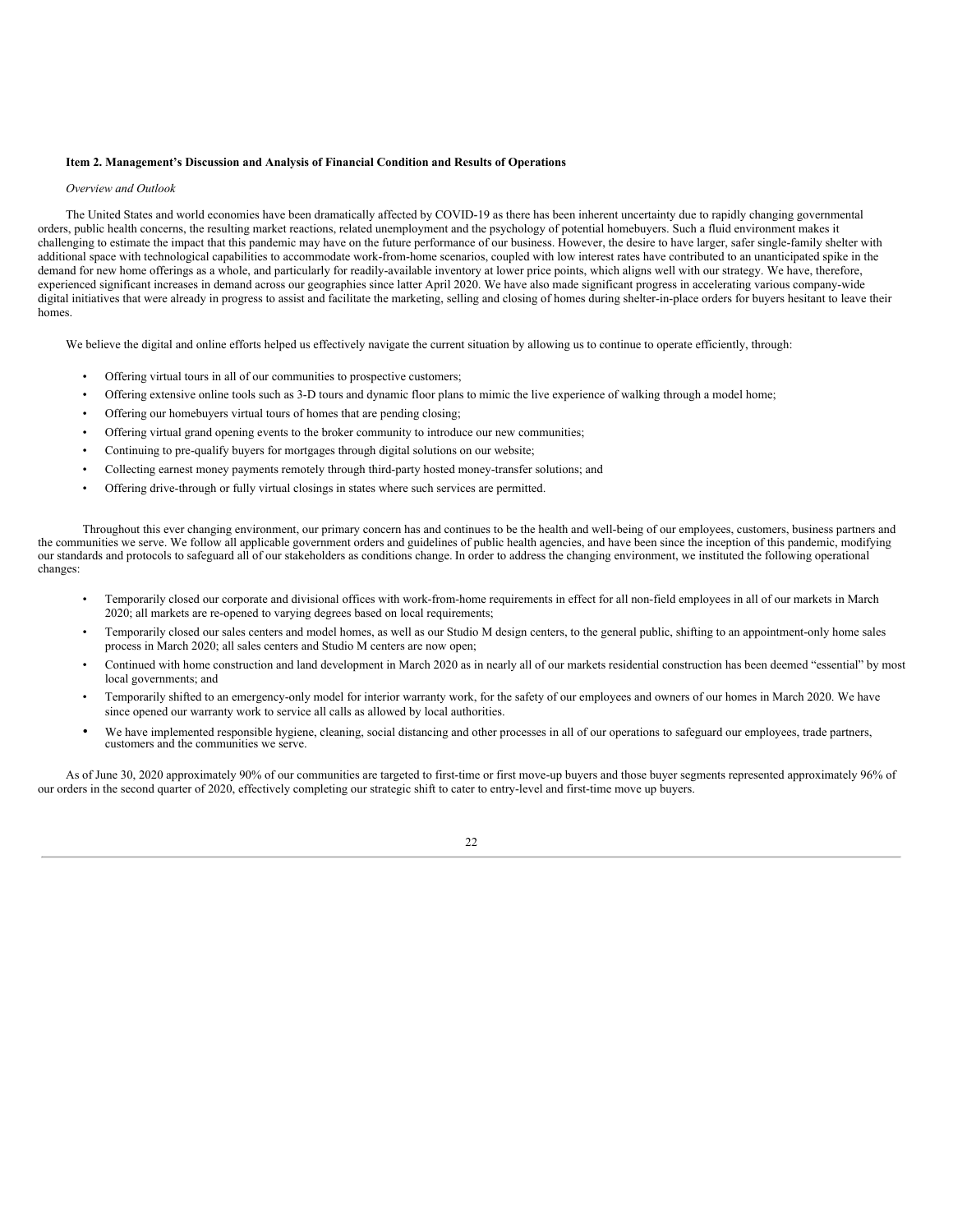### **Item 2. Management's Discussion and Analysis of Financial Condition and Results of Operations**

#### <span id="page-21-0"></span>*Overview and Outlook*

The United States and world economies have been dramatically affected by COVID-19 as there has been inherent uncertainty due to rapidly changing governmental orders, public health concerns, the resulting market reactions, related unemployment and the psychology of potential homebuyers. Such a fluid environment makes it challenging to estimate the impact that this pandemic may have on the future performance of our business. However, the desire to have larger, safer single-family shelter with additional space with technological capabilities to accommodate work-from-home scenarios, coupled with low interest rates have contributed to an unanticipated spike in the demand for new home offerings as a whole, and particularly for readily-available inventory at lower price points, which aligns well with our strategy. We have, therefore, experienced significant increases in demand across our geographies since latter April 2020. We have also made significant progress in accelerating various company-wide digital initiatives that were already in progress to assist and facilitate the marketing, selling and closing of homes during shelter-in-place orders for buyers hesitant to leave their homes.

We believe the digital and online efforts helped us effectively navigate the current situation by allowing us to continue to operate efficiently, through:

- Offering virtual tours in all of our communities to prospective customers;
- Offering extensive online tools such as 3-D tours and dynamic floor plans to mimic the live experience of walking through a model home;
- Offering our homebuyers virtual tours of homes that are pending closing;
- Offering virtual grand opening events to the broker community to introduce our new communities;
- Continuing to pre-qualify buyers for mortgages through digital solutions on our website;
- Collecting earnest money payments remotely through third-party hosted money-transfer solutions; and
- Offering drive-through or fully virtual closings in states where such services are permitted.

Throughout this ever changing environment, our primary concern has and continues to be the health and well-being of our employees, customers, business partners and the communities we serve. We follow all applicable government orders and guidelines of public health agencies, and have been since the inception of this pandemic, modifying our standards and protocols to safeguard all of our stakeholders as conditions change. In order to address the changing environment, we instituted the following operational changes:

- Temporarily closed our corporate and divisional offices with work-from-home requirements in effect for all non-field employees in all of our markets in March 2020; all markets are re-opened to varying degrees based on local requirements;
- Temporarily closed our sales centers and model homes, as well as our Studio M design centers, to the general public, shifting to an appointment-only home sales process in March 2020; all sales centers and Studio M centers are now open;
- Continued with home construction and land development in March 2020 as in nearly all of our markets residential construction has been deemed "essential" by most local governments; and
- Temporarily shifted to an emergency-only model for interior warranty work, for the safety of our employees and owners of our homes in March 2020. We have since opened our warranty work to service all calls as allowed by local authorities.
- We have implemented responsible hygiene, cleaning, social distancing and other processes in all of our operations to safeguard our employees, trade partners, customers and the communities we serve.

As of June 30, 2020 approximately 90% of our communities are targeted to first-time or first move-up buyers and those buyer segments represented approximately 96% of our orders in the second quarter of 2020, effectively completing our strategic shift to cater to entry-level and first-time move up buyers.

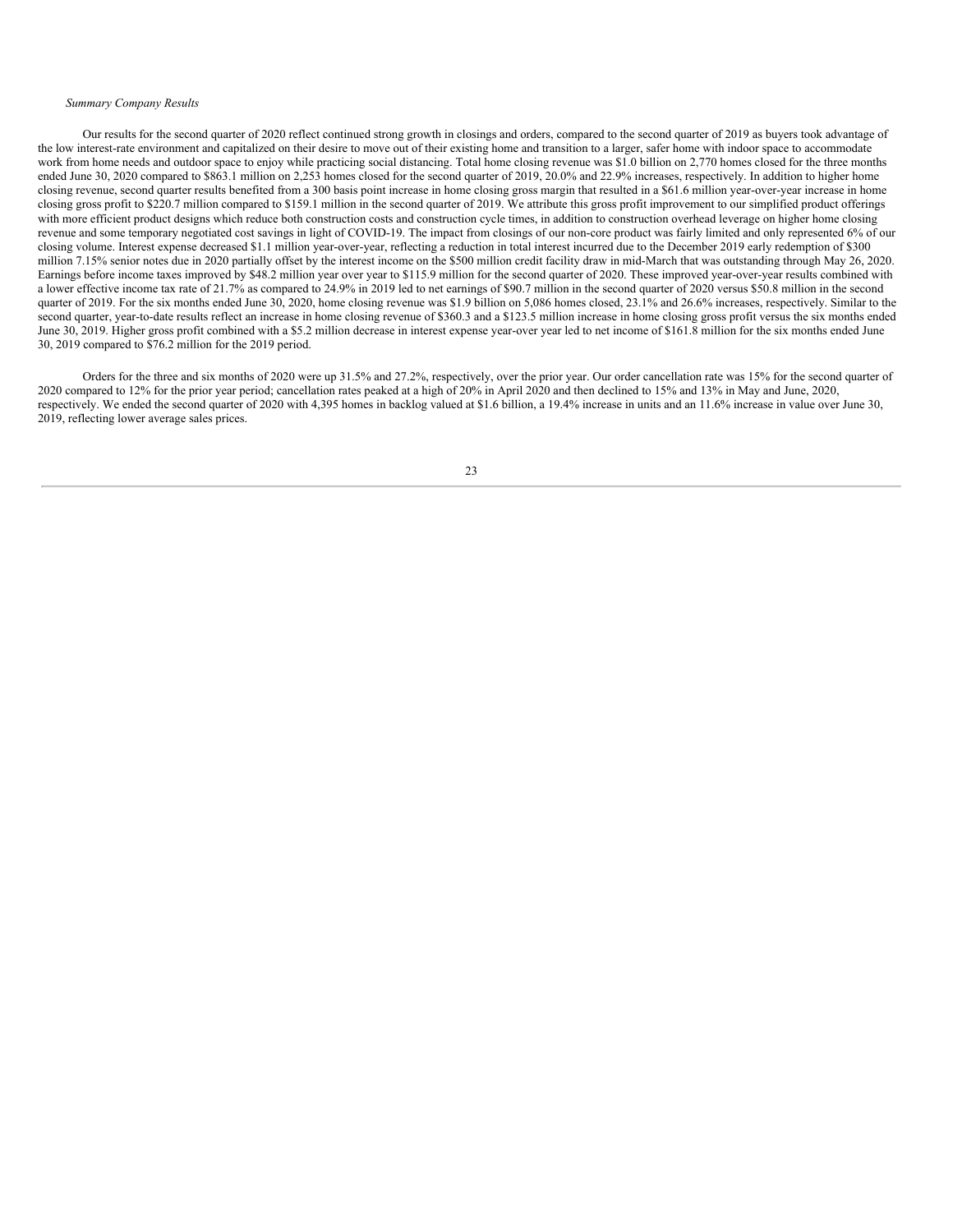#### *Summary Company Results*

Our results for the second quarter of 2020 reflect continued strong growth in closings and orders, compared to the second quarter of 2019 as buyers took advantage of the low interest-rate environment and capitalized on their desire to move out of their existing home and transition to a larger, safer home with indoor space to accommodate work from home needs and outdoor space to enjoy while practicing social distancing. Total home closing revenue was \$1.0 billion on 2,770 homes closed for the three months ended June 30, 2020 compared to \$863.1 million on 2,253 homes closed for the second quarter of 2019, 20.0% and 22.9% increases, respectively. In addition to higher home closing revenue, second quarter results benefited from a 300 basis point increase in home closing gross margin that resulted in a \$61.6 million year-over-year increase in home closing gross profit to \$220.7 million compared to \$159.1 million in the second quarter of 2019. We attribute this gross profit improvement to our simplified product offerings with more efficient product designs which reduce both construction costs and construction cycle times, in addition to construction overhead leverage on higher home closing revenue and some temporary negotiated cost savings in light of COVID-19. The impact from closings of our non-core product was fairly limited and only represented 6% of our closing volume. Interest expense decreased \$1.1 million year-over-year, reflecting a reduction in total interest incurred due to the December 2019 early redemption of \$300 million 7.15% senior notes due in 2020 partially offset by the interest income on the \$500 million credit facility draw in mid-March that was outstanding through May 26, 2020. Earnings before income taxes improved by \$48.2 million year over year to \$115.9 million for the second quarter of 2020. These improved year-over-year results combined with a lower effective income tax rate of 21.7% as compared to 24.9% in 2019 led to net earnings of \$90.7 million in the second quarter of 2020 versus \$50.8 million in the second quarter of 2019. For the six months ended June 30, 2020, home closing revenue was \$1.9 billion on 5,086 homes closed, 23.1% and 26.6% increases, respectively. Similar to the second quarter, year-to-date results reflect an increase in home closing revenue of \$360.3 and a \$123.5 million increase in home closing gross profit versus the six months ended June 30, 2019. Higher gross profit combined with a \$5.2 million decrease in interest expense year-over year led to net income of \$161.8 million for the six months ended June 30, 2019 compared to \$76.2 million for the 2019 period.

Orders for the three and six months of 2020 were up 31.5% and 27.2%, respectively, over the prior year. Our order cancellation rate was 15% for the second quarter of 2020 compared to 12% for the prior year period; cancellation rates peaked at a high of 20% in April 2020 and then declined to 15% and 13% in May and June, 2020, respectively. We ended the second quarter of 2020 with 4,395 homes in backlog valued at \$1.6 billion, a 19.4% increase in units and an 11.6% increase in value over June 30, 2019, reflecting lower average sales prices.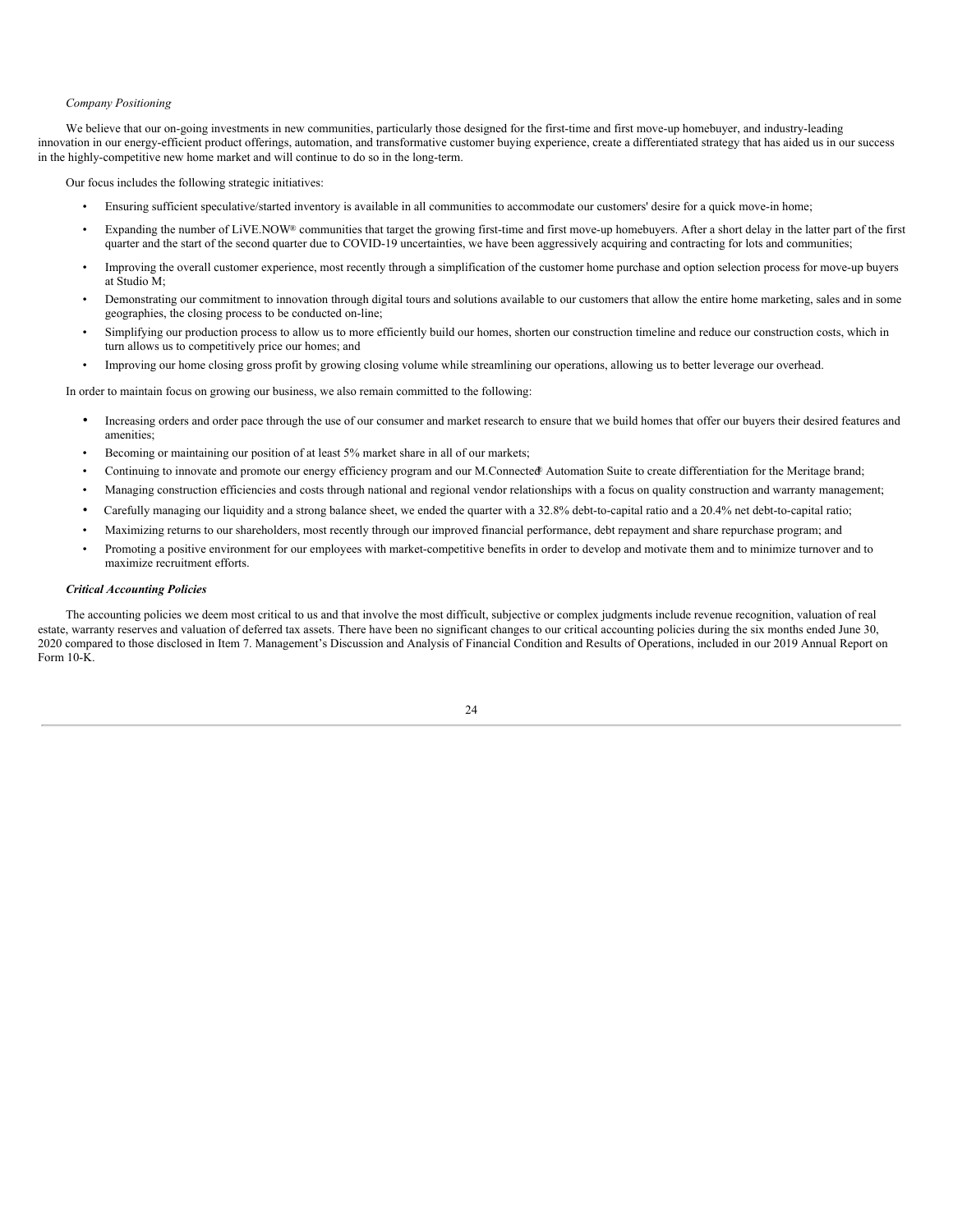### *Company Positioning*

We believe that our on-going investments in new communities, particularly those designed for the first-time and first move-up homebuyer, and industry-leading innovation in our energy-efficient product offerings, automation, and transformative customer buying experience, create a differentiated strategy that has aided us in our success in the highly-competitive new home market and will continue to do so in the long-term.

Our focus includes the following strategic initiatives:

- Ensuring sufficient speculative/started inventory is available in all communities to accommodate our customers' desire for a quick move-in home;
- Expanding the number of LiVE.NOW® communities that target the growing first-time and first move-up homebuyers. After a short delay in the latter part of the first quarter and the start of the second quarter due to COVID-19 uncertainties, we have been aggressively acquiring and contracting for lots and communities;
- Improving the overall customer experience, most recently through a simplification of the customer home purchase and option selection process for move-up buyers at Studio M;
- Demonstrating our commitment to innovation through digital tours and solutions available to our customers that allow the entire home marketing, sales and in some geographies, the closing process to be conducted on-line;
- Simplifying our production process to allow us to more efficiently build our homes, shorten our construction timeline and reduce our construction costs, which in turn allows us to competitively price our homes; and
- Improving our home closing gross profit by growing closing volume while streamlining our operations, allowing us to better leverage our overhead.

In order to maintain focus on growing our business, we also remain committed to the following:

- Increasing orders and order pace through the use of our consumer and market research to ensure that we build homes that offer our buyers their desired features and amenities;
- Becoming or maintaining our position of at least 5% market share in all of our markets;
- Continuing to innovate and promote our energy efficiency program and our M.Connected® Automation Suite to create differentiation for the Meritage brand;
- Managing construction efficiencies and costs through national and regional vendor relationships with a focus on quality construction and warranty management;
- Carefully managing our liquidity and a strong balance sheet, we ended the quarter with a 32.8% debt-to-capital ratio and a 20.4% net debt-to-capital ratio;
- Maximizing returns to our shareholders, most recently through our improved financial performance, debt repayment and share repurchase program; and
- Promoting a positive environment for our employees with market-competitive benefits in order to develop and motivate them and to minimize turnover and to maximize recruitment efforts.

#### *Critical Accounting Policies*

The accounting policies we deem most critical to us and that involve the most difficult, subjective or complex judgments include revenue recognition, valuation of real estate, warranty reserves and valuation of deferred tax assets. There have been no significant changes to our critical accounting policies during the six months ended June 30, 2020 compared to those disclosed in Item 7. Management's Discussion and Analysis of Financial Condition and Results of Operations, included in our 2019 Annual Report on Form 10-K.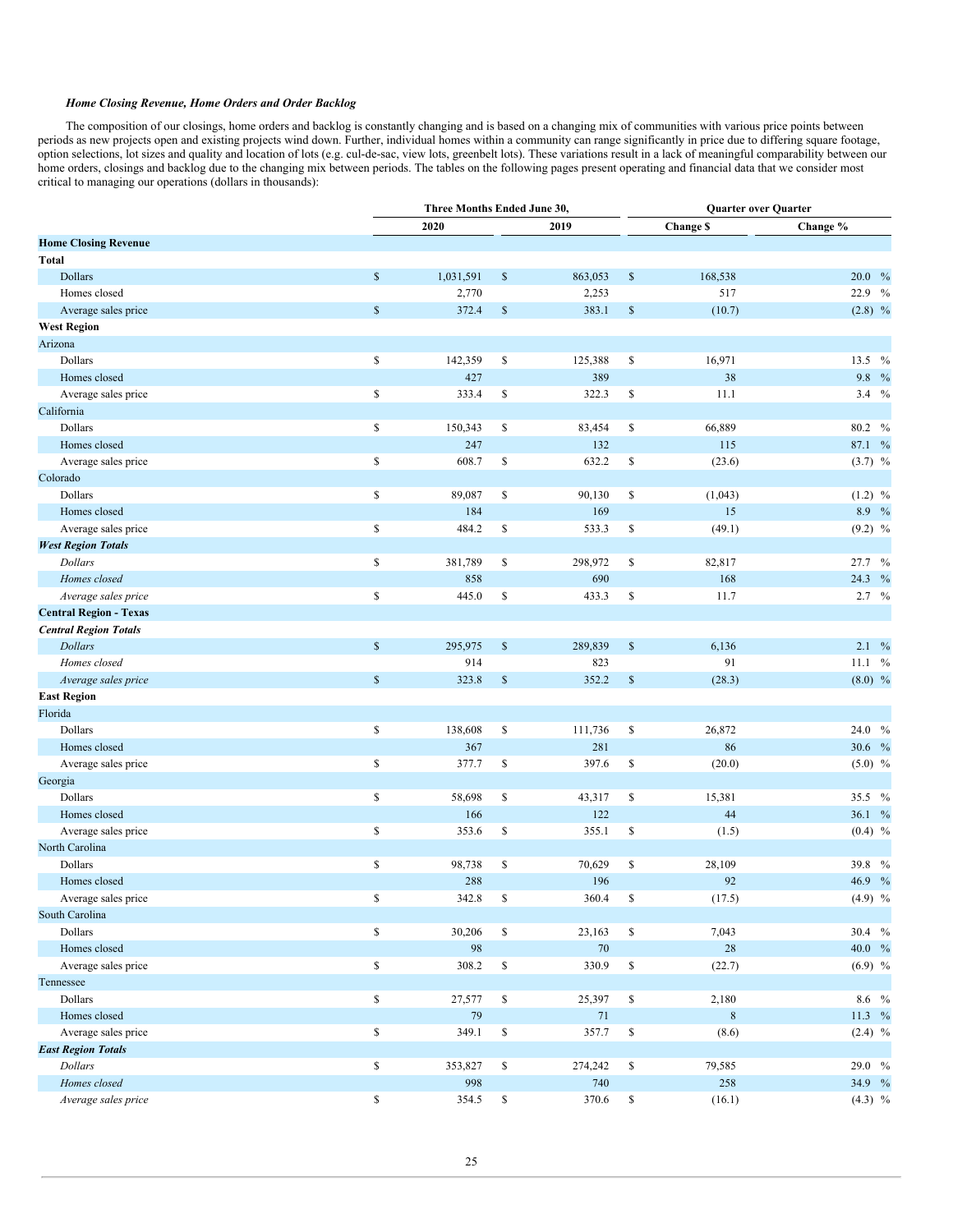### *Home Closing Revenue, Home Orders and Order Backlog*

The composition of our closings, home orders and backlog is constantly changing and is based on a changing mix of communities with various price points between periods as new projects open and existing projects wind down. Further, individual homes within a community can range significantly in price due to differing square footage, option selections, lot sizes and quality and location of lots (e.g. cul-de-sac, view lots, greenbelt lots). These variations result in a lack of meaningful comparability between our home orders, closings and backlog due to the changing mix between periods. The tables on the following pages present operating and financial data that we consider most critical to managing our operations (dollars in thousands):

|                               | Three Months Ended June 30, |              |                  |                                                                       | Quarter over Quarter |                           |  |  |  |  |
|-------------------------------|-----------------------------|--------------|------------------|-----------------------------------------------------------------------|----------------------|---------------------------|--|--|--|--|
|                               | 2020                        |              | 2019             |                                                                       | <b>Change \$</b>     | Change %                  |  |  |  |  |
| <b>Home Closing Revenue</b>   |                             |              |                  |                                                                       |                      |                           |  |  |  |  |
| <b>Total</b>                  |                             |              |                  |                                                                       |                      |                           |  |  |  |  |
| Dollars                       | \$<br>1,031,591             | $\mathbb{S}$ | 863,053          | $\mathbb{S}$                                                          | 168,538              | 20.0 %                    |  |  |  |  |
| Homes closed                  | 2,770                       |              | 2,253            |                                                                       | 517                  | 22.9 %                    |  |  |  |  |
| Average sales price           | \$<br>372.4                 | \$           | 383.1            | $\mathbb{S}$                                                          | (10.7)               | $(2.8)$ %                 |  |  |  |  |
| <b>West Region</b>            |                             |              |                  |                                                                       |                      |                           |  |  |  |  |
| Arizona                       |                             |              |                  |                                                                       |                      |                           |  |  |  |  |
| Dollars                       | \$<br>142,359               | \$           | 125,388          | \$                                                                    | 16,971               | 13.5 $%$                  |  |  |  |  |
| Homes closed                  | 427                         |              | 389              |                                                                       | 38                   | 9.8 %                     |  |  |  |  |
| Average sales price           | \$<br>333.4                 | \$           | 322.3            | \$                                                                    | 11.1                 | 3.4 $%$                   |  |  |  |  |
| California                    |                             |              |                  |                                                                       |                      |                           |  |  |  |  |
| Dollars                       | \$<br>150,343               | \$           | 83,454           | \$                                                                    | 66,889               | 80.2 %                    |  |  |  |  |
| Homes closed                  | 247                         |              | 132              |                                                                       | 115                  | 87.1 %                    |  |  |  |  |
| Average sales price           | \$<br>608.7                 | \$           | 632.2            | \$                                                                    | (23.6)               | $(3.7)$ %                 |  |  |  |  |
| Colorado                      |                             |              |                  |                                                                       |                      |                           |  |  |  |  |
| Dollars                       | \$<br>89,087                | \$           | 90,130           | S                                                                     | (1,043)              | $(1.2)$ %                 |  |  |  |  |
| Homes closed                  | 184                         |              | 169              |                                                                       | 15                   | 8.9 $%$                   |  |  |  |  |
| Average sales price           | \$<br>484.2                 | \$           | 533.3            | \$                                                                    | (49.1)               | $(9.2)$ %                 |  |  |  |  |
| <b>West Region Totals</b>     |                             |              |                  |                                                                       |                      |                           |  |  |  |  |
| <b>Dollars</b>                | \$<br>381,789               | \$           | 298,972          | \$                                                                    | 82,817               | 27.7 %                    |  |  |  |  |
| Homes closed                  | 858                         |              | 690              |                                                                       | 168                  | 24.3 %                    |  |  |  |  |
| Average sales price           | \$<br>445.0                 | \$           | 433.3            | \$                                                                    | 11.7                 | 2.7 %                     |  |  |  |  |
| <b>Central Region - Texas</b> |                             |              |                  |                                                                       |                      |                           |  |  |  |  |
| <b>Central Region Totals</b>  |                             |              |                  |                                                                       |                      |                           |  |  |  |  |
| <b>Dollars</b>                | \$<br>295,975               | $\mathbb{S}$ | 289,839          | $\mathbb{S}$                                                          | 6,136                | $2.1\%$                   |  |  |  |  |
| Homes closed                  | 914                         |              | 823              |                                                                       | 91                   | 11.1 %                    |  |  |  |  |
| Average sales price           | \$<br>323.8                 | $\mathbb{S}$ | 352.2            | $\mathbb{S}$                                                          | (28.3)               | $(8.0)$ %                 |  |  |  |  |
| <b>East Region</b>            |                             |              |                  |                                                                       |                      |                           |  |  |  |  |
| Florida                       |                             |              |                  |                                                                       |                      |                           |  |  |  |  |
| Dollars                       | \$<br>138,608               | \$           | 111,736          | \$                                                                    | 26,872               | 24.0 %                    |  |  |  |  |
| Homes closed                  | 367                         |              | 281              |                                                                       | 86                   | 30.6 %                    |  |  |  |  |
| Average sales price           | \$<br>377.7                 | \$           | 397.6            | \$                                                                    | (20.0)               | $(5.0)$ %                 |  |  |  |  |
| Georgia                       |                             |              |                  |                                                                       |                      |                           |  |  |  |  |
| Dollars                       | \$<br>58,698                | \$           | 43,317           | S                                                                     | 15,381               | 35.5 %                    |  |  |  |  |
| Homes closed                  | 166                         |              | 122              |                                                                       | 44                   | 36.1 %                    |  |  |  |  |
| Average sales price           | \$<br>353.6                 | \$           | 355.1            | S                                                                     | (1.5)                | $(0.4)$ %                 |  |  |  |  |
| North Carolina                |                             |              |                  |                                                                       |                      |                           |  |  |  |  |
| Dollars                       | \$<br>98,738                | \$           | 70,629           | S                                                                     | 28,109               | 39.8 %                    |  |  |  |  |
| Homes closed                  | 288                         |              | 196              |                                                                       | 92                   | 46.9 %                    |  |  |  |  |
| Average sales price           | \$<br>342.8                 | \$           | 360.4            | \$                                                                    | (17.5)               | $(4.9)$ %                 |  |  |  |  |
| South Carolina<br>Dollars     | \$                          |              |                  |                                                                       |                      |                           |  |  |  |  |
| Homes closed                  | 30,206<br>98                | \$           | 23,163<br>$70\,$ | S                                                                     | 7,043<br>28          | $30.4\quad\%$<br>40.0 $%$ |  |  |  |  |
| Average sales price           | \$<br>308.2                 | $\$$         | 330.9            | $\mathbb S$                                                           |                      | $(6.9)$ %                 |  |  |  |  |
| Tennessee                     |                             |              |                  |                                                                       | (22.7)               |                           |  |  |  |  |
| Dollars                       | \$<br>27,577                | \$           | 25,397           | S                                                                     | 2,180                | $8.6\frac{9}{6}$          |  |  |  |  |
| Homes closed                  | 79                          |              | $71\,$           |                                                                       | $\,8\,$              | 11.3 %                    |  |  |  |  |
| Average sales price           | \$<br>349.1                 | \$           | 357.7            | $\mathbb{S}% _{t}\left( t\right) \equiv\mathbb{S}_{t}\left( t\right)$ | (8.6)                | $(2.4)$ %                 |  |  |  |  |
| <b>East Region Totals</b>     |                             |              |                  |                                                                       |                      |                           |  |  |  |  |
| Dollars                       | \$<br>353,827               | \$           | 274,242          | \$                                                                    | 79,585               | 29.0 $%$                  |  |  |  |  |
| Homes closed                  | 998                         |              | 740              |                                                                       | 258                  | 34.9 %                    |  |  |  |  |
| Average sales price           | \$<br>354.5                 | \$           | 370.6            | \$                                                                    | (16.1)               | $(4.3)$ %                 |  |  |  |  |
|                               |                             |              |                  |                                                                       |                      |                           |  |  |  |  |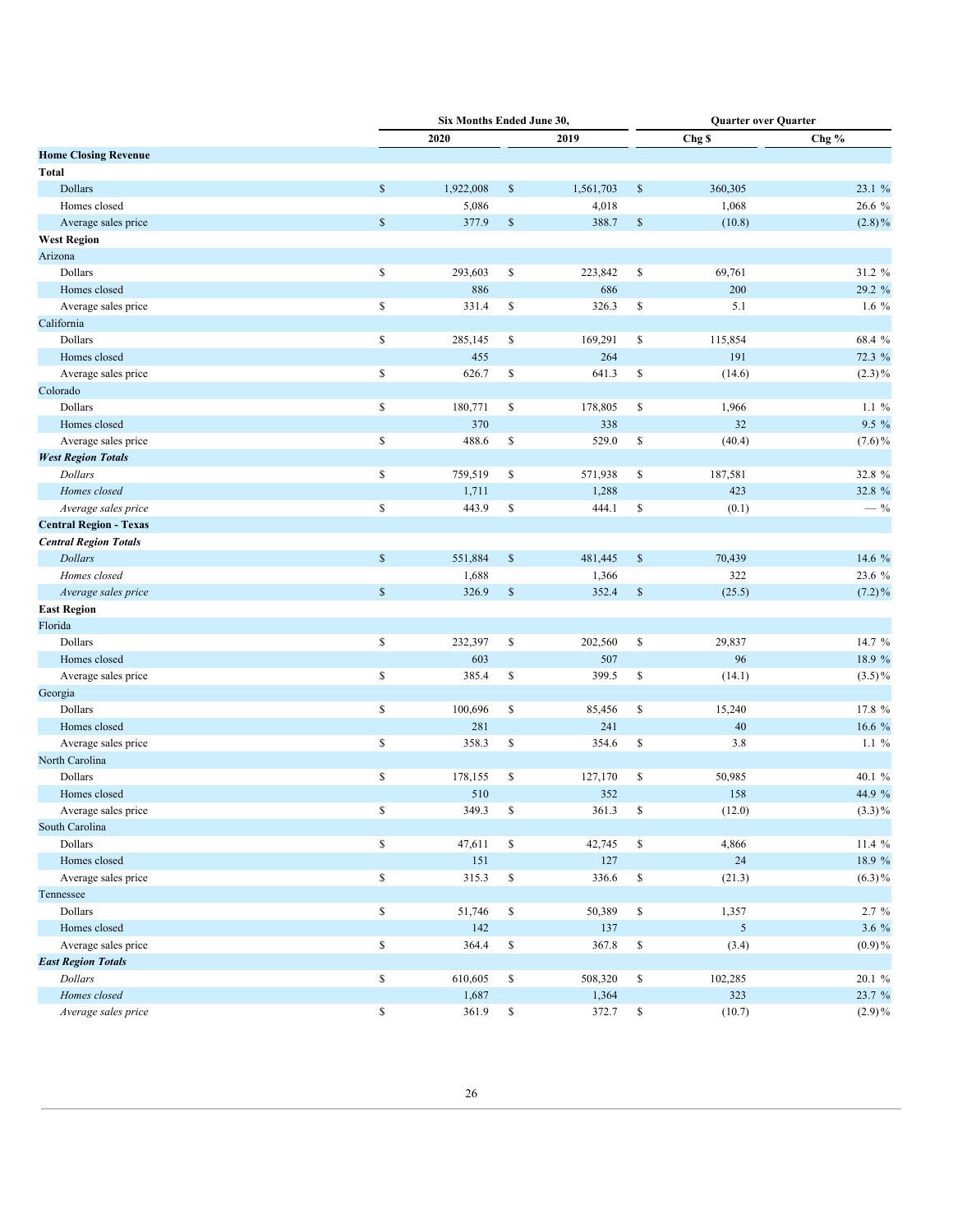|                               |              | Six Months Ended June 30, |              |           |              | Quarter over Quarter |           |
|-------------------------------|--------------|---------------------------|--------------|-----------|--------------|----------------------|-----------|
|                               |              | 2020                      |              | 2019      |              | Chg \$               | Chg $%$   |
| <b>Home Closing Revenue</b>   |              |                           |              |           |              |                      |           |
| <b>Total</b>                  |              |                           |              |           |              |                      |           |
| Dollars                       | $\mathbb{S}$ | 1,922,008                 | $\mathbb{S}$ | 1,561,703 | \$           | 360,305              | 23.1 %    |
| Homes closed                  |              | 5,086                     |              | 4,018     |              | 1,068                | 26.6 %    |
| Average sales price           | $\mathbb{S}$ | 377.9                     | $\mathbb{S}$ | 388.7     | $\mathbb{S}$ | (10.8)               | $(2.8)\%$ |
| <b>West Region</b>            |              |                           |              |           |              |                      |           |
| Arizona                       |              |                           |              |           |              |                      |           |
| Dollars                       | \$           | 293,603                   | \$           | 223,842   | \$           | 69,761               | 31.2 %    |
| Homes closed                  |              | 886                       |              | 686       |              | 200                  | 29.2 %    |
| Average sales price           | \$           | 331.4                     | \$           | 326.3     | \$           | 5.1                  | 1.6 $%$   |
| California                    |              |                           |              |           |              |                      |           |
| Dollars                       | \$           | 285,145                   | \$           | 169,291   | \$           | 115,854              | 68.4 %    |
| Homes closed                  |              | 455                       |              | 264       |              | 191                  | 72.3 %    |
| Average sales price           | $\mathbb S$  | 626.7                     | \$           | 641.3     | \$           | (14.6)               | $(2.3)\%$ |
| Colorado                      |              |                           |              |           |              |                      |           |
| Dollars                       | \$           | 180,771                   | \$           | 178,805   | \$           | 1,966                | $1.1\%$   |
| Homes closed                  |              | 370                       |              | 338       |              | 32                   | $9.5\%$   |
| Average sales price           | \$           | 488.6                     | \$           | 529.0     | \$           | (40.4)               | $(7.6)\%$ |
| <b>West Region Totals</b>     |              |                           |              |           |              |                      |           |
| <b>Dollars</b>                | \$           | 759,519                   | \$           | 571,938   | \$           | 187,581              | 32.8 %    |
| Homes closed                  |              | 1,711                     |              | 1,288     |              | 423                  | 32.8 %    |
| Average sales price           | \$           | 443.9                     | \$           | 444.1     | \$           | (0.1)                | $-$ %     |
| <b>Central Region - Texas</b> |              |                           |              |           |              |                      |           |
| <b>Central Region Totals</b>  |              |                           |              |           |              |                      |           |
| <b>Dollars</b>                | $\mathbb{S}$ | 551,884                   | $\mathbb{S}$ | 481,445   | $\mathbb{S}$ | 70,439               | 14.6 %    |
| Homes closed                  |              | 1,688                     |              | 1,366     |              | 322                  | 23.6 %    |
| Average sales price           | $\mathbb S$  | 326.9                     | $\mathbb{S}$ | 352.4     | $\mathbb{S}$ | (25.5)               | $(7.2)\%$ |
| <b>East Region</b><br>Florida |              |                           |              |           |              |                      |           |
| Dollars                       | \$           | 232,397                   | \$           | 202,560   | \$           | 29,837               | 14.7 %    |
| Homes closed                  |              | 603                       |              | 507       |              | 96                   | 18.9 %    |
| Average sales price           | \$           | 385.4                     | \$           | 399.5     | \$           | (14.1)               | $(3.5)\%$ |
| Georgia                       |              |                           |              |           |              |                      |           |
| Dollars                       | $\mathbb S$  | 100,696                   | \$           | 85,456    | \$           | 15,240               | 17.8 %    |
| Homes closed                  |              | 281                       |              | 241       |              | 40                   | 16.6 $%$  |
| Average sales price           | \$           | 358.3                     | \$           | 354.6     | \$           | 3.8                  | $1.1\%$   |
| North Carolina                |              |                           |              |           |              |                      |           |
| Dollars                       | \$           | 178,155                   | \$           | 127,170   | \$           | 50,985               | $40.1~\%$ |
| Homes closed                  |              | 510                       |              | 352       |              | 158                  | 44.9 %    |
| Average sales price           | \$           | 349.3                     | \$           | 361.3     | \$           | (12.0)               | $(3.3)\%$ |
| South Carolina                |              |                           |              |           |              |                      |           |
| Dollars                       | $\mathbb S$  | 47,611                    | \$           | 42,745    | \$           | 4,866                | 11.4 $%$  |
| Homes closed                  |              | 151                       |              | 127       |              | 24                   | 18.9 %    |
| Average sales price           | $\mathbb S$  | 315.3                     | $\mathbb{S}$ | 336.6     | $\mathbb{S}$ | (21.3)               | $(6.3)\%$ |
| Tennessee                     |              |                           |              |           |              |                      |           |
| Dollars                       | \$           | 51,746                    | \$           | 50,389    | \$           | 1,357                | 2.7 %     |
| Homes closed                  |              | 142                       |              | 137       |              | $5\overline{)}$      | 3.6 $%$   |
| Average sales price           | \$           | 364.4                     | \$           | 367.8     | \$           | (3.4)                | $(0.9)\%$ |
| <b>East Region Totals</b>     |              |                           |              |           |              |                      |           |
| Dollars                       | $\mathbb S$  | 610,605                   | \$           | 508,320   | \$           | 102,285              | 20.1 %    |
| Homes closed                  |              | 1,687                     |              | 1,364     |              | 323                  | 23.7 %    |
| Average sales price           | $\mathbb S$  | 361.9                     | \$           | 372.7     | \$           | (10.7)               | $(2.9)\%$ |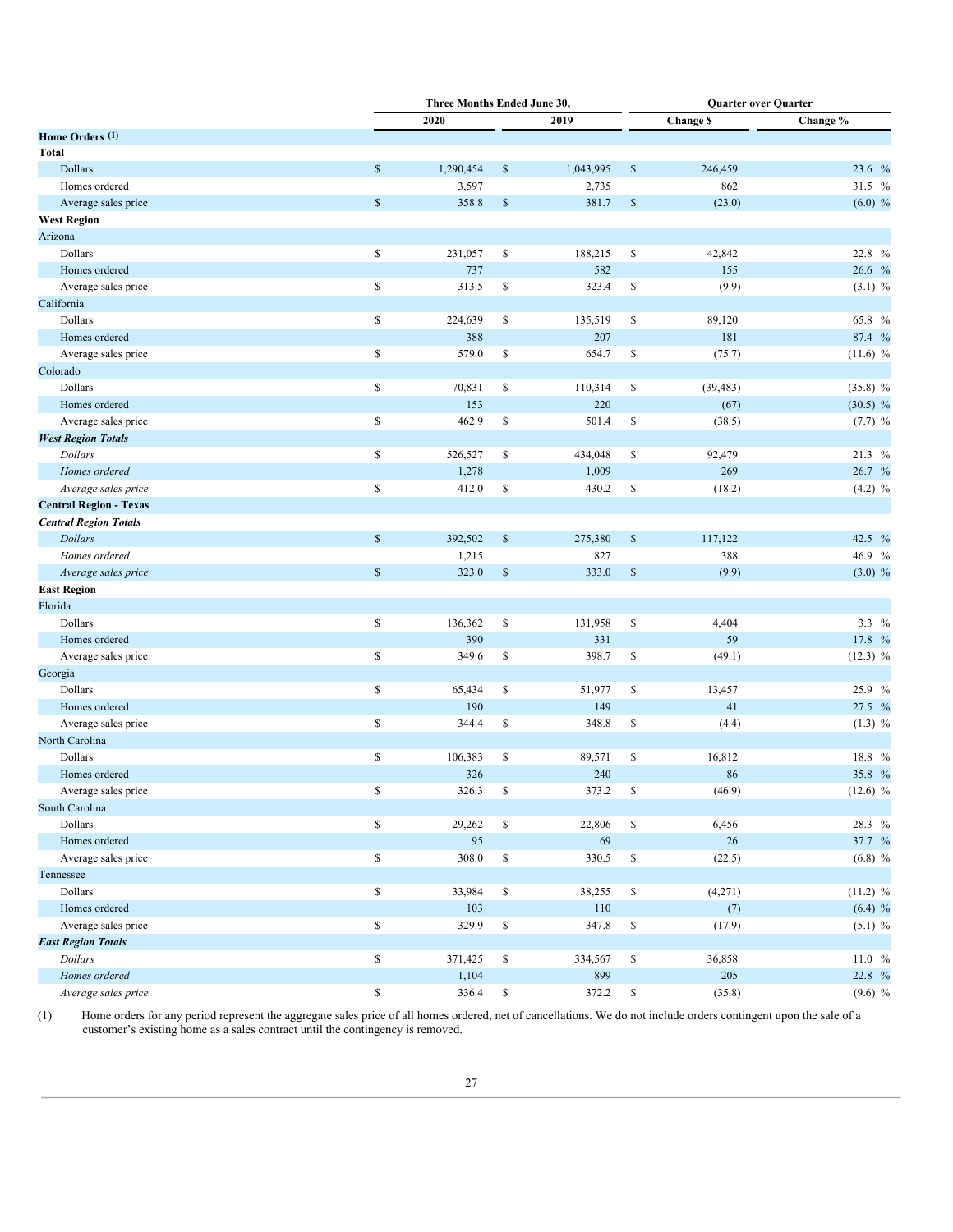|                               |              | Three Months Ended June 30, |              |           |              | Quarter over Quarter |            |  |  |  |  |
|-------------------------------|--------------|-----------------------------|--------------|-----------|--------------|----------------------|------------|--|--|--|--|
|                               |              | 2020                        |              | 2019      |              | <b>Change \$</b>     | Change %   |  |  |  |  |
| Home Orders (1)               |              |                             |              |           |              |                      |            |  |  |  |  |
| <b>Total</b>                  |              |                             |              |           |              |                      |            |  |  |  |  |
| Dollars                       | $\mathbb{S}$ | 1,290,454                   | $\mathbb{S}$ | 1,043,995 | $\mathbb{S}$ | 246,459              | 23.6 %     |  |  |  |  |
| Homes ordered                 |              | 3,597                       |              | 2,735     |              | 862                  | 31.5 %     |  |  |  |  |
| Average sales price           | $\mathbb{S}$ | 358.8                       | $\mathbb{S}$ | 381.7     | $\mathbb{S}$ | (23.0)               | $(6.0)$ %  |  |  |  |  |
| <b>West Region</b>            |              |                             |              |           |              |                      |            |  |  |  |  |
| Arizona                       |              |                             |              |           |              |                      |            |  |  |  |  |
| Dollars                       | $\mathbb{S}$ | 231,057                     | S            | 188,215   | \$           | 42,842               | 22.8 %     |  |  |  |  |
| Homes ordered                 |              | 737                         |              | 582       |              | 155                  | 26.6 %     |  |  |  |  |
| Average sales price           | \$           | 313.5                       | S            | 323.4     | \$           | (9.9)                | $(3.1)$ %  |  |  |  |  |
| California                    |              |                             |              |           |              |                      |            |  |  |  |  |
| Dollars                       | \$           | 224,639                     | S            | 135,519   | \$           | 89,120               | 65.8 %     |  |  |  |  |
| Homes ordered                 |              | 388                         |              | 207       |              | 181                  | 87.4 %     |  |  |  |  |
| Average sales price           | $\mathbb{S}$ | 579.0                       | S            | 654.7     | \$           | (75.7)               | $(11.6)$ % |  |  |  |  |
| Colorado                      |              |                             |              |           |              |                      |            |  |  |  |  |
| Dollars                       | $\mathbb{S}$ | 70,831                      | S            | 110,314   | \$           | (39, 483)            | $(35.8)$ % |  |  |  |  |
| Homes ordered                 |              | 153                         |              | 220       |              | (67)                 | $(30.5)$ % |  |  |  |  |
| Average sales price           | $\mathbb{S}$ | 462.9                       | S            | 501.4     | \$           | (38.5)               | $(7.7)$ %  |  |  |  |  |
| <b>West Region Totals</b>     |              |                             |              |           |              |                      |            |  |  |  |  |
| <b>Dollars</b>                | \$           | 526,527                     | S            | 434,048   | \$           | 92,479               | 21.3 %     |  |  |  |  |
| Homes ordered                 |              | 1,278                       |              | 1,009     |              | 269                  | 26.7 %     |  |  |  |  |
| Average sales price           | \$           | 412.0                       | \$           | 430.2     | \$           | (18.2)               | $(4.2)$ %  |  |  |  |  |
| <b>Central Region - Texas</b> |              |                             |              |           |              |                      |            |  |  |  |  |
| <b>Central Region Totals</b>  |              |                             |              |           |              |                      |            |  |  |  |  |
| <b>Dollars</b>                | $\mathbb{S}$ | 392,502                     | $\mathbb{S}$ | 275,380   | $\mathbb{S}$ | 117,122              | 42.5 %     |  |  |  |  |
| Homes ordered                 |              | 1,215                       |              | 827       |              | 388                  | 46.9 %     |  |  |  |  |
| Average sales price           | $\mathbb{S}$ | 323.0                       | $\mathbb{S}$ | 333.0     | $\mathbb{S}$ | (9.9)                | $(3.0)$ %  |  |  |  |  |
| <b>East Region</b>            |              |                             |              |           |              |                      |            |  |  |  |  |
| Florida                       |              |                             |              |           |              |                      |            |  |  |  |  |
| Dollars                       | \$           | 136,362                     | \$           | 131,958   | \$           | 4,404                | 3.3 $%$    |  |  |  |  |
| Homes ordered                 |              | 390                         |              | 331       |              | 59                   | $17.8\%$   |  |  |  |  |
| Average sales price           | \$           | 349.6                       | S            | 398.7     | \$           | (49.1)               | $(12.3)$ % |  |  |  |  |
| Georgia                       |              |                             |              |           |              |                      |            |  |  |  |  |
| Dollars                       | $\mathbb S$  | 65,434                      | \$           | 51,977    | \$           | 13,457               | 25.9 %     |  |  |  |  |
| Homes ordered                 |              | 190                         |              | 149       |              | 41                   | 27.5 %     |  |  |  |  |
| Average sales price           | $\mathbb S$  | 344.4                       | \$           | 348.8     | \$           | (4.4)                | $(1.3) \%$ |  |  |  |  |
| North Carolina                |              |                             |              |           |              |                      |            |  |  |  |  |
| Dollars                       | $\mathbb S$  | 106,383                     | \$           | 89,571    | \$           | 16,812               | 18.8 %     |  |  |  |  |
| Homes ordered                 |              | 326                         |              | 240       |              | 86                   | 35.8 %     |  |  |  |  |
| Average sales price           | \$           | 326.3                       | \$           | 373.2     | \$           | (46.9)               | $(12.6)$ % |  |  |  |  |
| South Carolina                |              |                             |              |           |              |                      |            |  |  |  |  |
| Dollars                       | \$           | 29,262                      | \$           | 22,806    | \$           | 6,456                | 28.3 %     |  |  |  |  |
| Homes ordered                 |              | 95                          |              | 69        |              | 26                   | 37.7 %     |  |  |  |  |
| Average sales price           | $\mathbb{S}$ | 308.0                       | $\mathbb{S}$ | 330.5     | $\mathbb{S}$ | (22.5)               | $(6.8)$ %  |  |  |  |  |
| Tennessee                     |              |                             |              |           |              |                      |            |  |  |  |  |
| Dollars                       | \$           | 33,984                      | \$           | 38,255    | \$           | (4,271)              | $(11.2)$ % |  |  |  |  |
| Homes ordered                 |              | 103                         |              | 110       |              | (7)                  | $(6.4)$ %  |  |  |  |  |
| Average sales price           | \$           | 329.9                       | \$           | 347.8     | $\mathbb{S}$ | (17.9)               | $(5.1)$ %  |  |  |  |  |
| <b>East Region Totals</b>     |              |                             |              |           |              |                      |            |  |  |  |  |
| <b>Dollars</b>                | $\mathbb{S}$ | 371,425                     | \$           | 334,567   | \$           | 36,858               | 11.0 %     |  |  |  |  |
| Homes ordered                 |              | 1,104                       |              | 899       |              | 205                  | 22.8 %     |  |  |  |  |
| Average sales price           | \$           | 336.4                       | \$           | 372.2     | $\mathbb{S}$ | (35.8)               | $(9.6)$ %  |  |  |  |  |

(1) Home orders for any period represent the aggregate sales price of all homes ordered, net of cancellations. We do not include orders contingent upon the sale of a customer's existing home as a sales contract until the contingency is removed.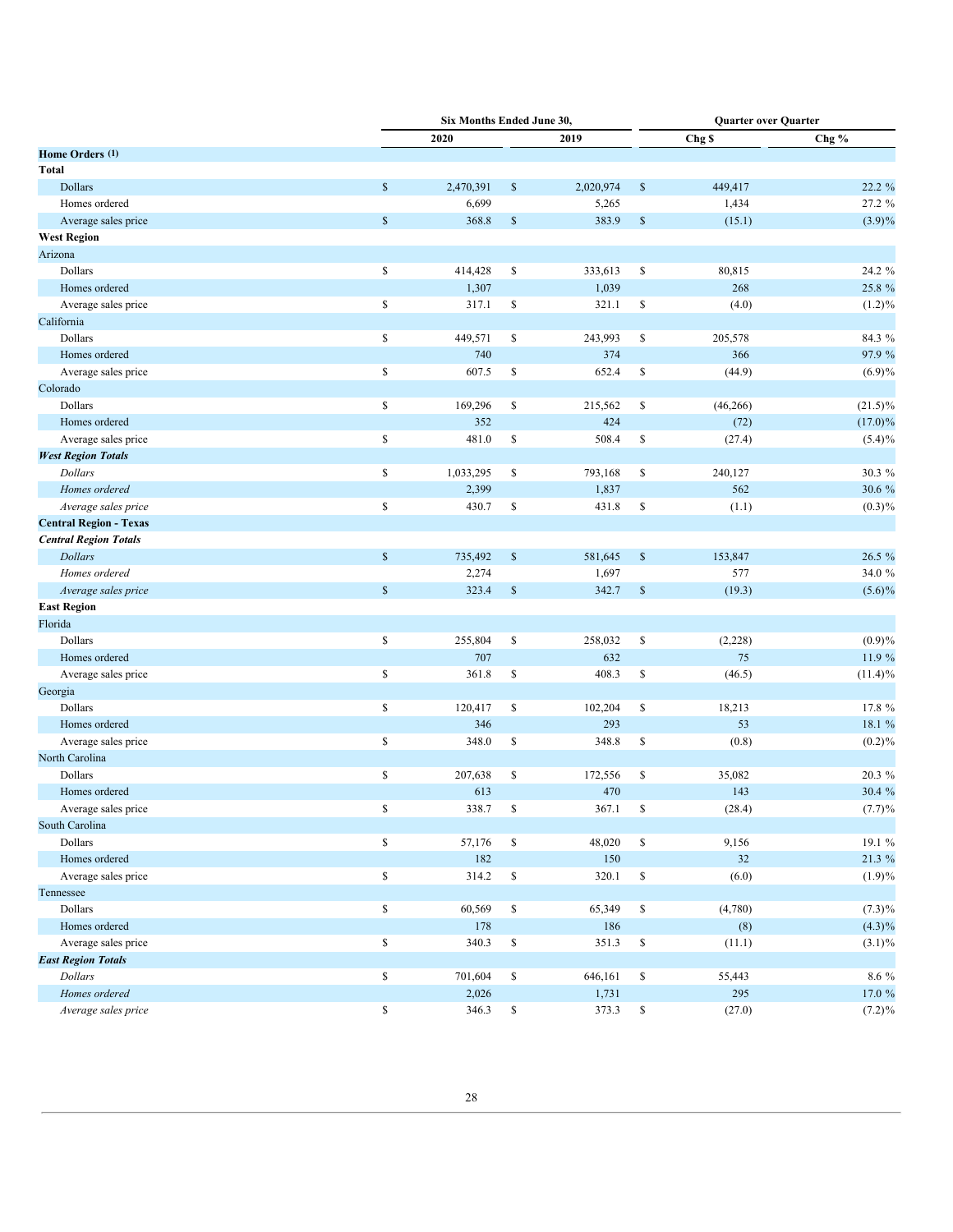|                               |              | Six Months Ended June 30, |              |                |              | Quarter over Quarter |            |
|-------------------------------|--------------|---------------------------|--------------|----------------|--------------|----------------------|------------|
|                               |              | 2020                      |              | 2019           |              | Chg \$               | Chg $%$    |
| Home Orders (1)               |              |                           |              |                |              |                      |            |
| <b>Total</b>                  |              |                           |              |                |              |                      |            |
| Dollars                       | $\mathbb{S}$ | 2,470,391                 | $\mathbb{S}$ | 2,020,974      | $\mathbb{S}$ | 449,417              | 22.2 %     |
| Homes ordered                 |              | 6,699                     |              | 5,265          |              | 1,434                | 27.2 %     |
| Average sales price           | $\mathbb{S}$ | 368.8                     | $\mathbb{S}$ | 383.9          | $\mathbb{S}$ | (15.1)               | $(3.9)\%$  |
| <b>West Region</b>            |              |                           |              |                |              |                      |            |
| Arizona                       |              |                           |              |                |              |                      |            |
| Dollars                       | $\mathbb{S}$ | 414,428                   | \$           | 333,613        | \$           | 80,815               | 24.2 %     |
| Homes ordered                 |              | 1,307                     |              | 1,039          |              | 268                  | 25.8 %     |
| Average sales price           | \$           | 317.1                     | \$           | 321.1          | \$           | (4.0)                | $(1.2)\%$  |
| California                    |              |                           |              |                |              |                      |            |
| Dollars                       | \$           | 449,571                   | \$           | 243,993        | \$           | 205,578              | 84.3 %     |
| Homes ordered                 |              | 740                       |              | 374            |              | 366                  | 97.9 %     |
| Average sales price           | \$           | 607.5                     | \$           | 652.4          | \$           | (44.9)               | $(6.9)\%$  |
| Colorado                      |              |                           |              |                |              |                      |            |
| <b>Dollars</b>                | \$           | 169,296                   | \$           | 215,562        | \$           | (46, 266)            | $(21.5)\%$ |
| Homes ordered                 |              | 352                       |              | 424            |              | (72)                 | $(17.0)\%$ |
| Average sales price           | \$           | 481.0                     | \$           | 508.4          | \$           | (27.4)               | $(5.4)\%$  |
| <b>West Region Totals</b>     |              |                           |              |                |              |                      |            |
| <b>Dollars</b>                | \$           | 1,033,295                 | \$           | 793,168        | \$           | 240,127              | 30.3 %     |
| Homes ordered                 |              | 2,399                     |              | 1,837          |              | 562                  | 30.6 %     |
| Average sales price           | \$           | 430.7                     | \$           | 431.8          | \$           | (1.1)                | $(0.3)\%$  |
| <b>Central Region - Texas</b> |              |                           |              |                |              |                      |            |
| <b>Central Region Totals</b>  |              |                           |              |                |              |                      |            |
| <b>Dollars</b>                | $\mathbb{S}$ | 735,492                   | $\mathbb{S}$ | 581,645        | $\mathbb{S}$ | 153,847              | 26.5 %     |
| Homes ordered                 | $\mathbb{S}$ | 2,274<br>323.4            | $\mathbb{S}$ | 1,697<br>342.7 | $\mathbb{S}$ | 577                  | 34.0 %     |
| Average sales price           |              |                           |              |                |              | (19.3)               | $(5.6)\%$  |
| <b>East Region</b><br>Florida |              |                           |              |                |              |                      |            |
| Dollars                       | \$           | 255,804                   | \$           | 258,032        | \$           | (2,228)              | $(0.9)\%$  |
| Homes ordered                 |              | 707                       |              | 632            |              | 75                   | 11.9 %     |
| Average sales price           | \$           | 361.8                     | \$           | 408.3          | \$           | (46.5)               | $(11.4)\%$ |
| Georgia                       |              |                           |              |                |              |                      |            |
| Dollars                       | \$           | 120,417                   | \$           | 102,204        | \$           | 18,213               | 17.8 %     |
| Homes ordered                 |              | 346                       |              | 293            |              | 53                   | 18.1 %     |
| Average sales price           | \$           | 348.0                     | \$           | 348.8          | \$           | (0.8)                | $(0.2)\%$  |
| North Carolina                |              |                           |              |                |              |                      |            |
| Dollars                       | \$           | 207,638                   | \$           | 172,556        | \$           | 35,082               | 20.3 %     |
| Homes ordered                 |              | 613                       |              | 470            |              | 143                  | 30.4 %     |
| Average sales price           | \$           | 338.7                     | \$           | 367.1          | \$           | (28.4)               | (7.7)%     |
| South Carolina                |              |                           |              |                |              |                      |            |
| Dollars                       | \$           | 57,176                    | \$           | 48,020         | \$           | 9,156                | 19.1 %     |
| Homes ordered                 |              | 182                       |              | 150            |              | 32                   | 21.3 %     |
| Average sales price           | \$           | 314.2                     | \$           | 320.1          | $\mathbb{S}$ | (6.0)                | $(1.9)\%$  |
| Tennessee                     |              |                           |              |                |              |                      |            |
| Dollars                       | \$           | 60,569                    | \$           | 65,349         | \$           | (4,780)              | $(7.3)\%$  |
| Homes ordered                 |              | 178                       |              | 186            |              | (8)                  | $(4.3)\%$  |
| Average sales price           | $\mathbb{S}$ | 340.3                     | $\mathbb{S}$ | 351.3          | \$           | (11.1)               | $(3.1)\%$  |
| <b>East Region Totals</b>     |              |                           |              |                |              |                      |            |
| Dollars                       | $\mathbb{S}$ | 701,604                   | \$           | 646,161        | $\mathbb{S}$ | 55,443               | $8.6~\%$   |
| Homes ordered                 |              | 2,026                     |              | 1,731          |              | 295                  | $17.0\ \%$ |
| Average sales price           | \$           | 346.3                     | \$           | 373.3          | \$           | (27.0)               | $(7.2)\%$  |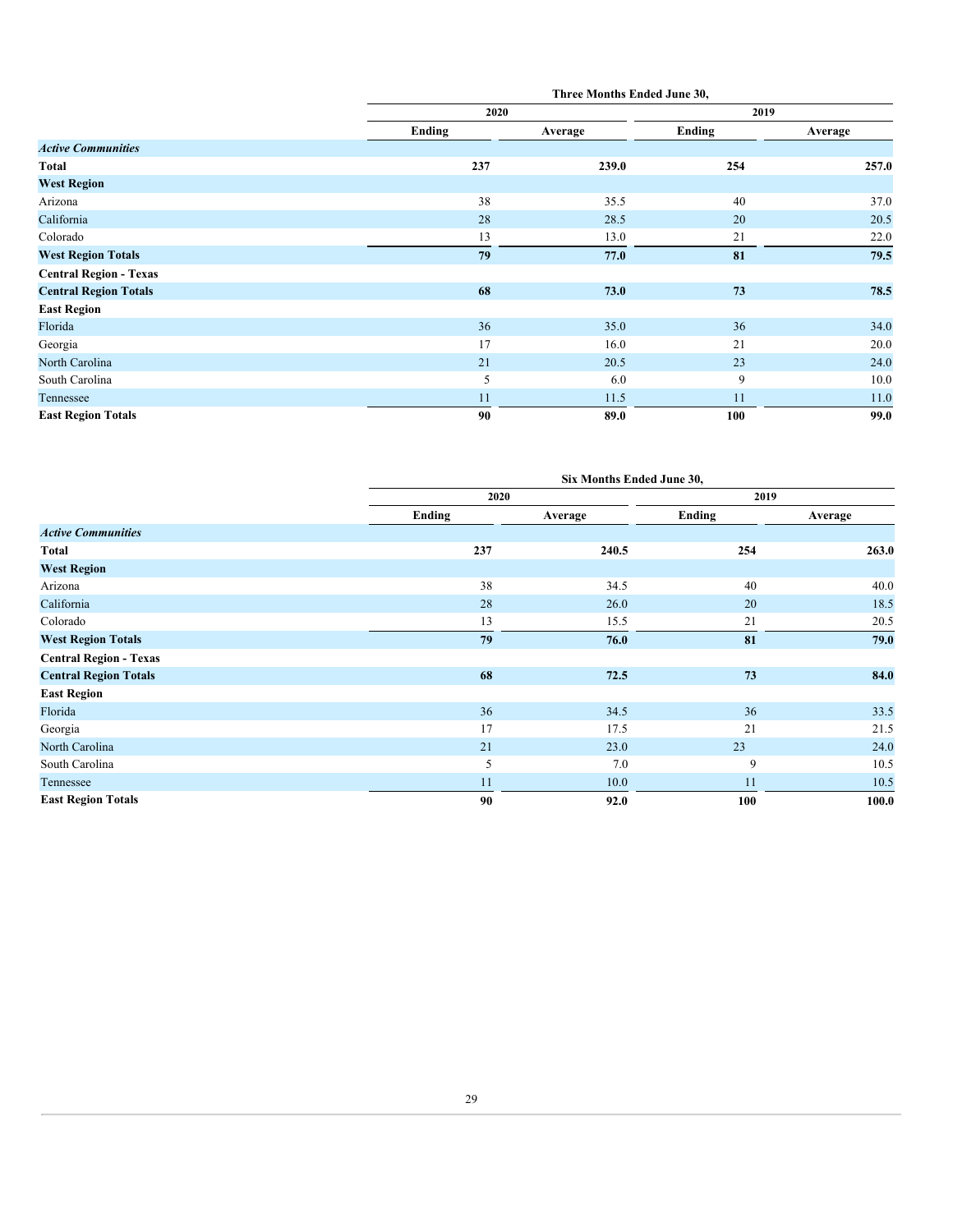|  | Three Months Ended June 30, |  |  |  |
|--|-----------------------------|--|--|--|
|--|-----------------------------|--|--|--|

|                               | 2020          |         |        | 2019    |
|-------------------------------|---------------|---------|--------|---------|
|                               | <b>Ending</b> | Average | Ending | Average |
| <b>Active Communities</b>     |               |         |        |         |
| <b>Total</b>                  | 237           | 239.0   | 254    | 257.0   |
| <b>West Region</b>            |               |         |        |         |
| Arizona                       | 38            | 35.5    | 40     | 37.0    |
| California                    | 28            | 28.5    | 20     | 20.5    |
| Colorado                      | 13            | 13.0    | 21     | 22.0    |
| <b>West Region Totals</b>     | 79            | 77.0    | 81     | 79.5    |
| <b>Central Region - Texas</b> |               |         |        |         |
| <b>Central Region Totals</b>  | 68            | 73.0    | 73     | 78.5    |
| <b>East Region</b>            |               |         |        |         |
| Florida                       | 36            | 35.0    | 36     | 34.0    |
| Georgia                       | 17            | 16.0    | 21     | 20.0    |
| North Carolina                | 21            | 20.5    | 23     | 24.0    |
| South Carolina                | 5             | 6.0     | 9      | 10.0    |
| Tennessee                     | 11            | 11.5    | 11     | 11.0    |
| <b>East Region Totals</b>     | 90            | 89.0    | 100    | 99.0    |

|                               | Six Months Ended June 30, |         |        |         |  |  |  |
|-------------------------------|---------------------------|---------|--------|---------|--|--|--|
|                               | 2020                      |         | 2019   |         |  |  |  |
|                               | Ending                    | Average | Ending | Average |  |  |  |
| <b>Active Communities</b>     |                           |         |        |         |  |  |  |
| <b>Total</b>                  | 237                       | 240.5   | 254    | 263.0   |  |  |  |
| <b>West Region</b>            |                           |         |        |         |  |  |  |
| Arizona                       | 38                        | 34.5    | 40     | 40.0    |  |  |  |
| California                    | 28                        | 26.0    | 20     | 18.5    |  |  |  |
| Colorado                      | 13                        | 15.5    | 21     | 20.5    |  |  |  |
| <b>West Region Totals</b>     | 79                        | 76.0    | 81     | 79.0    |  |  |  |
| <b>Central Region - Texas</b> |                           |         |        |         |  |  |  |
| <b>Central Region Totals</b>  | 68                        | 72.5    | 73     | 84.0    |  |  |  |
| <b>East Region</b>            |                           |         |        |         |  |  |  |
| Florida                       | 36                        | 34.5    | 36     | 33.5    |  |  |  |
| Georgia                       | 17                        | 17.5    | 21     | 21.5    |  |  |  |
| North Carolina                | 21                        | 23.0    | 23     | 24.0    |  |  |  |
| South Carolina                | 5                         | 7.0     | 9      | 10.5    |  |  |  |
| Tennessee                     | 11                        | 10.0    | 11     | 10.5    |  |  |  |
| <b>East Region Totals</b>     | 90                        | 92.0    | 100    | 100.0   |  |  |  |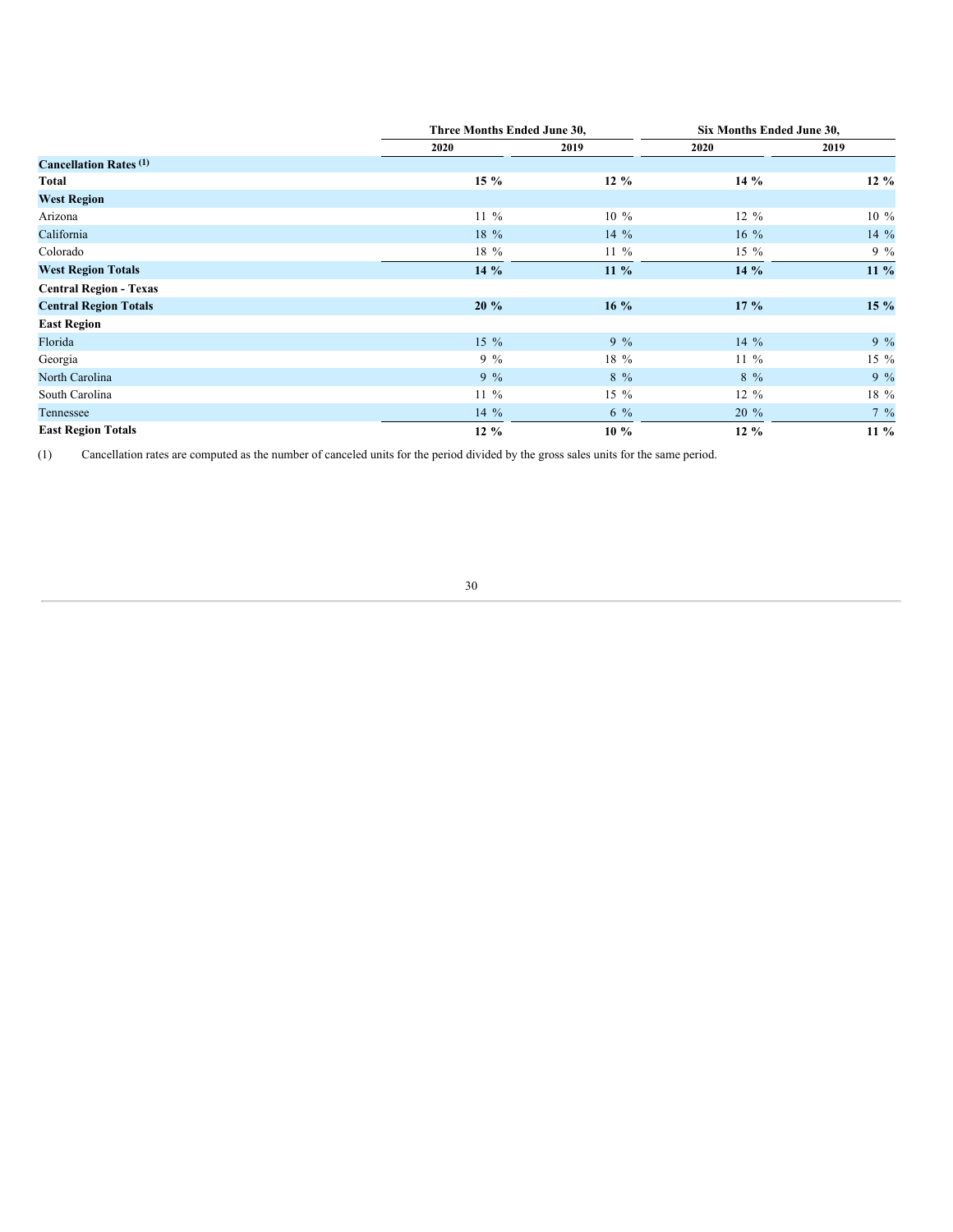|                               | Three Months Ended June 30, |        | Six Months Ended June 30, |                |  |
|-------------------------------|-----------------------------|--------|---------------------------|----------------|--|
|                               | 2020                        | 2019   | 2020                      | 2019           |  |
| <b>Cancellation Rates (1)</b> |                             |        |                           |                |  |
| Total                         | $15 \%$                     | $12\%$ | $14\%$                    | $12\%$         |  |
| <b>West Region</b>            |                             |        |                           |                |  |
| Arizona                       | $11\%$                      | $10\%$ | $12 \frac{9}{6}$          | $10\%$         |  |
| California                    | 18 %                        | $14\%$ | $16\%$                    | 14 %           |  |
| Colorado                      | 18 %                        | $11\%$ | $15\%$                    | $9\%$          |  |
| <b>West Region Totals</b>     | $14\%$                      | $11\%$ | $14\%$                    | $11\%$         |  |
| <b>Central Region - Texas</b> |                             |        |                           |                |  |
| <b>Central Region Totals</b>  | 20%                         | $16\%$ | $17\%$                    | 15 %           |  |
| <b>East Region</b>            |                             |        |                           |                |  |
| Florida                       | $15\%$                      | $9\%$  | 14 $%$                    | $9\%$          |  |
| Georgia                       | $9\%$                       | 18 %   | $11\%$                    | $15\%$         |  |
| North Carolina                | $9\%$                       | $8\%$  | $8\%$                     | $9\%$          |  |
| South Carolina                | $11\%$                      | $15\%$ | $12 \frac{9}{6}$          | 18 %           |  |
| Tennessee                     | 14 $%$                      | $6\%$  | $20\%$                    | $7\frac{9}{6}$ |  |
| <b>East Region Totals</b>     | $12\%$                      | $10\%$ | $12\%$                    | $11\%$         |  |

(1) Cancellation rates are computed as the number of canceled units for the period divided by the gross sales units for the same period.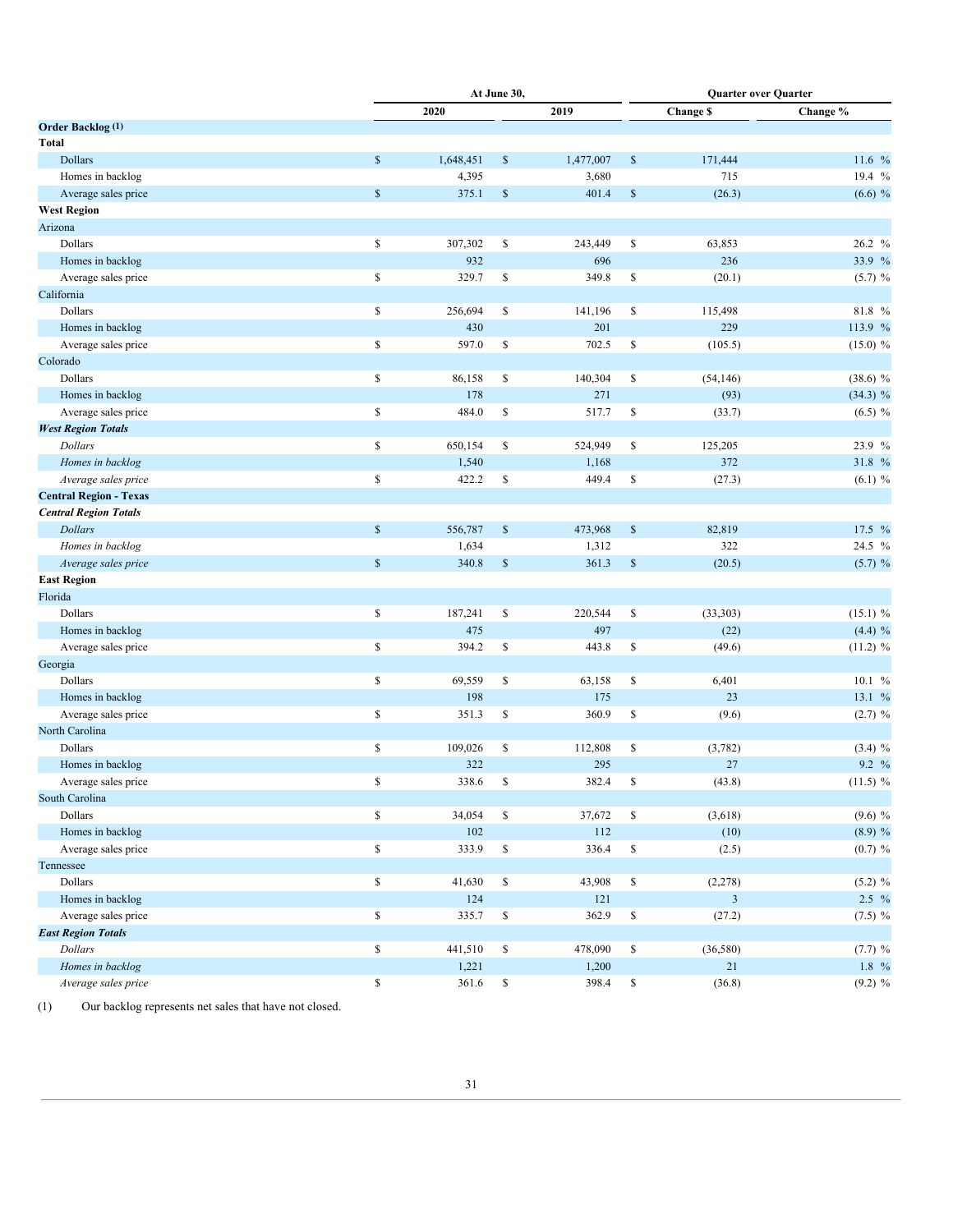|                               |              | At June 30, |                                                                       |           |              | Quarter over Quarter |             |  |
|-------------------------------|--------------|-------------|-----------------------------------------------------------------------|-----------|--------------|----------------------|-------------|--|
|                               |              | 2020        |                                                                       | 2019      |              | <b>Change \$</b>     | Change %    |  |
| <b>Order Backlog</b> (1)      |              |             |                                                                       |           |              |                      |             |  |
| <b>Total</b>                  |              |             |                                                                       |           |              |                      |             |  |
| Dollars                       | $\mathbb S$  | 1,648,451   | $\mathbb{S}$                                                          | 1,477,007 | $\mathbb{S}$ | 171,444              | 11.6 $%$    |  |
| Homes in backlog              |              | 4,395       |                                                                       | 3,680     |              | 715                  | 19.4 %      |  |
| Average sales price           | $\mathbb{S}$ | 375.1       | $\mathbb{S}$                                                          | 401.4     | $\mathbb{S}$ | (26.3)               | $(6.6) \%$  |  |
| <b>West Region</b>            |              |             |                                                                       |           |              |                      |             |  |
| Arizona                       |              |             |                                                                       |           |              |                      |             |  |
| Dollars                       | \$           | 307,302     | \$                                                                    | 243,449   | \$           | 63,853               | 26.2 %      |  |
| Homes in backlog              |              | 932         |                                                                       | 696       |              | 236                  | 33.9 %      |  |
| Average sales price           | \$           | 329.7       | \$                                                                    | 349.8     | \$           | (20.1)               | (5.7) %     |  |
| California                    |              |             |                                                                       |           |              |                      |             |  |
| Dollars                       | \$           | 256,694     | \$                                                                    | 141,196   | \$           | 115,498              | 81.8 %      |  |
| Homes in backlog              |              | 430         |                                                                       | 201       |              | 229                  | 113.9 %     |  |
| Average sales price           | \$           | 597.0       | \$                                                                    | 702.5     | \$           | (105.5)              | (15.0) %    |  |
| Colorado                      |              |             |                                                                       |           |              |                      |             |  |
| Dollars                       | \$           | 86,158      | \$                                                                    | 140,304   | \$           | (54, 146)            | $(38.6)$ %  |  |
| Homes in backlog              |              | 178         |                                                                       | 271       |              | (93)                 | (34.3) %    |  |
| Average sales price           | \$           | 484.0       | $\mathbb{S}$                                                          | 517.7     | \$           | (33.7)               | $(6.5) \%$  |  |
| <b>West Region Totals</b>     |              |             |                                                                       |           |              |                      |             |  |
| <b>Dollars</b>                | \$           | 650,154     | \$                                                                    | 524,949   | \$           | 125,205              | 23.9 %      |  |
| Homes in backlog              |              | 1,540       |                                                                       | 1,168     |              | 372                  | 31.8 %      |  |
| Average sales price           | \$           | 422.2       | \$                                                                    | 449.4     | \$           | (27.3)               | $(6.1) \%$  |  |
| <b>Central Region - Texas</b> |              |             |                                                                       |           |              |                      |             |  |
| <b>Central Region Totals</b>  |              |             |                                                                       |           |              |                      |             |  |
| <b>Dollars</b>                | $\mathbb{S}$ | 556,787     | $\mathbb{S}$                                                          | 473,968   | $\mathbb{S}$ | 82,819               | 17.5 $%$    |  |
| Homes in backlog              |              | 1,634       |                                                                       | 1,312     |              | 322                  | 24.5 %      |  |
| Average sales price           | $\mathbb{S}$ | 340.8       | $\mathbb{S}$                                                          | 361.3     | $\mathbb{S}$ | (20.5)               | $(5.7) \%$  |  |
| <b>East Region</b>            |              |             |                                                                       |           |              |                      |             |  |
| Florida                       |              |             |                                                                       |           |              |                      |             |  |
| Dollars                       | \$           | 187,241     | \$                                                                    | 220,544   | \$           | (33, 303)            | $(15.1) \%$ |  |
| Homes in backlog              |              | 475         |                                                                       | 497       |              | (22)                 | $(4.4) \%$  |  |
| Average sales price           | \$           | 394.2       | \$                                                                    | 443.8     | \$           | (49.6)               | (11.2) %    |  |
| Georgia                       |              |             |                                                                       |           |              |                      |             |  |
| Dollars                       | \$           | 69,559      | \$                                                                    | 63,158    | \$           | 6,401                | 10.1 %      |  |
| Homes in backlog              |              | 198         |                                                                       | 175       |              | 23                   | 13.1%       |  |
| Average sales price           | \$           | 351.3       | \$                                                                    | 360.9     | \$           | (9.6)                | $(2.7)$ %   |  |
| North Carolina                |              |             |                                                                       |           |              |                      |             |  |
| Dollars                       | \$           | 109,026     | \$                                                                    | 112,808   | \$           | (3,782)              | $(3.4) \%$  |  |
| Homes in backlog              |              | 322         |                                                                       | 295       |              | 27                   | 9.2 %       |  |
| Average sales price           | $\mathbb{S}$ | 338.6       | $\mathbb{S}$                                                          | 382.4     | \$           | (43.8)               | $(11.5) \%$ |  |
| South Carolina                |              |             |                                                                       |           |              |                      |             |  |
| Dollars                       | \$           | 34,054      | \$                                                                    | 37,672    | $\mathbb S$  | (3,618)              | $(9.6)$ %   |  |
| Homes in backlog              |              | 102         |                                                                       | 112       |              | (10)                 | $(8.9)$ %   |  |
| Average sales price           | \$           | 333.9       | $\mathbb S$                                                           | 336.4     | \$           | (2.5)                | $(0.7)$ %   |  |
| Tennessee                     |              |             |                                                                       |           |              |                      |             |  |
| Dollars                       | \$           | 41,630      | \$                                                                    | 43,908    | \$           | (2,278)              | $(5.2) \%$  |  |
| Homes in backlog              |              | 124         |                                                                       | 121       |              | 3 <sup>1</sup>       | $2.5\%$     |  |
| Average sales price           | $\mathbb{S}$ | 335.7       | $\mathbb{S}% _{t}\left( t\right) \equiv\mathbb{S}_{t}\left( t\right)$ | 362.9     | $\mathbb{S}$ | (27.2)               | $(7.5) \%$  |  |
| <b>East Region Totals</b>     |              |             |                                                                       |           |              |                      |             |  |
| Dollars                       | $\mathbb{S}$ | 441,510     | $\mathbb{S}$                                                          | 478,090   | $\mathbb S$  | (36,580)             | $(7.7)$ %   |  |
| Homes in backlog              |              | 1,221       |                                                                       | 1,200     |              | $21\,$               | $1.8\,%$    |  |
| Average sales price           | $\mathbb S$  | 361.6       | $\mathbb S$                                                           | 398.4     | $\mathbb{S}$ | (36.8)               | $(9.2) \%$  |  |

(1) Our backlog represents net sales that have not closed.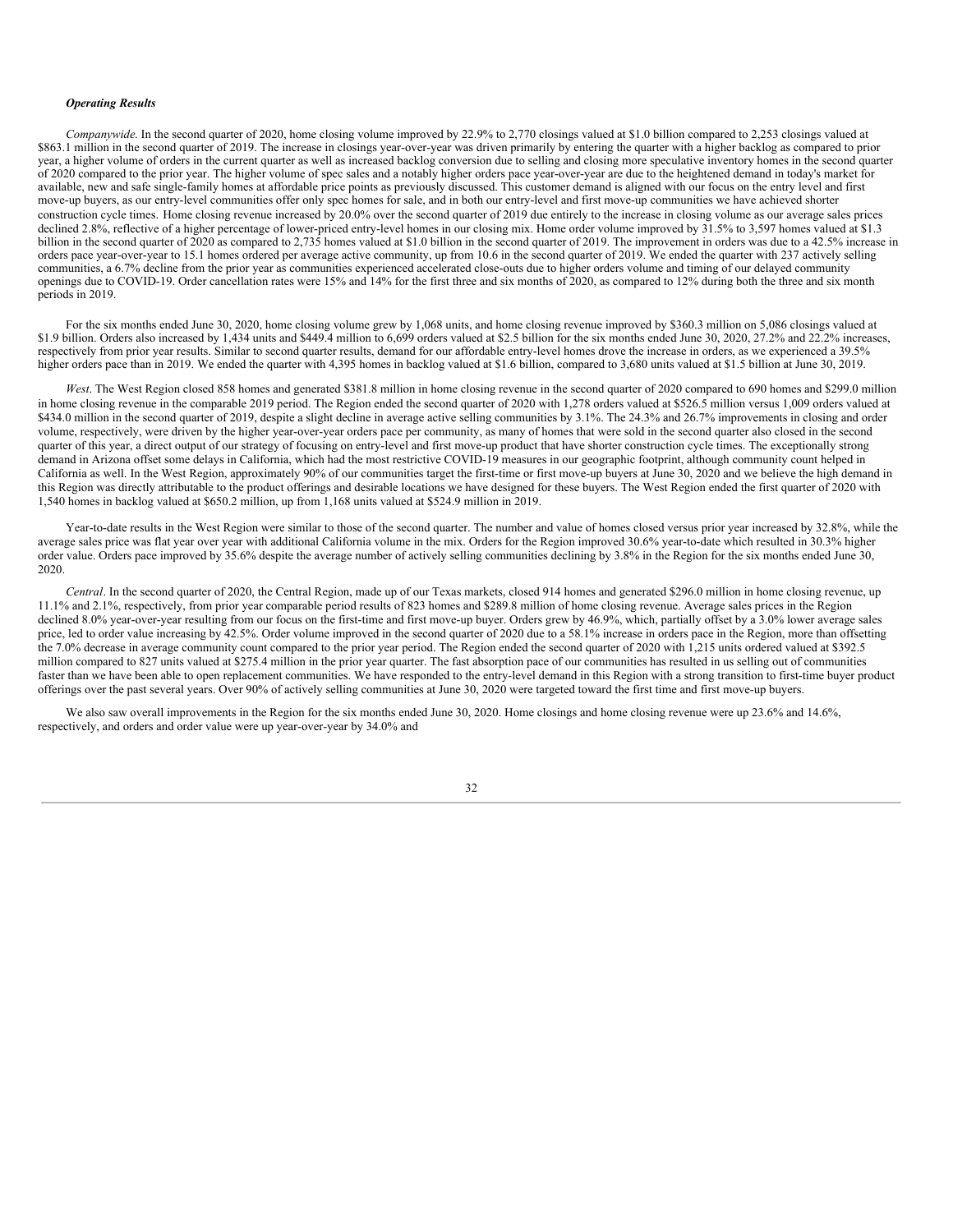### *Operating Results*

*Companywide*. In the second quarter of 2020, home closing volume improved by 22.9% to 2,770 closings valued at \$1.0 billion compared to 2,253 closings valued at \$863.1 million in the second quarter of 2019. The increase in closings year-over-year was driven primarily by entering the quarter with a higher backlog as compared to prior year, a higher volume of orders in the current quarter as well as increased backlog conversion due to selling and closing more speculative inventory homes in the second quarter of 2020 compared to the prior year. The higher volume of spec sales and a notably higher orders pace year-over-year are due to the heightened demand in today's market for available, new and safe single-family homes at affordable price points as previously discussed. This customer demand is aligned with our focus on the entry level and first move-up buyers, as our entry-level communities offer only spec homes for sale, and in both our entry-level and first move-up communities we have achieved shorter construction cycle times. Home closing revenue increased by 20.0% over the second quarter of 2019 due entirely to the increase in closing volume as our average sales prices declined 2.8%, reflective of a higher percentage of lower-priced entry-level homes in our closing mix. Home order volume improved by 31.5% to 3,597 homes valued at \$1.3 billion in the second quarter of 2020 as compared to 2,735 homes valued at \$1.0 billion in the second quarter of 2019. The improvement in orders was due to a 42.5% increase in orders pace year-over-year to 15.1 homes ordered per average active community, up from 10.6 in the second quarter of 2019. We ended the quarter with 237 actively selling communities, a 6.7% decline from the prior year as communities experienced accelerated close-outs due to higher orders volume and timing of our delayed community openings due to COVID-19. Order cancellation rates were 15% and 14% for the first three and six months of 2020, as compared to 12% during both the three and six month periods in 2019.

For the six months ended June 30, 2020, home closing volume grew by 1,068 units, and home closing revenue improved by \$360.3 million on 5,086 closings valued at \$1.9 billion. Orders also increased by 1.434 units and \$449.4 million to 6.699 orders valued at \$2.5 billion for the six months ended June 30, 2020, 27.2% and 22.2% increases, respectively from prior year results. Similar to second quarter results, demand for our affordable entry-level homes drove the increase in orders, as we experienced a 39.5% higher orders pace than in 2019. We ended the quarter with 4,395 homes in backlog valued at \$1.6 billion, compared to 3,680 units valued at \$1.5 billion at June 30, 2019.

West. The West Region closed 858 homes and generated \$381.8 million in home closing revenue in the second quarter of 2020 compared to 690 homes and \$299.0 million in home closing revenue in the comparable 2019 period. The Region ended the second quarter of 2020 with 1,278 orders valued at \$526.5 million versus 1,009 orders valued at \$434.0 million in the second quarter of 2019, despite a slight decline in average active selling communities by 3.1%. The 24.3% and 26.7% improvements in closing and order volume, respectively, were driven by the higher year-over-year orders pace per community, as many of homes that were sold in the second quarter also closed in the second quarter of this year, a direct output of our strategy of focusing on entry-level and first move-up product that have shorter construction cycle times. The exceptionally strong demand in Arizona offset some delays in California, which had the most restrictive COVID-19 measures in our geographic footprint, although community count helped in California as well. In the West Region, approximately 90% of our communities target the first-time or first move-up buyers at June 30, 2020 and we believe the high demand in this Region was directly attributable to the product offerings and desirable locations we have designed for these buyers. The West Region ended the first quarter of 2020 with 1,540 homes in backlog valued at \$650.2 million, up from 1,168 units valued at \$524.9 million in 2019.

Year-to-date results in the West Region were similar to those of the second quarter. The number and value of homes closed versus prior year increased by 32.8%, while the average sales price was flat year over year with additional California volume in the mix. Orders for the Region improved 30.6% year-to-date which resulted in 30.3% higher order value. Orders pace improved by 35.6% despite the average number of actively selling communities declining by 3.8% in the Region for the six months ended June 30, 2020.

*Central*. In the second quarter of 2020, the Central Region, made up of our Texas markets, closed 914 homes and generated \$296.0 million in home closing revenue, up 11.1% and 2.1%, respectively, from prior year comparable period results of 823 homes and \$289.8 million of home closing revenue. Average sales prices in the Region declined 8.0% year-over-year resulting from our focus on the first-time and first move-up buyer. Orders grew by 46.9%, which, partially offset by a 3.0% lower average sales price, led to order value increasing by 42.5%. Order volume improved in the second quarter of 2020 due to a 58.1% increase in orders pace in the Region, more than offsetting the 7.0% decrease in average community count compared to the prior year period. The Region ended the second quarter of 2020 with 1,215 units ordered valued at \$392.5 million compared to 827 units valued at \$275.4 million in the prior year quarter. The fast absorption pace of our communities has resulted in us selling out of communities faster than we have been able to open replacement communities. We have responded to the entry-level demand in this Region with a strong transition to first-time buyer product offerings over the past several years. Over 90% of actively selling communities at June 30, 2020 were targeted toward the first time and first move-up buyers.

We also saw overall improvements in the Region for the six months ended June 30, 2020. Home closings and home closing revenue were up 23.6% and 14.6%, respectively, and orders and order value were up year-over-year by 34.0% and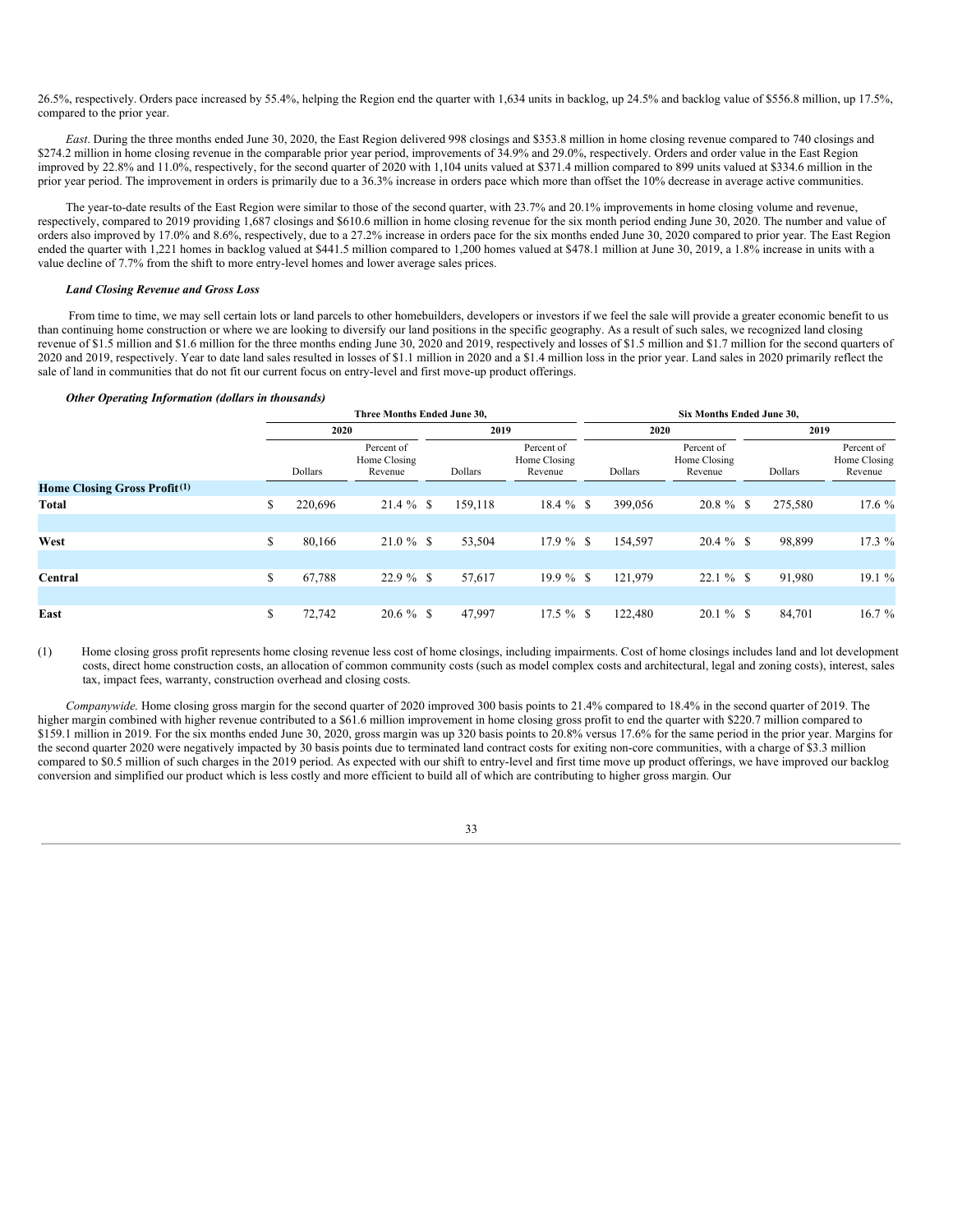26.5%, respectively. Orders pace increased by 55.4%, helping the Region end the quarter with 1,634 units in backlog, up 24.5% and backlog value of \$556.8 million, up 17.5%, compared to the prior year.

*East*. During the three months ended June 30, 2020, the East Region delivered 998 closings and \$353.8 million in home closing revenue compared to 740 closings and \$274.2 million in home closing revenue in the comparable prior year period, improvements of 34.9% and 29.0%, respectively. Orders and order value in the East Region improved by 22.8% and 11.0%, respectively, for the second quarter of 2020 with 1,104 units valued at \$371.4 million compared to 899 units valued at \$334.6 million in the prior year period. The improvement in orders is primarily due to a 36.3% increase in orders pace which more than offset the 10% decrease in average active communities.

The year-to-date results of the East Region were similar to those of the second quarter, with 23.7% and 20.1% improvements in home closing volume and revenue, respectively, compared to 2019 providing 1,687 closings and \$610.6 million in home closing revenue for the six month period ending June 30, 2020. The number and value of orders also improved by 17.0% and 8.6%, respectively, due to a 27.2% increase in orders pace for the six months ended June 30, 2020 compared to prior year. The East Region ended the quarter with 1,221 homes in backlog valued at \$441.5 million compared to 1,200 homes valued at \$478.1 million at June 30, 2019, a 1.8% increase in units with a value decline of 7.7% from the shift to more entry-level homes and lower average sales prices.

### *Land Closing Revenue and Gross Loss*

From time to time, we may sell certain lots or land parcels to other homebuilders, developers or investors if we feel the sale will provide a greater economic benefit to us than continuing home construction or where we are looking to diversify our land positions in the specific geography. As a result of such sales, we recognized land closing revenue of \$1.5 million and \$1.6 million for the three months ending June 30, 2020 and 2019, respectively and losses of \$1.5 million and \$1.7 million for the second quarters of 2020 and 2019, respectively. Year to date land sales resulted in losses of \$1.1 million in 2020 and a \$1.4 million loss in the prior year. Land sales in 2020 primarily reflect the sale of land in communities that do not fit our current focus on entry-level and first move-up product offerings.

#### *Other Operating Information (dollars in thousands)*

|                                          | Three Months Ended June 30, |                                       |  |         |                                       |  | Six Months Ended June 30, |                                       |  |         |                                       |  |
|------------------------------------------|-----------------------------|---------------------------------------|--|---------|---------------------------------------|--|---------------------------|---------------------------------------|--|---------|---------------------------------------|--|
|                                          | 2020                        |                                       |  | 2019    |                                       |  | 2020                      |                                       |  | 2019    |                                       |  |
|                                          | Dollars                     | Percent of<br>Home Closing<br>Revenue |  | Dollars | Percent of<br>Home Closing<br>Revenue |  | Dollars                   | Percent of<br>Home Closing<br>Revenue |  | Dollars | Percent of<br>Home Closing<br>Revenue |  |
| Home Closing Gross Profit <sup>(1)</sup> |                             |                                       |  |         |                                       |  |                           |                                       |  |         |                                       |  |
| Total                                    | \$<br>220,696               | $21.4 \%$ \$                          |  | 159,118 | $18.4 \%$ \$                          |  | 399,056                   | $20.8 \%$ \$                          |  | 275,580 | 17.6 $%$                              |  |
|                                          |                             |                                       |  |         |                                       |  |                           |                                       |  |         |                                       |  |
| West                                     | \$<br>80,166                | $21.0 \%$ \$                          |  | 53,504  | $17.9 \%$ \$                          |  | 154,597                   | $20.4 \%$ \$                          |  | 98,899  | $17.3\%$                              |  |
|                                          |                             |                                       |  |         |                                       |  |                           |                                       |  |         |                                       |  |
| Central                                  | \$<br>67,788                | $22.9 \%$ \$                          |  | 57,617  | $19.9 \%$ \$                          |  | 121,979                   | $22.1 \%$ \$                          |  | 91,980  | 19.1%                                 |  |
|                                          |                             |                                       |  |         |                                       |  |                           |                                       |  |         |                                       |  |
| East                                     | \$<br>72,742                | $20.6 \%$ \$                          |  | 47,997  | $17.5 \%$ \$                          |  | 122,480                   | $20.1 \%$ \$                          |  | 84,701  | 16.7%                                 |  |

(1) Home closing gross profit represents home closing revenue less cost of home closings, including impairments. Cost of home closings includes land and lot development costs, direct home construction costs, an allocation of common community costs (such as model complex costs and architectural, legal and zoning costs), interest, sales tax, impact fees, warranty, construction overhead and closing costs.

*Companywide*. Home closing gross margin for the second quarter of 2020 improved 300 basis points to 21.4% compared to 18.4% in the second quarter of 2019. The higher margin combined with higher revenue contributed to a \$61.6 million improvement in home closing gross profit to end the quarter with \$220.7 million compared to \$159.1 million in 2019. For the six months ended June 30, 2020, gross margin was up 320 basis points to 20.8% versus 17.6% for the same period in the prior year. Margins for the second quarter 2020 were negatively impacted by 30 basis points due to terminated land contract costs for exiting non-core communities, with a charge of \$3.3 million compared to \$0.5 million of such charges in the 2019 period. As expected with our shift to entry-level and first time move up product offerings, we have improved our backlog conversion and simplified our product which is less costly and more efficient to build all of which are contributing to higher gross margin. Our

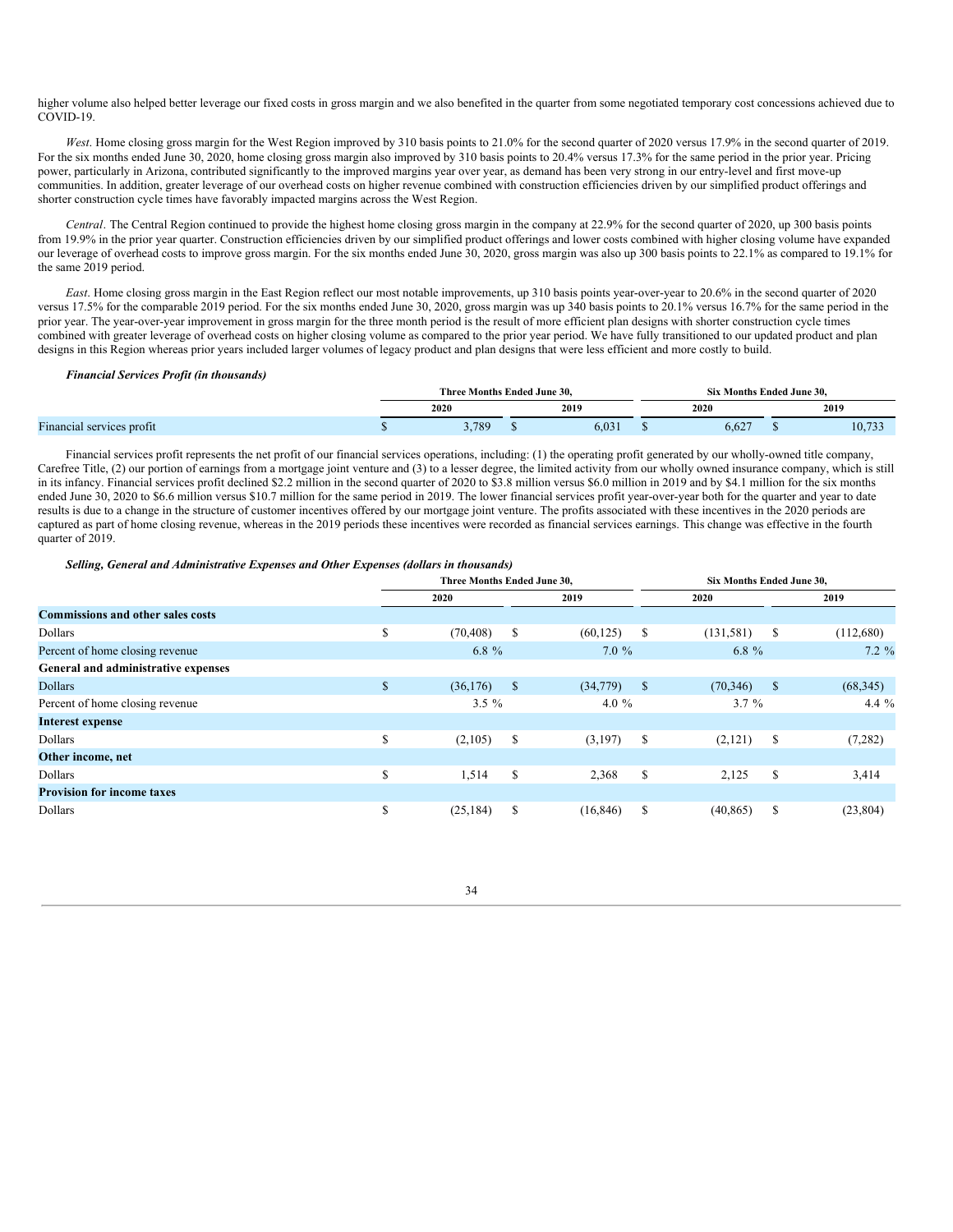higher volume also helped better leverage our fixed costs in gross margin and we also benefited in the quarter from some negotiated temporary cost concessions achieved due to COVID-19.

West. Home closing gross margin for the West Region improved by 310 basis points to 21.0% for the second quarter of 2020 versus 17.9% in the second quarter of 2019. For the six months ended June 30, 2020, home closing gross margin also improved by 310 basis points to 20.4% versus 17.3% for the same period in the prior year. Pricing power, particularly in Arizona, contributed significantly to the improved margins year over year, as demand has been very strong in our entry-level and first move-up communities. In addition, greater leverage of our overhead costs on higher revenue combined with construction efficiencies driven by our simplified product offerings and shorter construction cycle times have favorably impacted margins across the West Region.

*Central*. The Central Region continued to provide the highest home closing gross margin in the company at 22.9% for the second quarter of 2020, up 300 basis points from 19.9% in the prior year quarter. Construction efficiencies driven by our simplified product offerings and lower costs combined with higher closing volume have expanded our leverage of overhead costs to improve gross margin. For the six months ended June 30, 2020, gross margin was also up 300 basis points to 22.1% as compared to 19.1% for the same 2019 period.

*East*. Home closing gross margin in the East Region reflect our most notable improvements, up 310 basis points year-over-year to 20.6% in the second quarter of 2020 versus 17.5% for the comparable 2019 period. For the six months ended June 30, 2020, gross margin was up 340 basis points to 20.1% versus 16.7% for the same period in the prior year. The year-over-year improvement in gross margin for the three month period is the result of more efficient plan designs with shorter construction cycle times combined with greater leverage of overhead costs on higher closing volume as compared to the prior year period. We have fully transitioned to our updated product and plan designs in this Region whereas prior years included larger volumes of legacy product and plan designs that were less efficient and more costly to build.

### *Financial Services Profit (in thousands)*

|                                           | Three Months Ended June 30. |  |                     | Six Months Ended June 30. |       |  |        |
|-------------------------------------------|-----------------------------|--|---------------------|---------------------------|-------|--|--------|
|                                           | 2020                        |  | 2019                |                           | 2020  |  | 2019   |
| $\mathbf{r}$<br>Financial services profit | 700<br>J. 105               |  | .02<br><b>U.U.J</b> |                           | 6,627 |  | 10,733 |

Financial services profit represents the net profit of our financial services operations, including: (1) the operating profit generated by our wholly-owned title company, Carefree Title, (2) our portion of earnings from a mortgage joint venture and (3) to a lesser degree, the limited activity from our wholly owned insurance company, which is still in its infancy. Financial services profit declined \$2.2 million in the second quarter of 2020 to \$3.8 million versus \$6.0 million in 2019 and by \$4.1 million for the six months ended June 30, 2020 to \$6.6 million versus \$10.7 million for the same period in 2019. The lower financial services profit year-over-year both for the quarter and year to date results is due to a change in the structure of customer incentives offered by our mortgage joint venture. The profits associated with these incentives in the 2020 periods are captured as part of home closing revenue, whereas in the 2019 periods these incentives were recorded as financial services earnings. This change was effective in the fourth quarter of 2019.

#### *Selling, General and Administrative Expenses and Other Expenses (dollars in thousands)*

|                                          |              | Three Months Ended June 30, |    |           |    | Six Months Ended June 30, |      |           |  |
|------------------------------------------|--------------|-----------------------------|----|-----------|----|---------------------------|------|-----------|--|
|                                          |              | 2020                        |    | 2019      |    | 2020                      |      | 2019      |  |
| <b>Commissions and other sales costs</b> |              |                             |    |           |    |                           |      |           |  |
| Dollars                                  | \$           | (70, 408)                   | \$ | (60, 125) | S  | (131, 581)                | S    | (112,680) |  |
| Percent of home closing revenue          |              | 6.8 $%$                     |    | $7.0 \%$  |    | 6.8 $%$                   |      | $7.2\%$   |  |
| General and administrative expenses      |              |                             |    |           |    |                           |      |           |  |
| <b>Dollars</b>                           | $\mathbb{S}$ | (36,176)                    | -S | (34,779)  | -S | (70, 346)                 | - \$ | (68,345)  |  |
| Percent of home closing revenue          |              | $3.5 \%$                    |    | 4.0 $\%$  |    | $3.7\%$                   |      | 4.4 $%$   |  |
| <b>Interest expense</b>                  |              |                             |    |           |    |                           |      |           |  |
| Dollars                                  | S            | (2,105)                     | \$ | (3,197)   | -S | (2,121)                   | S    | (7, 282)  |  |
| Other income, net                        |              |                             |    |           |    |                           |      |           |  |
| Dollars                                  | S            | 1,514                       | S  | 2,368     | S  | 2,125                     | S.   | 3,414     |  |
| <b>Provision for income taxes</b>        |              |                             |    |           |    |                           |      |           |  |
| Dollars                                  | S            | (25, 184)                   | S  | (16, 846) | S  | (40, 865)                 | S    | (23, 804) |  |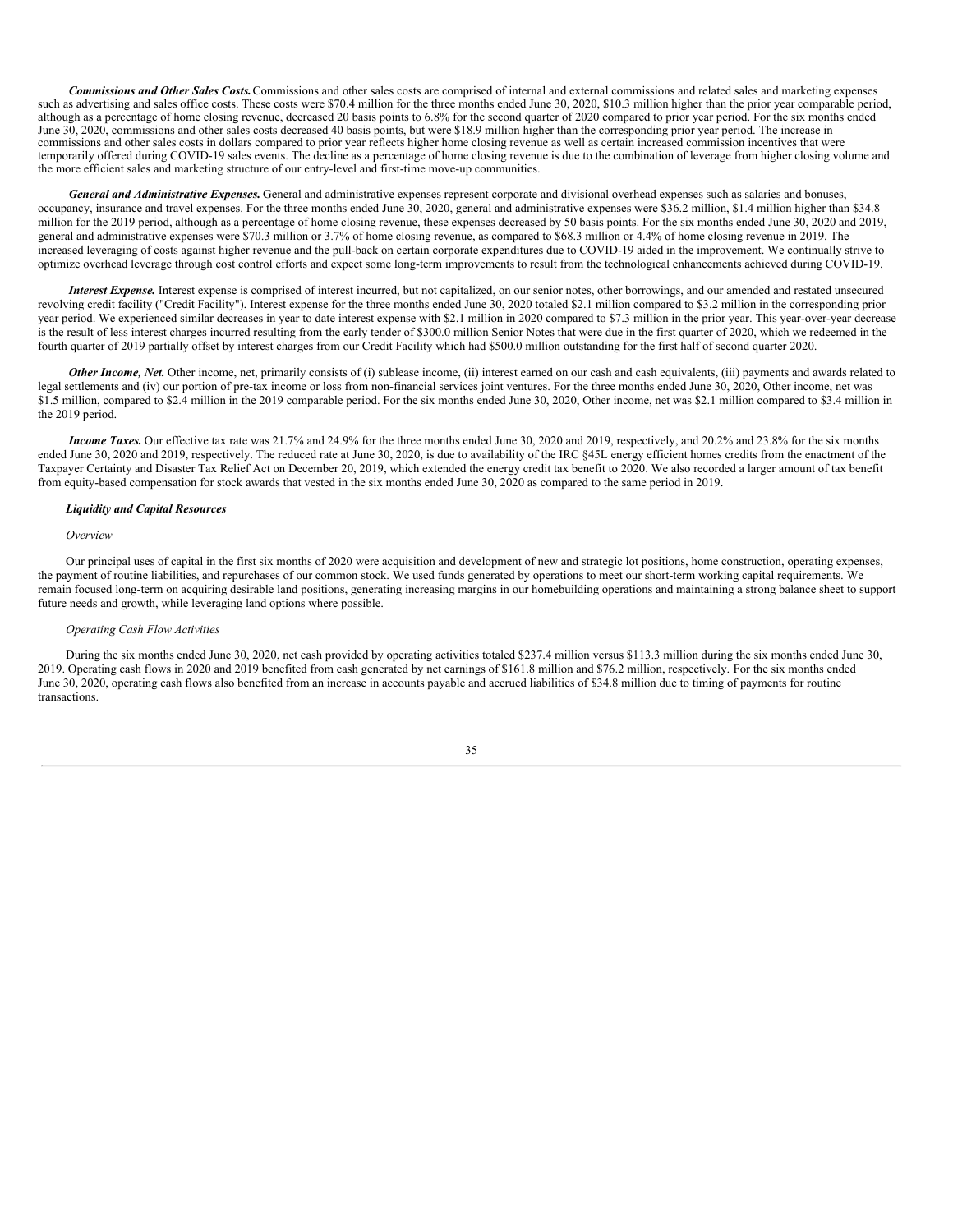*Commissions and Other Sales Costs.*Commissions and other sales costs are comprised of internal and external commissions and related sales and marketing expenses such as advertising and sales office costs. These costs were \$70.4 million for the three months ended June 30, 2020, \$10.3 million higher than the prior year comparable period, although as a percentage of home closing revenue, decreased 20 basis points to 6.8% for the second quarter of 2020 compared to prior year period. For the six months ended June 30, 2020, commissions and other sales costs decreased 40 basis points, but were \$18.9 million higher than the corresponding prior year period. The increase in commissions and other sales costs in dollars compared to prior year reflects higher home closing revenue as well as certain increased commission incentives that were temporarily offered during COVID-19 sales events. The decline as a percentage of home closing revenue is due to the combination of leverage from higher closing volume and the more efficient sales and marketing structure of our entry-level and first-time move-up communities.

*General and Administrative Expenses.* General and administrative expenses represent corporate and divisional overhead expenses such as salaries and bonuses, occupancy, insurance and travel expenses. For the three months ended June 30, 2020, general and administrative expenses were \$36.2 million, \$1.4 million higher than \$34.8 million for the 2019 period, although as a percentage of home closing revenue, these expenses decreased by 50 basis points. For the six months ended June 30, 2020 and 2019, general and administrative expenses were \$70.3 million or 3.7% of home closing revenue, as compared to \$68.3 million or 4.4% of home closing revenue in 2019. The increased leveraging of costs against higher revenue and the pull-back on certain corporate expenditures due to COVID-19 aided in the improvement. We continually strive to optimize overhead leverage through cost control efforts and expect some long-term improvements to result from the technological enhancements achieved during COVID-19.

*Interest Expense.* Interest expense is comprised of interest incurred, but not capitalized, on our senior notes, other borrowings, and our amended and restated unsecured revolving credit facility ("Credit Facility"). Interest expense for the three months ended June 30, 2020 totaled \$2.1 million compared to \$3.2 million in the corresponding prior year period. We experienced similar decreases in year to date interest expense with \$2.1 million in 2020 compared to \$7.3 million in the prior year. This year-over-year decrease is the result of less interest charges incurred resulting from the early tender of \$300.0 million Senior Notes that were due in the first quarter of 2020, which we redeemed in the fourth quarter of 2019 partially offset by interest charges from our Credit Facility which had \$500.0 million outstanding for the first half of second quarter 2020.

*Other Income, Net.* Other income, net, primarily consists of (i) sublease income, (ii) interest earned on our cash and cash equivalents, (iii) payments and awards related to legal settlements and (iv) our portion of pre-tax income or loss from non-financial services joint ventures. For the three months ended June 30, 2020, Other income, net was \$1.5 million, compared to \$2.4 million in the 2019 comparable period. For the six months ended June 30, 2020, Other income, net was \$2.1 million compared to \$3.4 million in the 2019 period.

*Income Taxes.* Our effective tax rate was 21.7% and 24.9% for the three months ended June 30, 2020 and 2019, respectively, and 20.2% and 23.8% for the six months ended June 30, 2020 and 2019, respectively. The reduced rate at June 30, 2020, is due to availability of the IRC §45L energy efficient homes credits from the enactment of the Taxpayer Certainty and Disaster Tax Relief Act on December 20, 2019, which extended the energy credit tax benefit to 2020. We also recorded a larger amount of tax benefit from equity-based compensation for stock awards that vested in the six months ended June 30, 2020 as compared to the same period in 2019.

#### *Liquidity and Capital Resources*

#### *Overview*

Our principal uses of capital in the first six months of 2020 were acquisition and development of new and strategic lot positions, home construction, operating expenses, the payment of routine liabilities, and repurchases of our common stock. We used funds generated by operations to meet our short-term working capital requirements. We remain focused long-term on acquiring desirable land positions, generating increasing margins in our homebuilding operations and maintaining a strong balance sheet to support future needs and growth, while leveraging land options where possible.

### *Operating Cash Flow Activities*

During the six months ended June 30, 2020, net cash provided by operating activities totaled \$237.4 million versus \$113.3 million during the six months ended June 30, 2019. Operating cash flows in 2020 and 2019 benefited from cash generated by net earnings of \$161.8 million and \$76.2 million, respectively. For the six months ended June 30, 2020, operating cash flows also benefited from an increase in accounts payable and accrued liabilities of \$34.8 million due to timing of payments for routine transactions.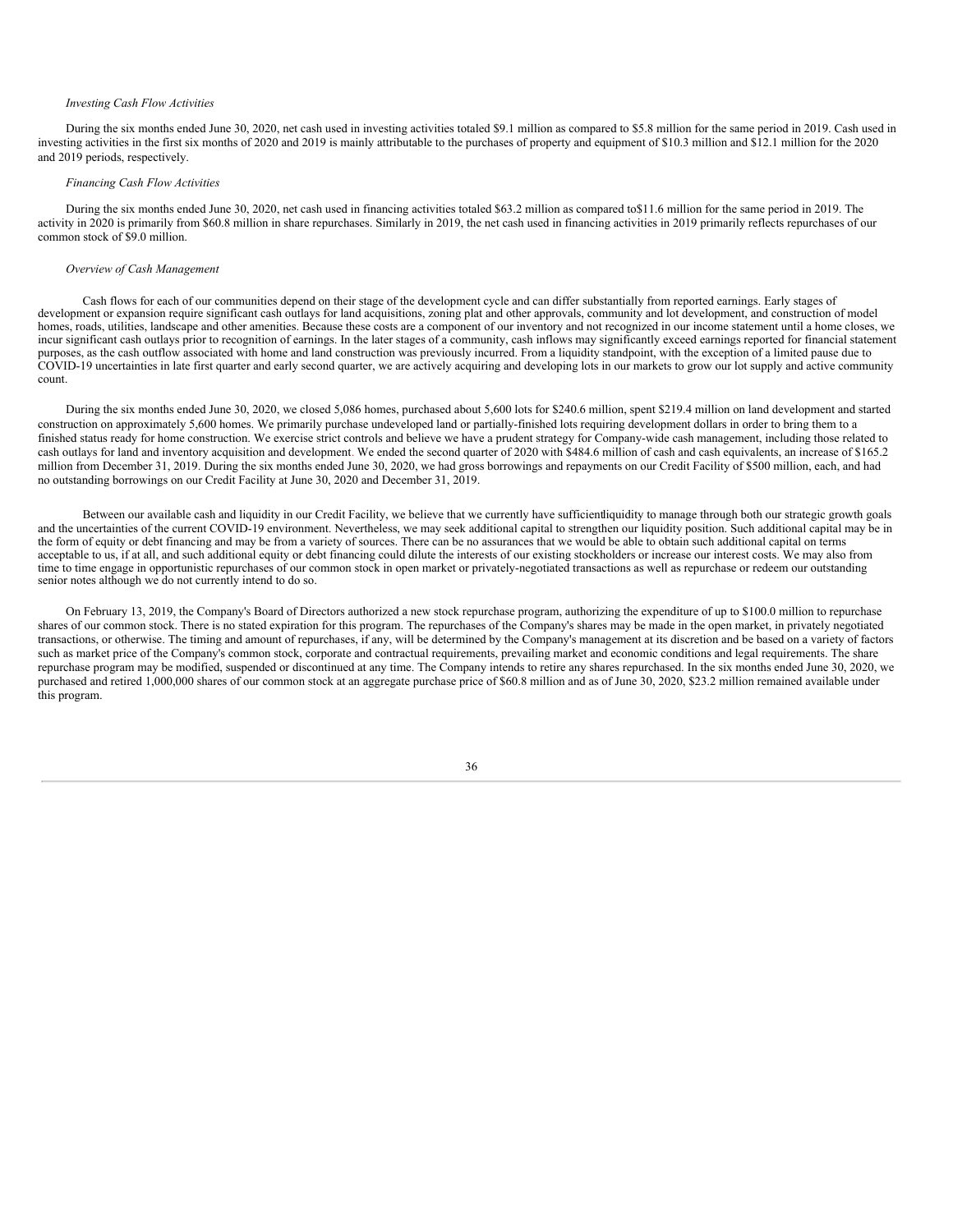### *Investing Cash Flow Activities*

During the six months ended June 30, 2020, net cash used in investing activities totaled \$9.1 million as compared to \$5.8 million for the same period in 2019. Cash used in investing activities in the first six months of 2020 and 2019 is mainly attributable to the purchases of property and equipment of \$10.3 million and \$12.1 million for the 2020 and 2019 periods, respectively.

#### *Financing Cash Flow Activities*

During the six months ended June 30, 2020, net cash used in financing activities totaled \$63.2 million as compared to\$11.6 million for the same period in 2019. The activity in 2020 is primarily from \$60.8 million in share repurchases. Similarly in 2019, the net cash used in financing activities in 2019 primarily reflects repurchases of our common stock of \$9.0 million.

#### *Overview of Cash Management*

Cash flows for each of our communities depend on their stage of the development cycle and can differ substantially from reported earnings. Early stages of development or expansion require significant cash outlays for land acquisitions, zoning plat and other approvals, community and lot development, and construction of model homes, roads, utilities, landscape and other amenities. Because these costs are a component of our inventory and not recognized in our income statement until a home closes, we incur significant cash outlays prior to recognition of earnings. In the later stages of a community, cash inflows may significantly exceed earnings reported for financial statement purposes, as the cash outflow associated with home and land construction was previously incurred. From a liquidity standpoint, with the exception of a limited pause due to COVID-19 uncertainties in late first quarter and early second quarter, we are actively acquiring and developing lots in our markets to grow our lot supply and active community count.

During the six months ended June 30, 2020, we closed 5,086 homes, purchased about 5,600 lots for \$240.6 million, spent \$219.4 million on land development and started construction on approximately 5,600 homes. We primarily purchase undeveloped land or partially-finished lots requiring development dollars in order to bring them to a finished status ready for home construction. We exercise strict controls and believe we have a prudent strategy for Company-wide cash management, including those related to cash outlays for land and inventory acquisition and development. We ended the second quarter of 2020 with \$484.6 million of cash and cash equivalents, an increase of \$165.2 million from December 31, 2019. During the six months ended June 30, 2020, we had gross borrowings and repayments on our Credit Facility of \$500 million, each, and had no outstanding borrowings on our Credit Facility at June 30, 2020 and December 31, 2019.

Between our available cash and liquidity in our Credit Facility, we believe that we currently have sufficientliquidity to manage through both our strategic growth goals and the uncertainties of the current COVID-19 environment. Nevertheless, we may seek additional capital to strengthen our liquidity position. Such additional capital may be in the form of equity or debt financing and may be from a variety of sources. There can be no assurances that we would be able to obtain such additional capital on terms acceptable to us, if at all, and such additional equity or debt financing could dilute the interests of our existing stockholders or increase our interest costs. We may also from time to time engage in opportunistic repurchases of our common stock in open market or privately-negotiated transactions as well as repurchase or redeem our outstanding senior notes although we do not currently intend to do so.

On February 13, 2019, the Company's Board of Directors authorized a new stock repurchase program, authorizing the expenditure of up to \$100.0 million to repurchase shares of our common stock. There is no stated expiration for this program. The repurchases of the Company's shares may be made in the open market, in privately negotiated transactions, or otherwise. The timing and amount of repurchases, if any, will be determined by the Company's management at its discretion and be based on a variety of factors such as market price of the Company's common stock, corporate and contractual requirements, prevailing market and economic conditions and legal requirements. The share repurchase program may be modified, suspended or discontinued at any time. The Company intends to retire any shares repurchased. In the six months ended June 30, 2020, we purchased and retired 1,000,000 shares of our common stock at an aggregate purchase price of \$60.8 million and as of June 30, 2020, \$23.2 million remained available under this program.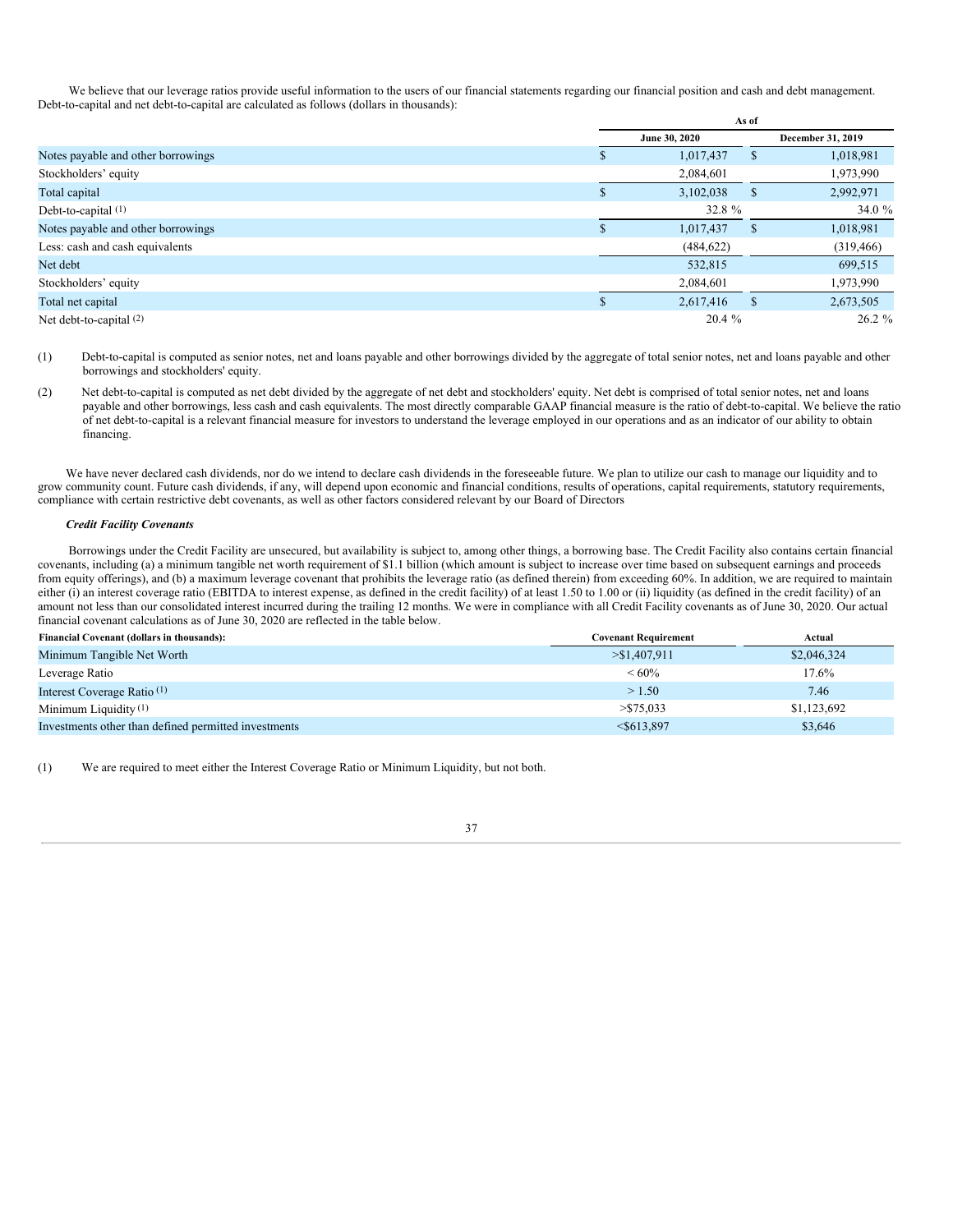We believe that our leverage ratios provide useful information to the users of our financial statements regarding our financial position and cash and debt management. Debt-to-capital and net debt-to-capital are calculated as follows (dollars in thousands):

|                                    | As of |               |   |                   |
|------------------------------------|-------|---------------|---|-------------------|
|                                    |       | June 30, 2020 |   | December 31, 2019 |
| Notes payable and other borrowings |       | 1,017,437     | S | 1,018,981         |
| Stockholders' equity               |       | 2,084,601     |   | 1,973,990         |
| Total capital                      |       | 3,102,038     | S | 2,992,971         |
| Debt-to-capital $(1)$              |       | 32.8 %        |   | 34.0 %            |
| Notes payable and other borrowings |       | 1,017,437     | S | 1,018,981         |
| Less: cash and cash equivalents    |       | (484, 622)    |   | (319, 466)        |
| Net debt                           |       | 532,815       |   | 699,515           |
| Stockholders' equity               |       | 2,084,601     |   | 1,973,990         |
| Total net capital                  |       | 2,617,416     | S | 2,673,505         |
| Net debt-to-capital $(2)$          |       | $20.4 \%$     |   | $26.2 \%$         |

(1) Debt-to-capital is computed as senior notes, net and loans payable and other borrowings divided by the aggregate of total senior notes, net and loans payable and other borrowings and stockholders' equity.

(2) Net debt-to-capital is computed as net debt divided by the aggregate of net debt and stockholders' equity. Net debt is comprised of total senior notes, net and loans payable and other borrowings, less cash and cash equivalents. The most directly comparable GAAP financial measure is the ratio of debt-to-capital. We believe the ratio of net debt-to-capital is a relevant financial measure for investors to understand the leverage employed in our operations and as an indicator of our ability to obtain financing.

We have never declared cash dividends, nor do we intend to declare cash dividends in the foreseeable future. We plan to utilize our cash to manage our liquidity and to grow community count. Future cash dividends, if any, will depend upon economic and financial conditions, results of operations, capital requirements, statutory requirements, compliance with certain restrictive debt covenants, as well as other factors considered relevant by our Board of Directors

### *Credit Facility Covenants*

Borrowings under the Credit Facility are unsecured, but availability is subject to, among other things, a borrowing base. The Credit Facility also contains certain financial covenants, including (a) a minimum tangible net worth requirement of \$1.1 billion (which amount is subject to increase over time based on subsequent earnings and proceeds from equity offerings), and (b) a maximum leverage covenant that prohibits the leverage ratio (as defined therein) from exceeding 60%. In addition, we are required to maintain either (i) an interest coverage ratio (EBITDA to interest expense, as defined in the credit facility) of at least 1.50 to 1.00 or (ii) liquidity (as defined in the credit facility) of an amount not less than our consolidated interest incurred during the trailing 12 months. We were in compliance with all Credit Facility covenants as of June 30, 2020. Our actual financial covenant calculations as of June 30, 2020 are reflected in the table below.

| <b>Financial Covenant (dollars in thousands):</b>    | <b>Covenant Requirement</b> | Actual      |
|------------------------------------------------------|-----------------------------|-------------|
| Minimum Tangible Net Worth                           | $>$ \$1,407,911             | \$2,046,324 |
| Leverage Ratio                                       | ${}< 60\%$                  | 17.6%       |
| Interest Coverage Ratio <sup>(1)</sup>               | >1.50                       | 7.46        |
| Minimum Liquidity $(1)$                              | $>$ \$75.033                | \$1,123,692 |
| Investments other than defined permitted investments | $<$ \$613.897               | \$3,646     |

(1) We are required to meet either the Interest Coverage Ratio or Minimum Liquidity, but not both.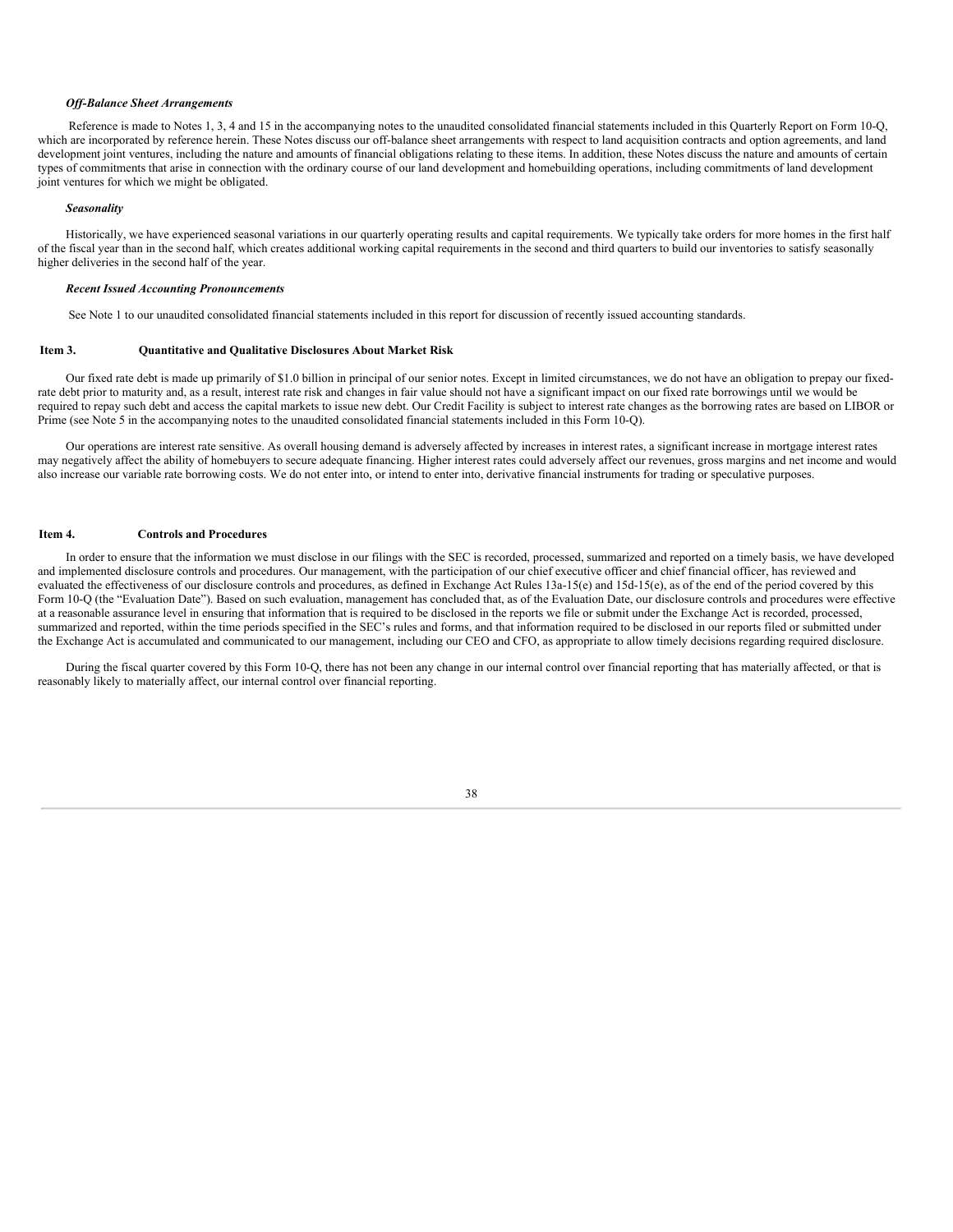### *Of -Balance Sheet Arrangements*

Reference is made to Notes 1, 3, 4 and 15 in the accompanying notes to the unaudited consolidated financial statements included in this Quarterly Report on Form 10-Q, which are incorporated by reference herein. These Notes discuss our off-balance sheet arrangements with respect to land acquisition contracts and option agreements, and land development joint ventures, including the nature and amounts of financial obligations relating to these items. In addition, these Notes discuss the nature and amounts of certain types of commitments that arise in connection with the ordinary course of our land development and homebuilding operations, including commitments of land development joint ventures for which we might be obligated.

#### *Seasonality*

Historically, we have experienced seasonal variations in our quarterly operating results and capital requirements. We typically take orders for more homes in the first half of the fiscal year than in the second half, which creates additional working capital requirements in the second and third quarters to build our inventories to satisfy seasonally higher deliveries in the second half of the year.

### *Recent Issued Accounting Pronouncements*

See Note 1 to our unaudited consolidated financial statements included in this report for discussion of recently issued accounting standards.

### <span id="page-37-0"></span>**Item 3. Quantitative and Qualitative Disclosures About Market Risk**

Our fixed rate debt is made up primarily of \$1.0 billion in principal of our senior notes. Except in limited circumstances, we do not have an obligation to prepay our fixedrate debt prior to maturity and, as a result, interest rate risk and changes in fair value should not have a significant impact on our fixed rate borrowings until we would be required to repay such debt and access the capital markets to issue new debt. Our Credit Facility is subject to interest rate changes as the borrowing rates are based on LIBOR or Prime (see Note 5 in the accompanying notes to the unaudited consolidated financial statements included in this Form 10-Q).

<span id="page-37-1"></span>Our operations are interest rate sensitive. As overall housing demand is adversely affected by increases in interest rates, a significant increase in mortgage interest rates may negatively affect the ability of homebuyers to secure adequate financing. Higher interest rates could adversely affect our revenues, gross margins and net income and would also increase our variable rate borrowing costs. We do not enter into, or intend to enter into, derivative financial instruments for trading or speculative purposes.

### **Item 4. Controls and Procedures**

In order to ensure that the information we must disclose in our filings with the SEC is recorded, processed, summarized and reported on a timely basis, we have developed and implemented disclosure controls and procedures. Our management, with the participation of our chief executive officer and chief financial officer, has reviewed and evaluated the effectiveness of our disclosure controls and procedures, as defined in Exchange Act Rules 13a-15(e) and 15d-15(e), as of the end of the period covered by this Form 10-Q (the "Evaluation Date"). Based on such evaluation, management has concluded that, as of the Evaluation Date, our disclosure controls and procedures were effective at a reasonable assurance level in ensuring that information that is required to be disclosed in the reports we file or submit under the Exchange Act is recorded, processed, summarized and reported, within the time periods specified in the SEC's rules and forms, and that information required to be disclosed in our reports filed or submitted under the Exchange Act is accumulated and communicated to our management, including our CEO and CFO, as appropriate to allow timely decisions regarding required disclosure.

<span id="page-37-2"></span>During the fiscal quarter covered by this Form 10-Q, there has not been any change in our internal control over financial reporting that has materially affected, or that is reasonably likely to materially affect, our internal control over financial reporting.

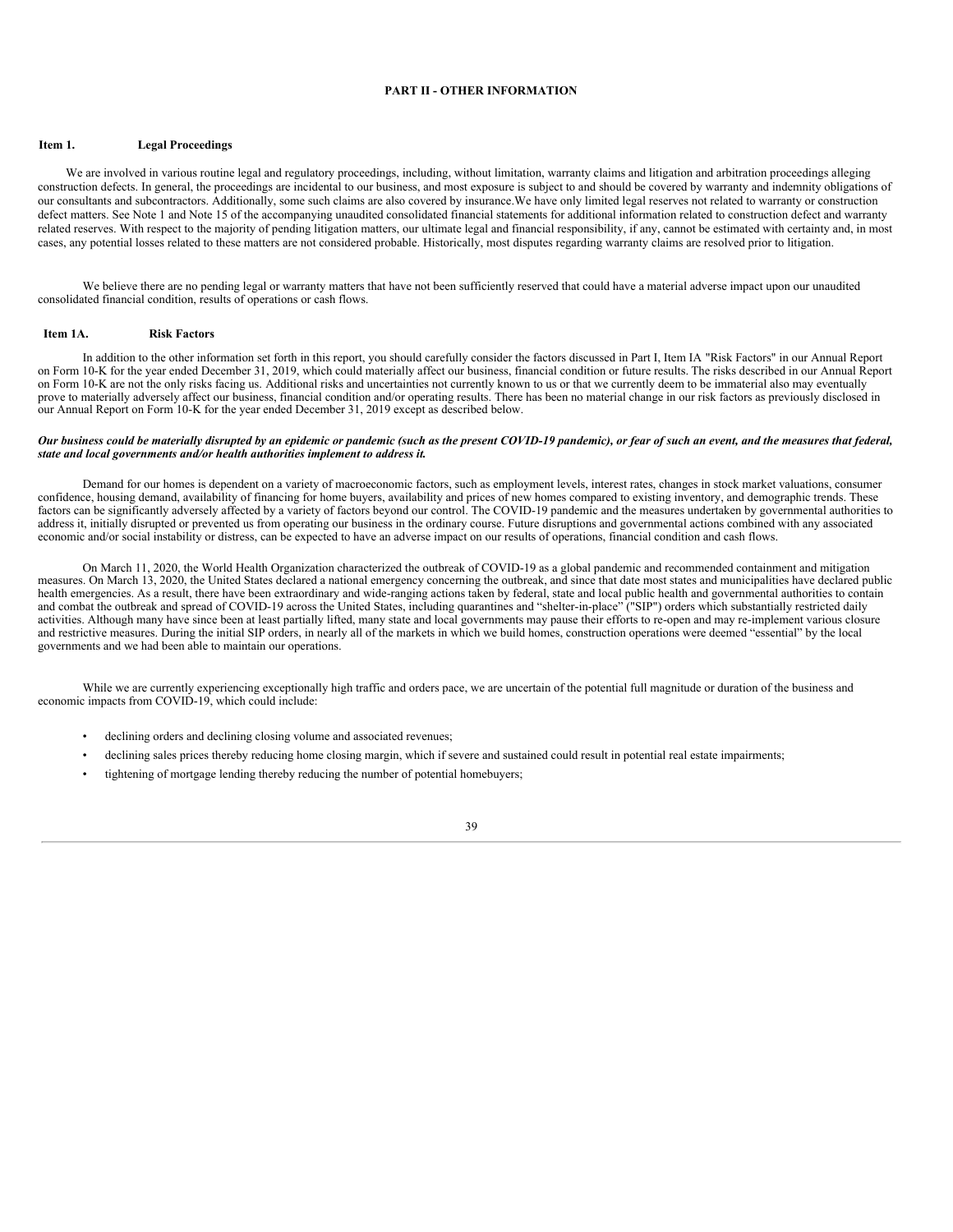### **PART II - OTHER INFORMATION**

### <span id="page-38-0"></span>**Item 1. Legal Proceedings**

We are involved in various routine legal and regulatory proceedings, including, without limitation, warranty claims and litigation and arbitration proceedings alleging construction defects. In general, the proceedings are incidental to our business, and most exposure is subject to and should be covered by warranty and indemnity obligations of our consultants and subcontractors. Additionally, some such claims are also covered by insurance.We have only limited legal reserves not related to warranty or construction defect matters. See Note 1 and Note 15 of the accompanying unaudited consolidated financial statements for additional information related to construction defect and warranty related reserves. With respect to the majority of pending litigation matters, our ultimate legal and financial responsibility, if any, cannot be estimated with certainty and, in most cases, any potential losses related to these matters are not considered probable. Historically, most disputes regarding warranty claims are resolved prior to litigation.

We believe there are no pending legal or warranty matters that have not been sufficiently reserved that could have a material adverse impact upon our unaudited consolidated financial condition, results of operations or cash flows.

### <span id="page-38-1"></span>**Item 1A. Risk Factors**

In addition to the other information set forth in this report, you should carefully consider the factors discussed in Part I, Item IA "Risk Factors" in our Annual Report on Form 10-K for the year ended December 31, 2019, which could materially affect our business, financial condition or future results. The risks described in our Annual Report on Form 10-K are not the only risks facing us. Additional risks and uncertainties not currently known to us or that we currently deem to be immaterial also may eventually prove to materially adversely affect our business, financial condition and/or operating results. There has been no material change in our risk factors as previously disclosed in our Annual Report on Form 10-K for the year ended December 31, 2019 except as described below.

#### Our business could be materially disrupted by an epidemic or pandemic (such as the present COVID-19 pandemic), or fear of such an event, and the measures that federal, *state and local governments and/or health authorities implement to address it.*

Demand for our homes is dependent on a variety of macroeconomic factors, such as employment levels, interest rates, changes in stock market valuations, consumer confidence, housing demand, availability of financing for home buyers, availability and prices of new homes compared to existing inventory, and demographic trends. These factors can be significantly adversely affected by a variety of factors beyond our control. The COVID-19 pandemic and the measures undertaken by governmental authorities to address it, initially disrupted or prevented us from operating our business in the ordinary course. Future disruptions and governmental actions combined with any associated economic and/or social instability or distress, can be expected to have an adverse impact on our results of operations, financial condition and cash flows.

On March 11, 2020, the World Health Organization characterized the outbreak of COVID-19 as a global pandemic and recommended containment and mitigation measures. On March 13, 2020, the United States declared a national emergency concerning the outbreak, and since that date most states and municipalities have declared public health emergencies. As a result, there have been extraordinary and wide-ranging actions taken by federal, state and local public health and governmental authorities to contain and combat the outbreak and spread of COVID-19 across the United States, including quarantines and "shelter-in-place" ("SIP") orders which substantially restricted daily activities. Although many have since been at least partially lifted, many state and local governments may pause their efforts to re-open and may re-implement various closure and restrictive measures. During the initial SIP orders, in nearly all of the markets in which we build homes, construction operations were deemed "essential" by the local governments and we had been able to maintain our operations.

While we are currently experiencing exceptionally high traffic and orders pace, we are uncertain of the potential full magnitude or duration of the business and economic impacts from COVID-19, which could include:

- declining orders and declining closing volume and associated revenues;
- declining sales prices thereby reducing home closing margin, which if severe and sustained could result in potential real estate impairments;
- tightening of mortgage lending thereby reducing the number of potential homebuyers;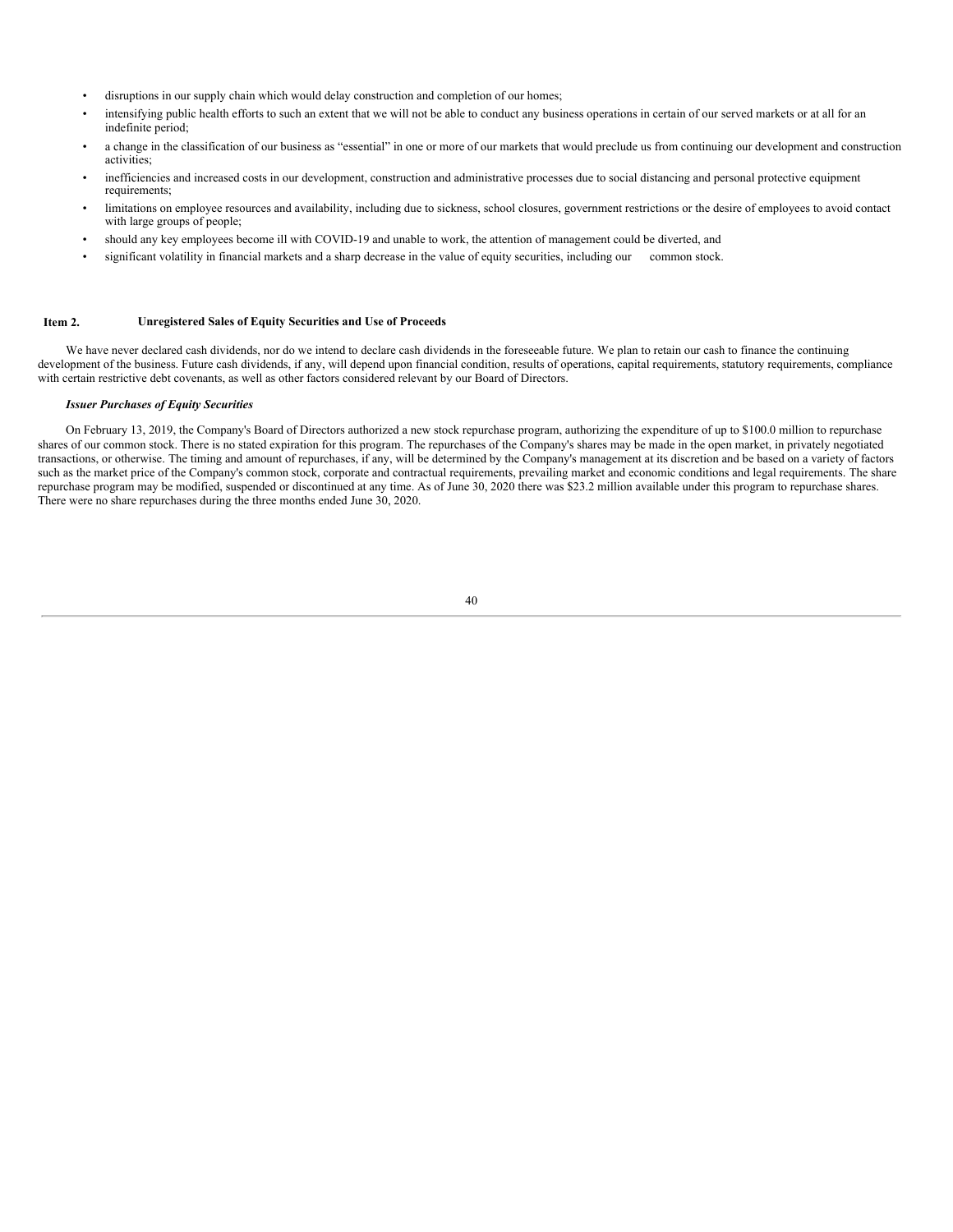- disruptions in our supply chain which would delay construction and completion of our homes;
- intensifying public health efforts to such an extent that we will not be able to conduct any business operations in certain of our served markets or at all for an indefinite period;
- a change in the classification of our business as "essential" in one or more of our markets that would preclude us from continuing our development and construction activities;
- inefficiencies and increased costs in our development, construction and administrative processes due to social distancing and personal protective equipment requirements;
- limitations on employee resources and availability, including due to sickness, school closures, government restrictions or the desire of employees to avoid contact with large groups of people;
- should any key employees become ill with COVID-19 and unable to work, the attention of management could be diverted, and
- significant volatility in financial markets and a sharp decrease in the value of equity securities, including our common stock.

### <span id="page-39-0"></span>**Item 2. Unregistered Sales of Equity Securities and Use of Proceeds**

We have never declared cash dividends, nor do we intend to declare cash dividends in the foreseeable future. We plan to retain our cash to finance the continuing development of the business. Future cash dividends, if any, will depend upon financial condition, results of operations, capital requirements, statutory requirements, compliance with certain restrictive debt covenants, as well as other factors considered relevant by our Board of Directors.

#### *Issuer Purchases of Equity Securities*

<span id="page-39-1"></span>On February 13, 2019, the Company's Board of Directors authorized a new stock repurchase program, authorizing the expenditure of up to \$100.0 million to repurchase shares of our common stock. There is no stated expiration for this program. The repurchases of the Company's shares may be made in the open market, in privately negotiated transactions, or otherwise. The timing and amount of repurchases, if any, will be determined by the Company's management at its discretion and be based on a variety of factors such as the market price of the Company's common stock, corporate and contractual requirements, prevailing market and economic conditions and legal requirements. The share repurchase program may be modified, suspended or discontinued at any time. As of June 30, 2020 there was \$23.2 million available under this program to repurchase shares. There were no share repurchases during the three months ended June 30, 2020.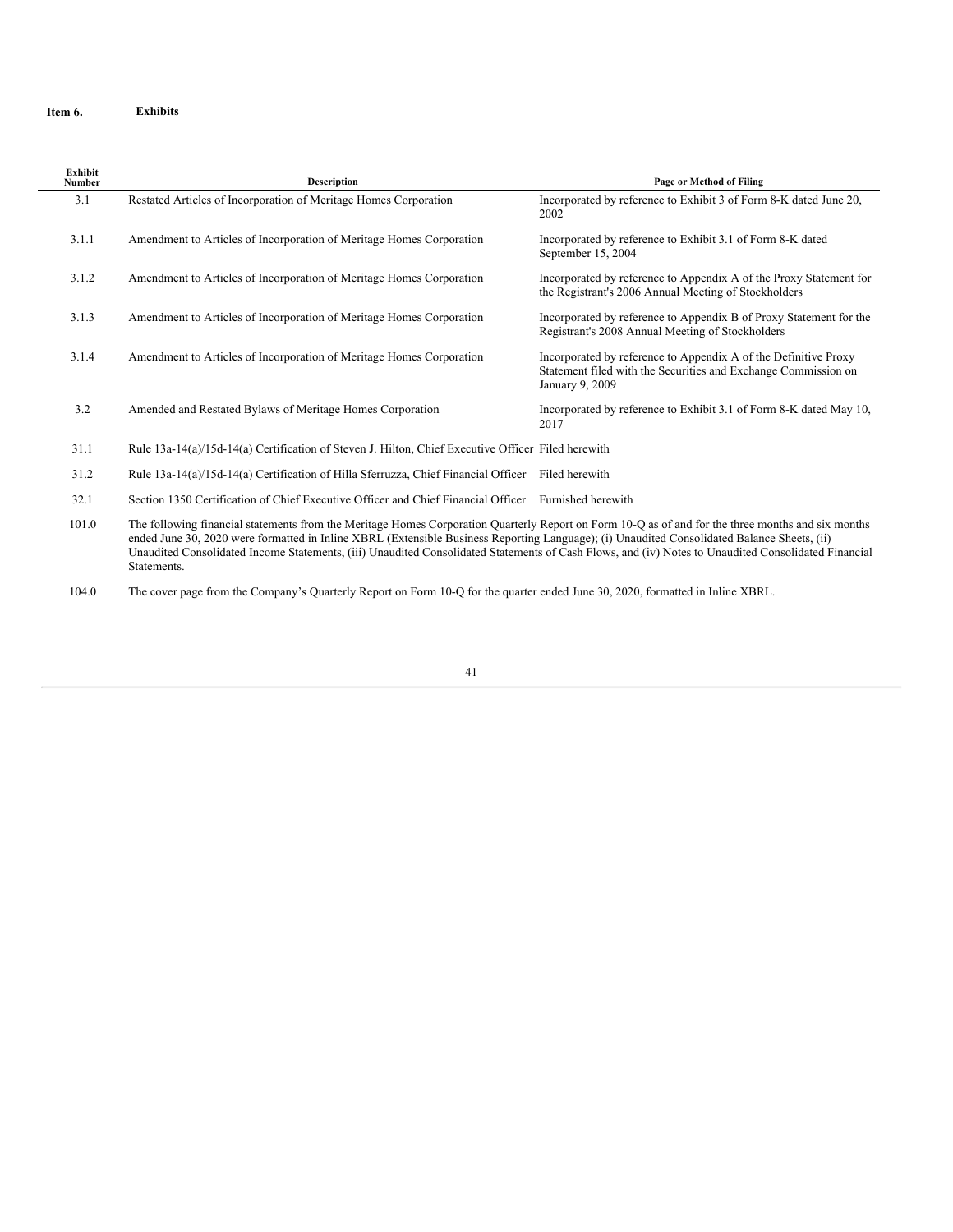**Item 6. Exhibits**

| <b>Exhibit</b><br><b>Number</b> | <b>Description</b>                                                                                                                                                                                                                                                                                                                                                                                                                                                      | Page or Method of Filing                                                                                                                             |
|---------------------------------|-------------------------------------------------------------------------------------------------------------------------------------------------------------------------------------------------------------------------------------------------------------------------------------------------------------------------------------------------------------------------------------------------------------------------------------------------------------------------|------------------------------------------------------------------------------------------------------------------------------------------------------|
| 3.1                             | Restated Articles of Incorporation of Meritage Homes Corporation                                                                                                                                                                                                                                                                                                                                                                                                        | Incorporated by reference to Exhibit 3 of Form 8-K dated June 20,<br>2002                                                                            |
| 3.1.1                           | Amendment to Articles of Incorporation of Meritage Homes Corporation                                                                                                                                                                                                                                                                                                                                                                                                    | Incorporated by reference to Exhibit 3.1 of Form 8-K dated<br>September 15, 2004                                                                     |
| 3.1.2                           | Amendment to Articles of Incorporation of Meritage Homes Corporation                                                                                                                                                                                                                                                                                                                                                                                                    | Incorporated by reference to Appendix A of the Proxy Statement for<br>the Registrant's 2006 Annual Meeting of Stockholders                           |
| 3.1.3                           | Amendment to Articles of Incorporation of Meritage Homes Corporation                                                                                                                                                                                                                                                                                                                                                                                                    | Incorporated by reference to Appendix B of Proxy Statement for the<br>Registrant's 2008 Annual Meeting of Stockholders                               |
| 3.1.4                           | Amendment to Articles of Incorporation of Meritage Homes Corporation                                                                                                                                                                                                                                                                                                                                                                                                    | Incorporated by reference to Appendix A of the Definitive Proxy<br>Statement filed with the Securities and Exchange Commission on<br>January 9, 2009 |
| 3.2                             | Amended and Restated Bylaws of Meritage Homes Corporation                                                                                                                                                                                                                                                                                                                                                                                                               | Incorporated by reference to Exhibit 3.1 of Form 8-K dated May 10,<br>2017                                                                           |
| 31.1                            | Rule $13a-14(a)/15d-14(a)$ Certification of Steven J. Hilton, Chief Executive Officer Filed herewith                                                                                                                                                                                                                                                                                                                                                                    |                                                                                                                                                      |
| 31.2                            | Rule 13a-14(a)/15d-14(a) Certification of Hilla Sferruzza, Chief Financial Officer                                                                                                                                                                                                                                                                                                                                                                                      | Filed herewith                                                                                                                                       |
| 32.1                            | Section 1350 Certification of Chief Executive Officer and Chief Financial Officer                                                                                                                                                                                                                                                                                                                                                                                       | Furnished herewith                                                                                                                                   |
| 101.0                           | The following financial statements from the Meritage Homes Corporation Quarterly Report on Form 10-Q as of and for the three months and six months<br>ended June 30, 2020 were formatted in Inline XBRL (Extensible Business Reporting Language); (i) Unaudited Consolidated Balance Sheets, (ii)<br>Unaudited Consolidated Income Statements, (iii) Unaudited Consolidated Statements of Cash Flows, and (iv) Notes to Unaudited Consolidated Financial<br>Statements. |                                                                                                                                                      |

<span id="page-40-0"></span>104.0 The cover page from the Company's Quarterly Report on Form 10-Q for the quarter ended June 30, 2020, formatted in Inline XBRL.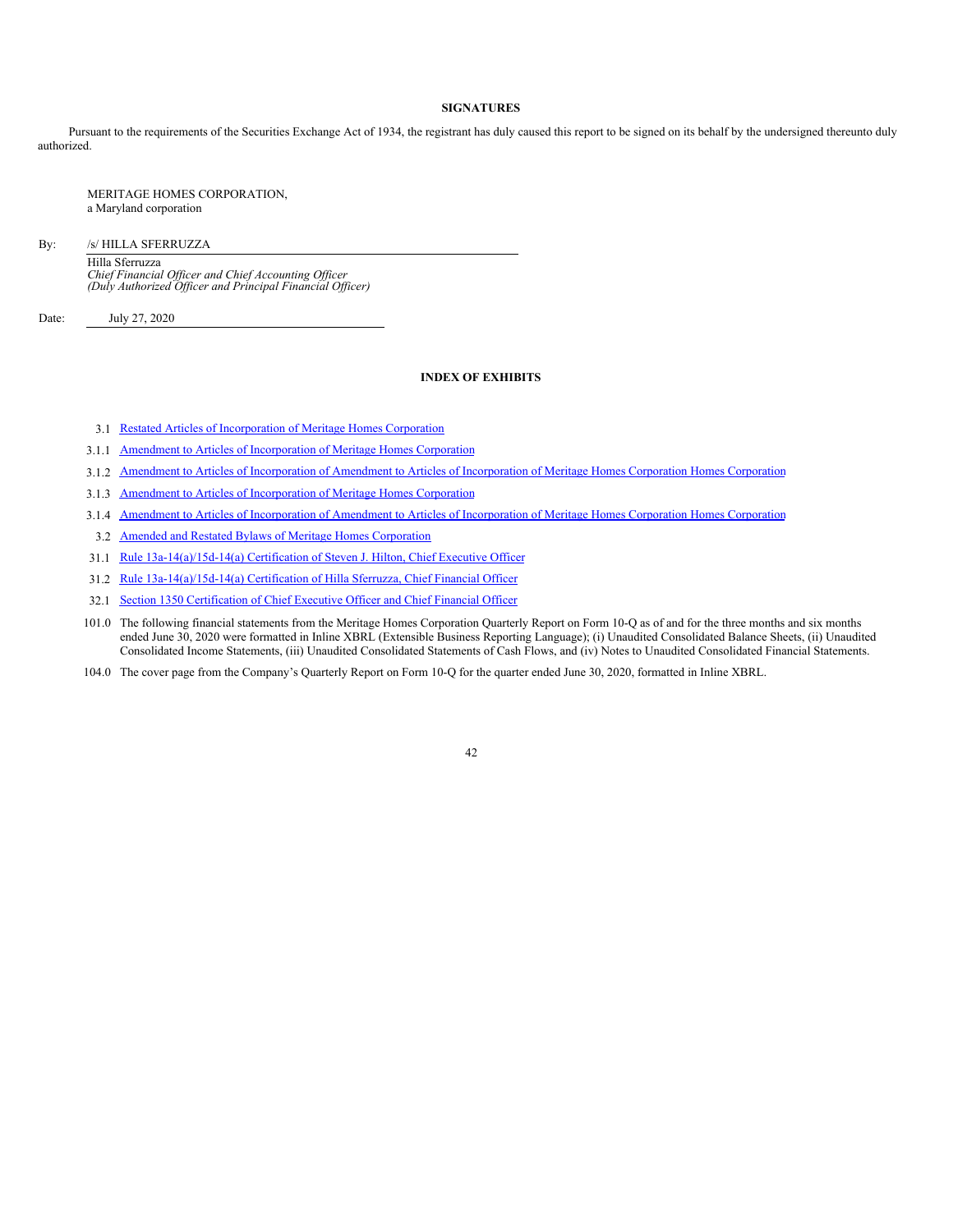### **SIGNATURES**

Pursuant to the requirements of the Securities Exchange Act of 1934, the registrant has duly caused this report to be signed on its behalf by the undersigned thereunto duly authorized.

MERITAGE HOMES CORPORATION, a Maryland corporation

By: /s/ HILLA SFERRUZZA

Hilla Sferruzza *Chief Financial Of icer and Chief Accounting Of icer (Duly Authorized Of icer and Principal Financial Of icer)*

<span id="page-41-0"></span>Date: July 27, 2020

### **INDEX OF EXHIBITS**

3.1 Restated Articles of [Incorporation](http://www.sec.gov/Archives/edgar/data/833079/000095015302001139/p66729exv3.txt) of Meritage Homes Corporation

3.1.1 Amendment to Articles of [Incorporation](http://www.sec.gov/Archives/edgar/data/833079/000110465904027692/a04-10468_1ex3d1.htm) of Meritage Homes Corporation

- 3.1.2 Amendment to Articles of [Incorporation](https://www.sec.gov/Archives/edgar/data/833079/000110465906023822/a06-7606_1def14a.htm) of Amendment to Articles of Incorporation of Meritage Homes Corporation Homes Corporation
- 3.1.3 Amendment to Articles of [Incorporation](https://www.sec.gov/Archives/edgar/data/833079/000104746908003906/a2184391zdef14a.htm) of Meritage Homes Corporation
- 3.1.4 Amendment to Articles of [Incorporation](https://www.sec.gov/Archives/edgar/data/833079/000095013409000313/p13800dedef14a.htm) of Amendment to Articles of Incorporation of Meritage Homes Corporation Homes Corporation
- 3.2 Amended and Restated Bylaws of Meritage Homes [Corporation](http://www.sec.gov/Archives/edgar/data/833079/000119312517165723/d388743dex31.htm)
- 31.1 Rule [13a-14\(a\)/15d-14\(a\)](#page-42-0) Certification of Steven J. Hilton, Chief Executive Officer
- 31.2 Rule [13a-14\(a\)/15d-14\(a\)](#page-43-0) Certification of Hilla Sferruzza, Chief Financial Officer
- 32.1 Section 1350 [Certification](#page-44-0) of Chief Executive Officer and Chief Financial Officer
- 101.0 The following financial statements from the Meritage Homes Corporation Quarterly Report on Form 10-Q as of and for the three months and six months ended June 30, 2020 were formatted in Inline XBRL (Extensible Business Reporting Language); (i) Unaudited Consolidated Balance Sheets, (ii) Unaudited Consolidated Income Statements, (iii) Unaudited Consolidated Statements of Cash Flows, and (iv) Notes to Unaudited Consolidated Financial Statements.

104.0 The cover page from the Company's Quarterly Report on Form 10-Q for the quarter ended June 30, 2020, formatted in Inline XBRL.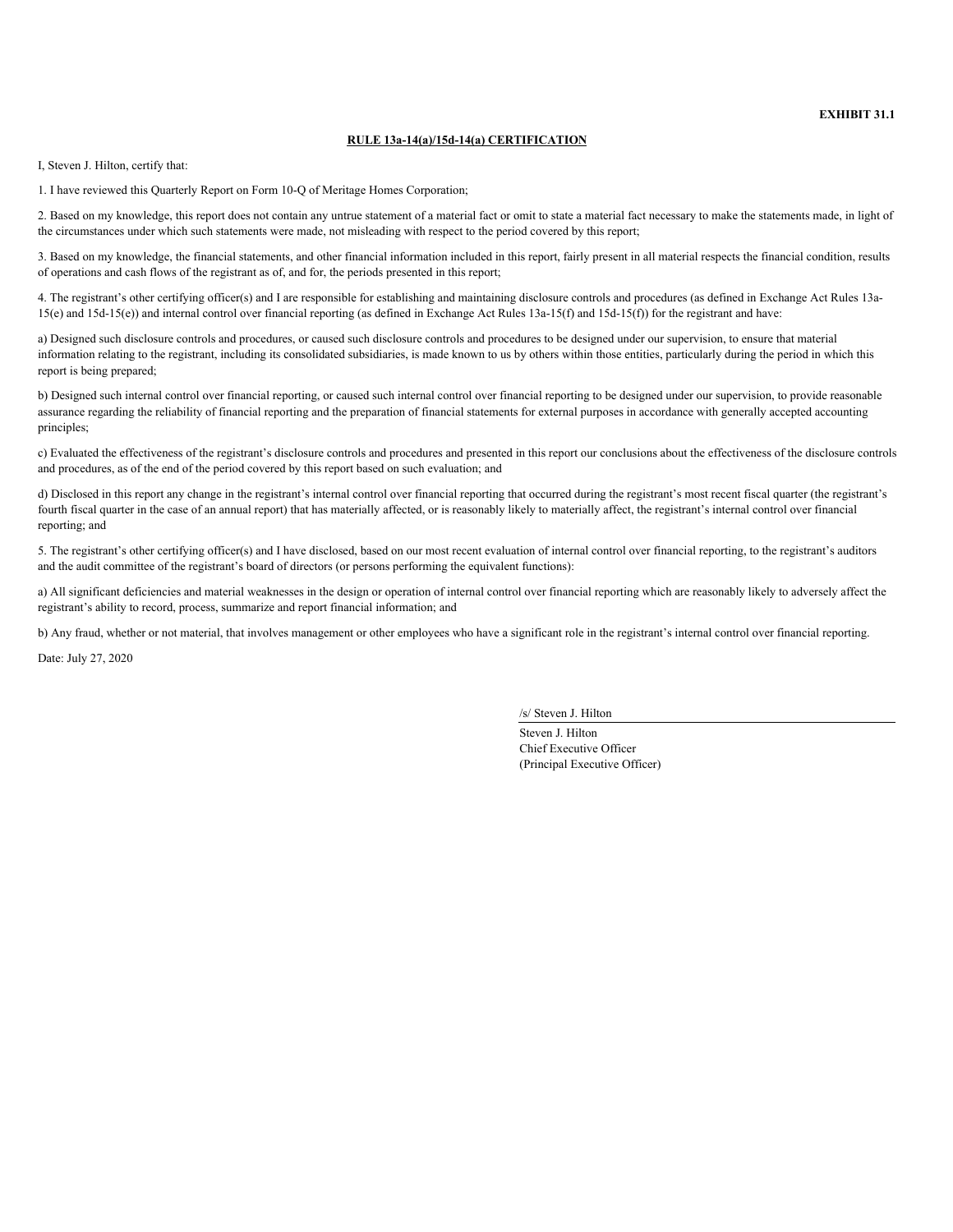**EXHIBIT 31.1**

### **RULE 13a-14(a)/15d-14(a) CERTIFICATION**

<span id="page-42-0"></span>I, Steven J. Hilton, certify that:

1. I have reviewed this Quarterly Report on Form 10-Q of Meritage Homes Corporation;

2. Based on my knowledge, this report does not contain any untrue statement of a material fact or omit to state a material fact necessary to make the statements made, in light of the circumstances under which such statements were made, not misleading with respect to the period covered by this report;

3. Based on my knowledge, the financial statements, and other financial information included in this report, fairly present in all material respects the financial condition, results of operations and cash flows of the registrant as of, and for, the periods presented in this report;

4. The registrant's other certifying officer(s) and I are responsible for establishing and maintaining disclosure controls and procedures (as defined in Exchange Act Rules 13a- $15(e)$  and  $15d-15(e)$  and internal control over financial reporting (as defined in Exchange Act Rules  $13a-15(f)$  and  $15d-15(f)$ ) for the registrant and have:

a) Designed such disclosure controls and procedures, or caused such disclosure controls and procedures to be designed under our supervision, to ensure that material information relating to the registrant, including its consolidated subsidiaries, is made known to us by others within those entities, particularly during the period in which this report is being prepared;

b) Designed such internal control over financial reporting, or caused such internal control over financial reporting to be designed under our supervision, to provide reasonable assurance regarding the reliability of financial reporting and the preparation of financial statements for external purposes in accordance with generally accepted accounting principles;

c) Evaluated the effectiveness of the registrant's disclosure controls and procedures and presented in this report our conclusions about the effectiveness of the disclosure controls and procedures, as of the end of the period covered by this report based on such evaluation; and

d) Disclosed in this report any change in the registrant's internal control over financial reporting that occurred during the registrant's most recent fiscal quarter (the registrant's fourth fiscal quarter in the case of an annual report) that has materially affected, or is reasonably likely to materially affect, the registrant's internal control over financial reporting; and

5. The registrant's other certifying officer(s) and I have disclosed, based on our most recent evaluation of internal control over financial reporting, to the registrant's auditors and the audit committee of the registrant's board of directors (or persons performing the equivalent functions):

a) All significant deficiencies and material weaknesses in the design or operation of internal control over financial reporting which are reasonably likely to adversely affect the registrant's ability to record, process, summarize and report financial information; and

b) Any fraud, whether or not material, that involves management or other employees who have a significant role in the registrant's internal control over financial reporting.

Date: July 27, 2020

/s/ Steven J. Hilton

Steven J. Hilton Chief Executive Officer (Principal Executive Officer)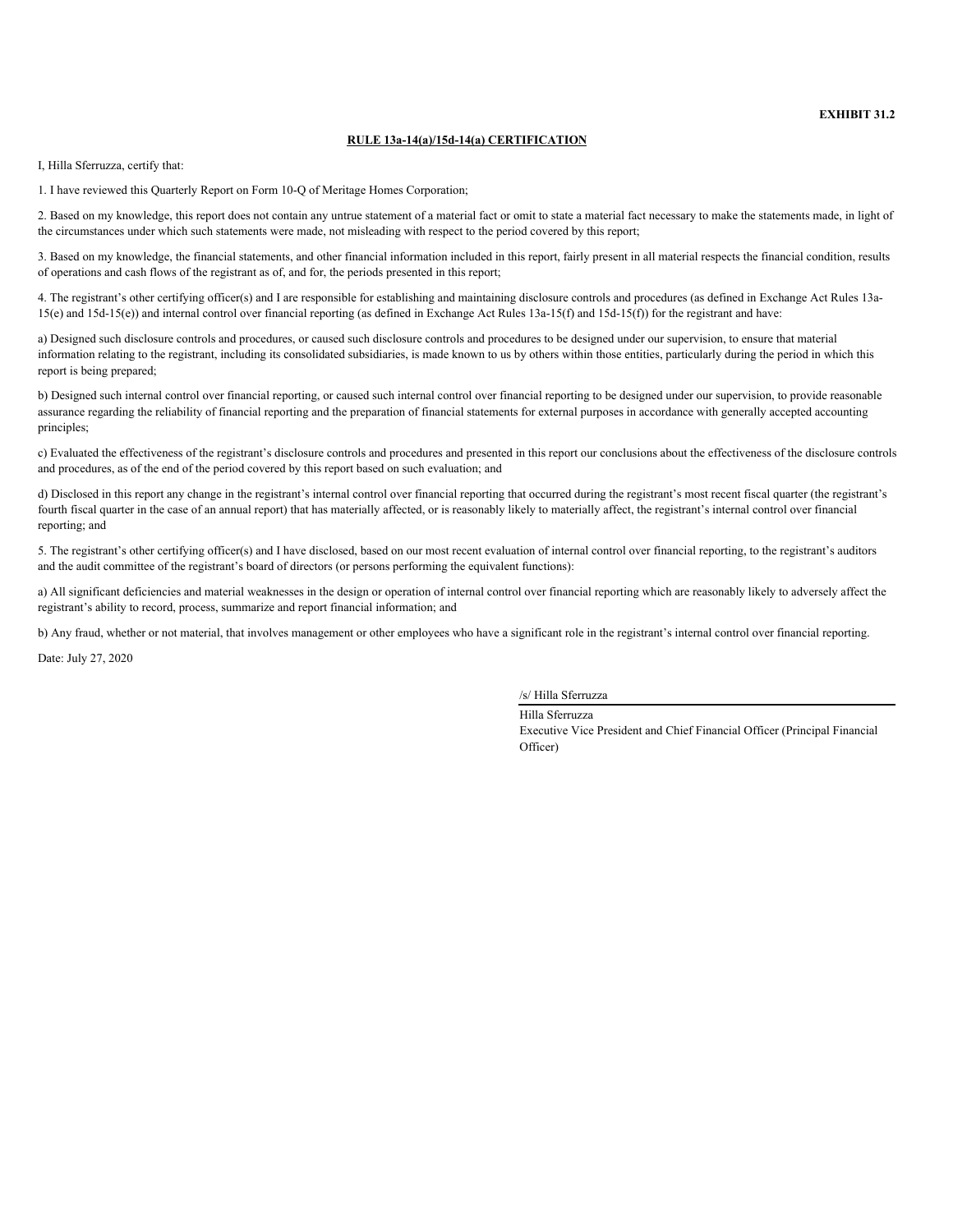**EXHIBIT 31.2**

### **RULE 13a-14(a)/15d-14(a) CERTIFICATION**

<span id="page-43-0"></span>I, Hilla Sferruzza, certify that:

1. I have reviewed this Quarterly Report on Form 10-Q of Meritage Homes Corporation;

2. Based on my knowledge, this report does not contain any untrue statement of a material fact or omit to state a material fact necessary to make the statements made, in light of the circumstances under which such statements were made, not misleading with respect to the period covered by this report;

3. Based on my knowledge, the financial statements, and other financial information included in this report, fairly present in all material respects the financial condition, results of operations and cash flows of the registrant as of, and for, the periods presented in this report;

4. The registrant's other certifying officer(s) and I are responsible for establishing and maintaining disclosure controls and procedures (as defined in Exchange Act Rules 13a- $15(e)$  and  $15d-15(e)$  and internal control over financial reporting (as defined in Exchange Act Rules  $13a-15(f)$  and  $15d-15(f)$ ) for the registrant and have:

a) Designed such disclosure controls and procedures, or caused such disclosure controls and procedures to be designed under our supervision, to ensure that material information relating to the registrant, including its consolidated subsidiaries, is made known to us by others within those entities, particularly during the period in which this report is being prepared;

b) Designed such internal control over financial reporting, or caused such internal control over financial reporting to be designed under our supervision, to provide reasonable assurance regarding the reliability of financial reporting and the preparation of financial statements for external purposes in accordance with generally accepted accounting principles;

c) Evaluated the effectiveness of the registrant's disclosure controls and procedures and presented in this report our conclusions about the effectiveness of the disclosure controls and procedures, as of the end of the period covered by this report based on such evaluation; and

d) Disclosed in this report any change in the registrant's internal control over financial reporting that occurred during the registrant's most recent fiscal quarter (the registrant's fourth fiscal quarter in the case of an annual report) that has materially affected, or is reasonably likely to materially affect, the registrant's internal control over financial reporting; and

5. The registrant's other certifying officer(s) and I have disclosed, based on our most recent evaluation of internal control over financial reporting, to the registrant's auditors and the audit committee of the registrant's board of directors (or persons performing the equivalent functions):

a) All significant deficiencies and material weaknesses in the design or operation of internal control over financial reporting which are reasonably likely to adversely affect the registrant's ability to record, process, summarize and report financial information; and

b) Any fraud, whether or not material, that involves management or other employees who have a significant role in the registrant's internal control over financial reporting.

Date: July 27, 2020

/s/ Hilla Sferruzza

Hilla Sferruzza

Executive Vice President and Chief Financial Officer (Principal Financial Officer)